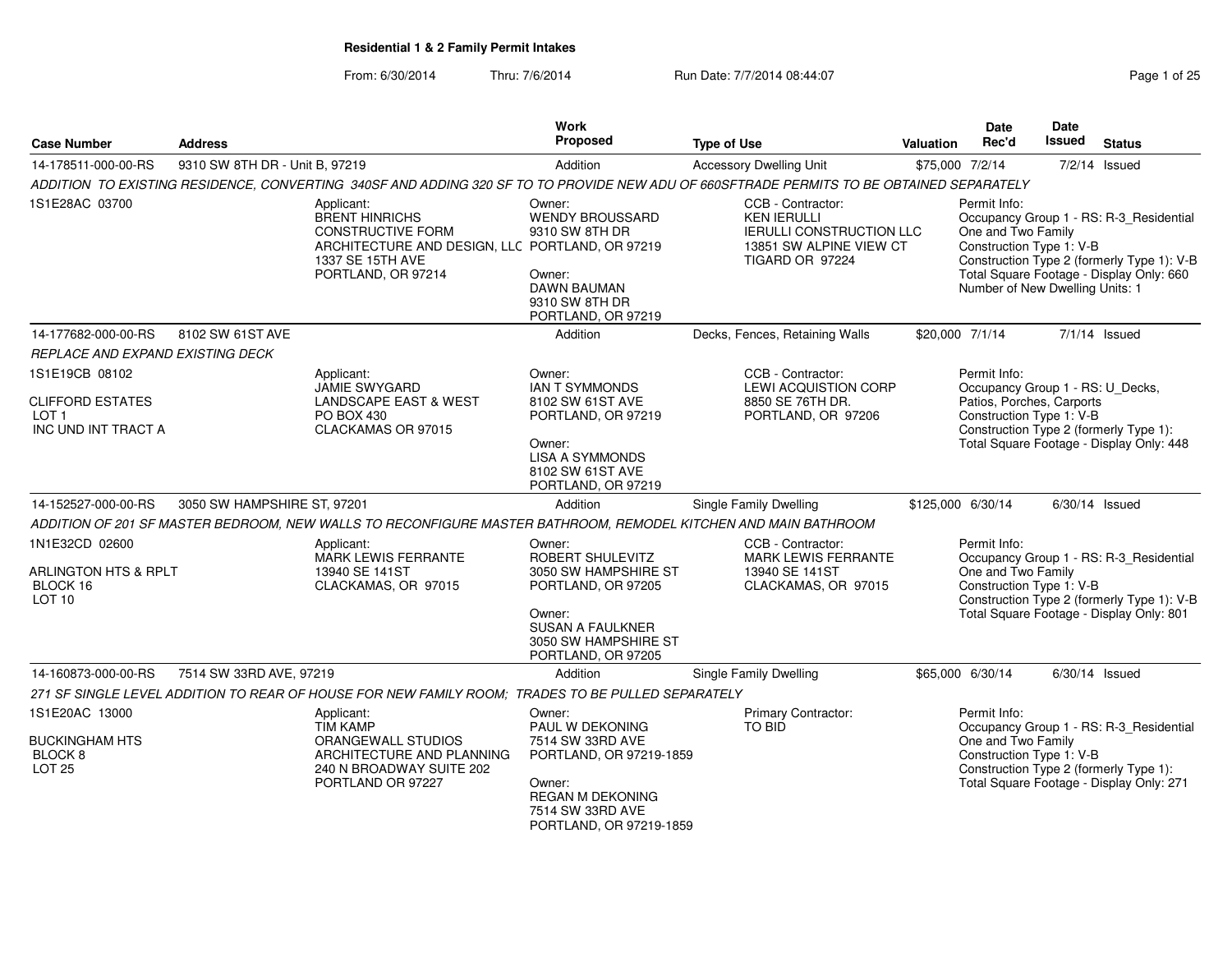From: 6/30/2014Thru: 7/6/2014 **Run Date: 7/7/2014 08:44:07 Page 1 of 25 Page 1 of 25** 

| <b>Case Number</b>                                                                   | <b>Address</b>                 |                                                                                                                                                              | <b>Work</b><br>Proposed                                                                                                                                     | <b>Type of Use</b>                                                                                                       | Valuation | <b>Date</b><br>Rec'd                                                                                      | Date<br><b>Issued</b> | <b>Status</b>                                                                                                                     |
|--------------------------------------------------------------------------------------|--------------------------------|--------------------------------------------------------------------------------------------------------------------------------------------------------------|-------------------------------------------------------------------------------------------------------------------------------------------------------------|--------------------------------------------------------------------------------------------------------------------------|-----------|-----------------------------------------------------------------------------------------------------------|-----------------------|-----------------------------------------------------------------------------------------------------------------------------------|
| 14-178511-000-00-RS                                                                  | 9310 SW 8TH DR - Unit B, 97219 |                                                                                                                                                              | Addition                                                                                                                                                    | <b>Accessory Dwelling Unit</b>                                                                                           |           | \$75,000 7/2/14                                                                                           |                       | $7/2/14$ Issued                                                                                                                   |
|                                                                                      |                                | ADDITION TO EXISTING RESIDENCE, CONVERTING 340SF AND ADDING 320 SF TO TO PROVIDE NEW ADU OF 660SFTRADE PERMITS TO BE OBTAINED SEPARATELY                     |                                                                                                                                                             |                                                                                                                          |           |                                                                                                           |                       |                                                                                                                                   |
| 1S1E28AC 03700                                                                       |                                | Applicant:<br><b>BRENT HINRICHS</b><br><b>CONSTRUCTIVE FORM</b><br>ARCHITECTURE AND DESIGN, LLC PORTLAND, OR 97219<br>1337 SE 15TH AVE<br>PORTLAND, OR 97214 | Owner:<br><b>WENDY BROUSSARD</b><br>9310 SW 8TH DR<br>Owner:<br>DAWN BAUMAN<br>9310 SW 8TH DR<br>PORTLAND, OR 97219                                         | CCB - Contractor:<br><b>KEN IERULLI</b><br><b>IERULLI CONSTRUCTION LLC</b><br>13851 SW ALPINE VIEW CT<br>TIGARD OR 97224 |           | Permit Info:<br>One and Two Family<br>Construction Type 1: V-B<br>Number of New Dwelling Units: 1         |                       | Occupancy Group 1 - RS: R-3_Residential<br>Construction Type 2 (formerly Type 1): V-B<br>Total Square Footage - Display Only: 660 |
| 14-177682-000-00-RS                                                                  | 8102 SW 61ST AVE               |                                                                                                                                                              | Addition                                                                                                                                                    | Decks, Fences, Retaining Walls                                                                                           |           | \$20,000 7/1/14                                                                                           |                       | $7/1/14$ Issued                                                                                                                   |
| <i>REPLACE AND EXPAND EXISTING DECK</i>                                              |                                |                                                                                                                                                              |                                                                                                                                                             |                                                                                                                          |           |                                                                                                           |                       |                                                                                                                                   |
| 1S1E19CB 08102<br><b>CLIFFORD ESTATES</b><br>LOT <sub>1</sub><br>INC UND INT TRACT A |                                | Applicant:<br>JAMIE SWYGARD<br><b>LANDSCAPE EAST &amp; WEST</b><br>PO BOX 430<br>CLACKAMAS OR 97015                                                          | Owner:<br><b>IAN T SYMMONDS</b><br>8102 SW 61ST AVE<br>PORTLAND, OR 97219<br>Owner:<br><b>LISA A SYMMONDS</b><br>8102 SW 61ST AVE<br>PORTLAND, OR 97219     | CCB - Contractor:<br><b>LEWI ACQUISTION CORP</b><br>8850 SE 76TH DR.<br>PORTLAND, OR 97206                               |           | Permit Info:<br>Occupancy Group 1 - RS: U_Decks,<br>Patios, Porches, Carports<br>Construction Type 1: V-B |                       | Construction Type 2 (formerly Type 1):<br>Total Square Footage - Display Only: 448                                                |
| 14-152527-000-00-RS                                                                  | 3050 SW HAMPSHIRE ST, 97201    |                                                                                                                                                              | Addition                                                                                                                                                    | Single Family Dwelling                                                                                                   |           | \$125,000 6/30/14                                                                                         |                       | $6/30/14$ Issued                                                                                                                  |
|                                                                                      |                                | ADDITION OF 201 SF MASTER BEDROOM, NEW WALLS TO RECONFIGURE MASTER BATHROOM, REMODEL KITCHEN AND MAIN BATHROOM                                               |                                                                                                                                                             |                                                                                                                          |           |                                                                                                           |                       |                                                                                                                                   |
| 1N1E32CD 02600<br><b>ARLINGTON HTS &amp; RPLT</b><br>BLOCK 16<br>LOT <sub>10</sub>   |                                | Applicant:<br>MARK LEWIS FERRANTE<br>13940 SE 141ST<br>CLACKAMAS, OR 97015                                                                                   | Owner:<br>ROBERT SHULEVITZ<br>3050 SW HAMPSHIRE ST<br>PORTLAND, OR 97205<br>Owner:<br><b>SUSAN A FAULKNER</b><br>3050 SW HAMPSHIRE ST<br>PORTLAND, OR 97205 | CCB - Contractor:<br>MARK LEWIS FERRANTE<br>13940 SE 141ST<br>CLACKAMAS, OR 97015                                        |           | Permit Info:<br>One and Two Family<br>Construction Type 1: V-B                                            |                       | Occupancy Group 1 - RS: R-3_Residential<br>Construction Type 2 (formerly Type 1): V-B<br>Total Square Footage - Display Only: 801 |
| 14-160873-000-00-RS                                                                  | 7514 SW 33RD AVE, 97219        |                                                                                                                                                              | Addition                                                                                                                                                    | Single Family Dwelling                                                                                                   |           | \$65,000 6/30/14                                                                                          |                       | 6/30/14 Issued                                                                                                                    |
|                                                                                      |                                | 271 SF SINGLE LEVEL ADDITION TO REAR OF HOUSE FOR NEW FAMILY ROOM; TRADES TO BE PULLED SEPARATELY                                                            |                                                                                                                                                             |                                                                                                                          |           |                                                                                                           |                       |                                                                                                                                   |
| 1S1E20AC 13000<br><b>BUCKINGHAM HTS</b><br><b>BLOCK 8</b><br><b>LOT 25</b>           |                                | Applicant:<br><b>TİM KAMP</b><br>ORANGEWALL STUDIOS<br>ARCHITECTURE AND PLANNING<br>240 N BROADWAY SUITE 202<br>PORTLAND OR 97227                            | Owner:<br>PAUL W DEKONING<br>7514 SW 33RD AVE<br>PORTLAND, OR 97219-1859<br>Owner:<br>REGAN M DEKONING<br>7514 SW 33RD AVE<br>PORTLAND, OR 97219-1859       | Primary Contractor:<br>TO BID                                                                                            |           | Permit Info:<br>One and Two Family<br>Construction Type 1: V-B                                            |                       | Occupancy Group 1 - RS: R-3_Residential<br>Construction Type 2 (formerly Type 1):<br>Total Square Footage - Display Only: 271     |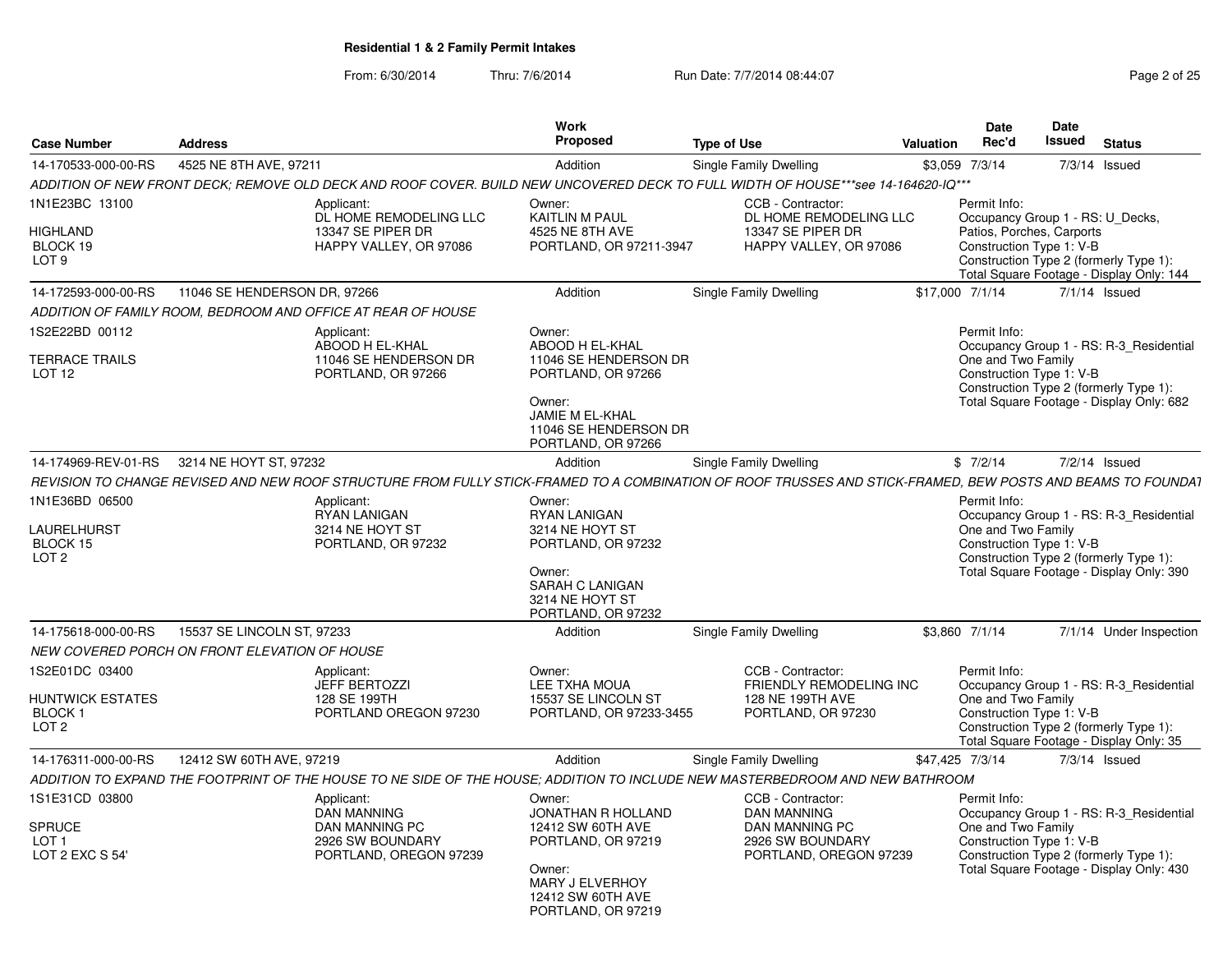From: 6/30/2014

Thru: 7/6/2014 Run Date: 7/7/2014 08:44:07 Rege 2 of 25

| <b>Case Number</b>                                    | <b>Address</b>                                |                                                                                                                                                             | Work<br><b>Proposed</b>                                                     | <b>Type of Use</b>                                                                                                                                                                                                                                                                                                                                                                                                                                                                                                          | <b>Valuation</b> | <b>Date</b><br>Rec'd                                                                     | Date<br>Issued | <b>Status</b>                                                                     |  |
|-------------------------------------------------------|-----------------------------------------------|-------------------------------------------------------------------------------------------------------------------------------------------------------------|-----------------------------------------------------------------------------|-----------------------------------------------------------------------------------------------------------------------------------------------------------------------------------------------------------------------------------------------------------------------------------------------------------------------------------------------------------------------------------------------------------------------------------------------------------------------------------------------------------------------------|------------------|------------------------------------------------------------------------------------------|----------------|-----------------------------------------------------------------------------------|--|
| 14-170533-000-00-RS                                   | 4525 NE 8TH AVE, 97211                        |                                                                                                                                                             | Addition                                                                    | <b>Single Family Dwelling</b>                                                                                                                                                                                                                                                                                                                                                                                                                                                                                               |                  | \$3,059 7/3/14                                                                           |                | 7/3/14 Issued                                                                     |  |
|                                                       |                                               | ADDITION OF NEW FRONT DECK; REMOVE OLD DECK AND ROOF COVER. BUILD NEW UNCOVERED DECK TO FULL WIDTH OF HOUSE***see 14-164620-IQ***                           |                                                                             |                                                                                                                                                                                                                                                                                                                                                                                                                                                                                                                             |                  |                                                                                          |                |                                                                                   |  |
| 1N1E23BC 13100                                        |                                               | Applicant:<br>DL HOME REMODELING LLC                                                                                                                        | Owner:<br><b>KAITLIN M PAUL</b>                                             | CCB - Contractor:                                                                                                                                                                                                                                                                                                                                                                                                                                                                                                           |                  | Permit Info:                                                                             |                |                                                                                   |  |
| <b>HIGHLAND</b><br>BLOCK 19<br>LOT <sub>9</sub>       |                                               | 13347 SE PIPER DR<br>HAPPY VALLEY, OR 97086                                                                                                                 | 4525 NE 8TH AVE<br>PORTLAND, OR 97211-3947                                  | Occupancy Group 1 - RS: U Decks,<br>DL HOME REMODELING LLC<br>13347 SE PIPER DR<br>Patios, Porches, Carports<br>Construction Type 1: V-B<br>HAPPY VALLEY, OR 97086<br>Construction Type 2 (formerly Type 1):<br>Total Square Footage - Display Only: 144<br>Single Family Dwelling<br>\$17,000 7/1/14<br>$7/1/14$ Issued<br>Permit Info:<br>Occupancy Group 1 - RS: R-3 Residential<br>One and Two Family<br>Construction Type 1: V-B<br>Construction Type 2 (formerly Type 1):<br>Total Square Footage - Display Only: 682 |                  |                                                                                          |                |                                                                                   |  |
| 14-172593-000-00-RS                                   | 11046 SE HENDERSON DR, 97266                  |                                                                                                                                                             | Addition                                                                    |                                                                                                                                                                                                                                                                                                                                                                                                                                                                                                                             |                  |                                                                                          |                |                                                                                   |  |
|                                                       |                                               | ADDITION OF FAMILY ROOM. BEDROOM AND OFFICE AT REAR OF HOUSE                                                                                                |                                                                             |                                                                                                                                                                                                                                                                                                                                                                                                                                                                                                                             |                  |                                                                                          |                |                                                                                   |  |
| 1S2E22BD 00112                                        |                                               | Applicant:<br>ABOOD H EL-KHAL                                                                                                                               | Owner:<br><b>ABOOD H EL-KHAL</b>                                            |                                                                                                                                                                                                                                                                                                                                                                                                                                                                                                                             |                  |                                                                                          |                |                                                                                   |  |
| <b>TERRACE TRAILS</b><br>LOT <sub>12</sub>            |                                               | 11046 SE HENDERSON DR<br>PORTLAND, OR 97266                                                                                                                 | 11046 SE HENDERSON DR<br>PORTLAND, OR 97266                                 |                                                                                                                                                                                                                                                                                                                                                                                                                                                                                                                             |                  |                                                                                          |                |                                                                                   |  |
|                                                       |                                               |                                                                                                                                                             | Owner:<br>JAMIE M EL-KHAL<br>11046 SE HENDERSON DR<br>PORTLAND, OR 97266    |                                                                                                                                                                                                                                                                                                                                                                                                                                                                                                                             |                  |                                                                                          |                |                                                                                   |  |
| 14-174969-REV-01-RS                                   | 3214 NE HOYT ST, 97232                        |                                                                                                                                                             | Addition                                                                    | Single Family Dwelling                                                                                                                                                                                                                                                                                                                                                                                                                                                                                                      |                  | \$7/2/14                                                                                 |                | $7/2/14$ Issued                                                                   |  |
|                                                       |                                               | REVISION TO CHANGE REVISED AND NEW ROOF STRUCTURE FROM FULLY STICK-FRAMED TO A COMBINATION OF ROOF TRUSSES AND STICK-FRAMED. BEW POSTS AND BEAMS TO FOUNDA1 |                                                                             |                                                                                                                                                                                                                                                                                                                                                                                                                                                                                                                             |                  |                                                                                          |                |                                                                                   |  |
| 1N1E36BD 06500                                        |                                               | Applicant:<br><b>RYAN LANIGAN</b>                                                                                                                           | Owner:<br><b>RYAN LANIGAN</b>                                               |                                                                                                                                                                                                                                                                                                                                                                                                                                                                                                                             |                  | Permit Info:                                                                             |                | Occupancy Group 1 - RS: R-3_Residential                                           |  |
| LAURELHURST<br>BLOCK 15                               |                                               | 3214 NE HOYT ST<br>PORTLAND, OR 97232                                                                                                                       | 3214 NE HOYT ST<br>PORTLAND, OR 97232                                       |                                                                                                                                                                                                                                                                                                                                                                                                                                                                                                                             |                  | One and Two Family<br>Construction Type 1: V-B                                           |                |                                                                                   |  |
| LOT <sub>2</sub>                                      |                                               |                                                                                                                                                             | Owner:<br>SARAH C LANIGAN<br>3214 NE HOYT ST<br>PORTLAND, OR 97232          |                                                                                                                                                                                                                                                                                                                                                                                                                                                                                                                             |                  | Construction Type 2 (formerly Type 1):<br>Total Square Footage - Display Only: 390       |                |                                                                                   |  |
| 14-175618-000-00-RS                                   | 15537 SE LINCOLN ST, 97233                    |                                                                                                                                                             | Addition                                                                    | <b>Single Family Dwelling</b>                                                                                                                                                                                                                                                                                                                                                                                                                                                                                               |                  | \$3,860 7/1/14                                                                           |                | 7/1/14 Under Inspection                                                           |  |
|                                                       | NEW COVERED PORCH ON FRONT ELEVATION OF HOUSE |                                                                                                                                                             |                                                                             |                                                                                                                                                                                                                                                                                                                                                                                                                                                                                                                             |                  |                                                                                          |                |                                                                                   |  |
| 1S2E01DC 03400                                        |                                               | Applicant:<br><b>JEFF BERTOZZI</b>                                                                                                                          | Owner:<br><b>LEE TXHA MOUA</b>                                              | CCB - Contractor:<br><b>FRIENDLY REMODELING INC</b>                                                                                                                                                                                                                                                                                                                                                                                                                                                                         |                  | Permit Info:                                                                             |                | Occupancy Group 1 - RS: R-3 Residential                                           |  |
| HUNTWICK ESTATES<br><b>BLOCK1</b><br>LOT <sub>2</sub> |                                               | 128 SE 199TH<br>PORTLAND OREGON 97230                                                                                                                       | 15537 SE LINCOLN ST<br>PORTLAND, OR 97233-3455                              | 128 NE 199TH AVE<br>PORTLAND, OR 97230                                                                                                                                                                                                                                                                                                                                                                                                                                                                                      |                  | One and Two Family<br>Construction Type 1: V-B                                           |                | Construction Type 2 (formerly Type 1):<br>Total Square Footage - Display Only: 35 |  |
| 14-176311-000-00-RS                                   | 12412 SW 60TH AVE, 97219                      |                                                                                                                                                             | Addition                                                                    | Single Family Dwelling                                                                                                                                                                                                                                                                                                                                                                                                                                                                                                      |                  | \$47,425 7/3/14                                                                          |                | $7/3/14$ Issued                                                                   |  |
|                                                       |                                               | ADDITION TO EXPAND THE FOOTPRINT OF THE HOUSE TO NE SIDE OF THE HOUSE: ADDITION TO INCLUDE NEW MASTERBEDROOM AND NEW BATHROOM                               |                                                                             |                                                                                                                                                                                                                                                                                                                                                                                                                                                                                                                             |                  |                                                                                          |                |                                                                                   |  |
| 1S1E31CD 03800                                        |                                               | Applicant:<br><b>DAN MANNING</b>                                                                                                                            | Owner:<br>JONATHAN R HOLLAND                                                | CCB - Contractor:<br><b>DAN MANNING</b>                                                                                                                                                                                                                                                                                                                                                                                                                                                                                     |                  | Permit Info:                                                                             |                | Occupancy Group 1 - RS: R-3 Residential                                           |  |
| <b>SPRUCE</b><br>LOT <sub>1</sub><br>LOT 2 EXC S 54'  |                                               | DAN MANNING PC<br>2926 SW BOUNDARY<br>PORTLAND, OREGON 97239                                                                                                | 12412 SW 60TH AVE<br>PORTLAND, OR 97219                                     | <b>DAN MANNING PC</b><br>2926 SW BOUNDARY<br>PORTLAND, OREGON 97239                                                                                                                                                                                                                                                                                                                                                                                                                                                         |                  | One and Two Family<br>Construction Type 1: V-B<br>Construction Type 2 (formerly Type 1): |                |                                                                                   |  |
|                                                       |                                               |                                                                                                                                                             | Owner:<br><b>MARY J ELVERHOY</b><br>12412 SW 60TH AVE<br>PORTLAND, OR 97219 |                                                                                                                                                                                                                                                                                                                                                                                                                                                                                                                             |                  |                                                                                          |                | Total Square Footage - Display Only: 430                                          |  |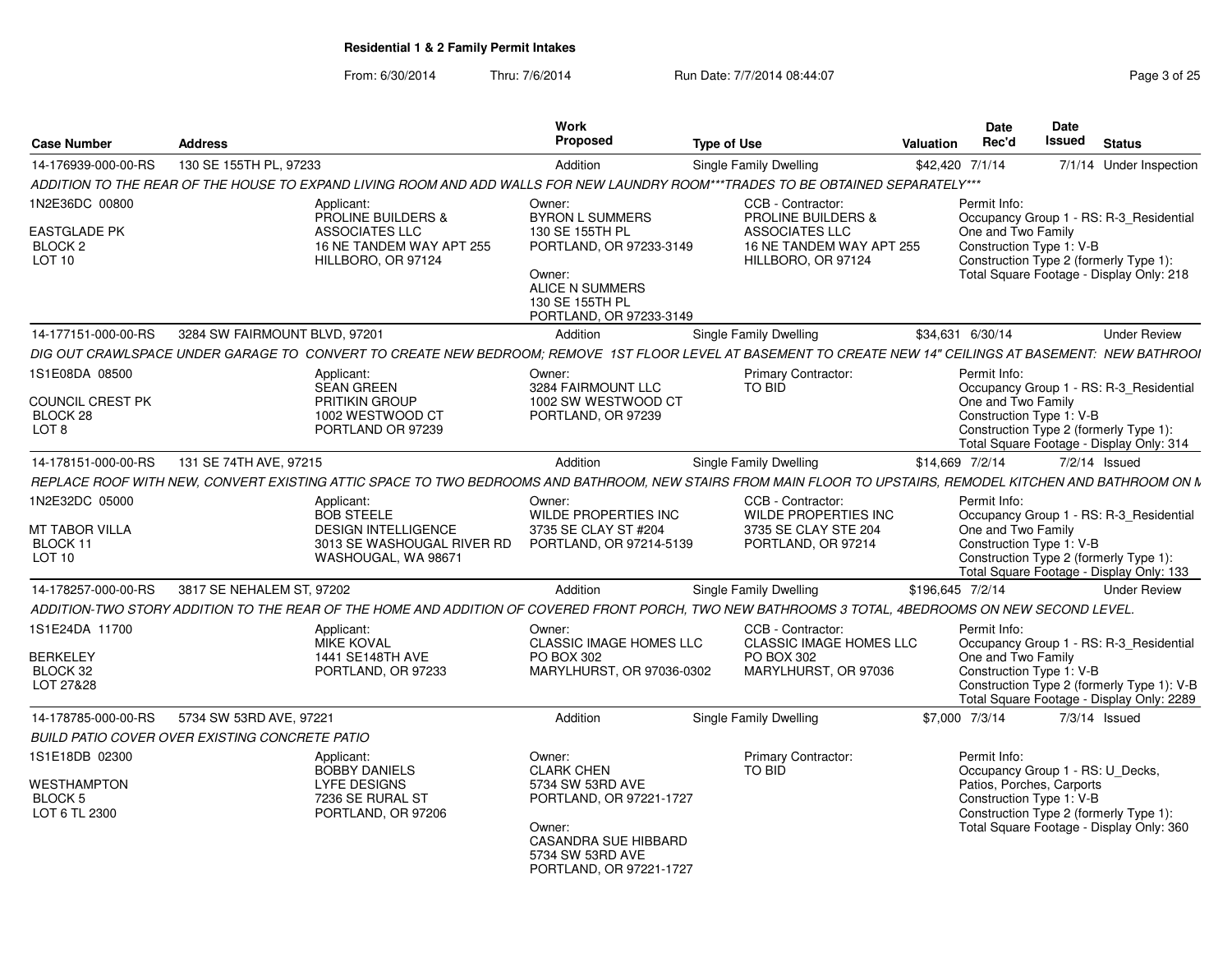From: 6/30/2014Thru: 7/6/2014 **Run Date: 7/7/2014 08:44:07** Page 3 of 25

| <b>Case Number</b>            | <b>Address</b>                                                                                                                                              | <b>Work</b><br>Proposed                             | Type of Use                                         | <b>Date</b><br>Rec'd<br>Valuation                     | Date<br>Issued<br><b>Status</b>                                                    |
|-------------------------------|-------------------------------------------------------------------------------------------------------------------------------------------------------------|-----------------------------------------------------|-----------------------------------------------------|-------------------------------------------------------|------------------------------------------------------------------------------------|
| 14-176939-000-00-RS           | 130 SE 155TH PL. 97233                                                                                                                                      | Addition                                            | Single Family Dwelling                              | \$42,420 7/1/14                                       | 7/1/14 Under Inspection                                                            |
|                               | ADDITION TO THE REAR OF THE HOUSE TO EXPAND LIVING ROOM AND ADD WALLS FOR NEW LAUNDRY ROOM***TRADES TO BE OBTAINED SEPARATELY***                            |                                                     |                                                     |                                                       |                                                                                    |
| 1N2E36DC 00800                | Applicant:                                                                                                                                                  | Owner:                                              | CCB - Contractor:                                   | Permit Info:                                          |                                                                                    |
|                               | <b>PROLINE BUILDERS &amp;</b>                                                                                                                               | <b>BYRON L SUMMERS</b>                              | <b>PROLINE BUILDERS &amp;</b>                       |                                                       | Occupancy Group 1 - RS: R-3_Residential                                            |
| <b>EASTGLADE PK</b>           | ASSOCIATES LLC                                                                                                                                              | 130 SE 155TH PL                                     | <b>ASSOCIATES LLC</b>                               | One and Two Family                                    |                                                                                    |
| BLOCK <sub>2</sub>            | 16 NE TANDEM WAY APT 255                                                                                                                                    | PORTLAND, OR 97233-3149                             | 16 NE TANDEM WAY APT 255                            | Construction Type 1: V-B                              |                                                                                    |
| <b>LOT 10</b>                 | HILLBORO, OR 97124                                                                                                                                          |                                                     | HILLBORO, OR 97124                                  |                                                       | Construction Type 2 (formerly Type 1)                                              |
|                               |                                                                                                                                                             | Owner:<br><b>ALICE N SUMMERS</b>                    |                                                     |                                                       | Total Square Footage - Display Only: 218                                           |
|                               |                                                                                                                                                             | 130 SE 155TH PL                                     |                                                     |                                                       |                                                                                    |
|                               |                                                                                                                                                             | PORTLAND, OR 97233-3149                             |                                                     |                                                       |                                                                                    |
|                               | 14-177151-000-00-RS 3284 SW FAIRMOUNT BLVD, 97201                                                                                                           | Addition                                            | Single Family Dwelling                              | \$34.631 6/30/14                                      | <b>Under Review</b>                                                                |
|                               | DIG OUT CRAWLSPACE UNDER GARAGE TO CONVERT TO CREATE NEW BEDROOM; REMOVE 1ST FLOOR LEVEL AT BASEMENT TO CREATE NEW 14" CEILINGS AT BASEMENT. NEW BATHROOI   |                                                     |                                                     |                                                       |                                                                                    |
| 1S1E08DA 08500                | Applicant:                                                                                                                                                  | Owner:                                              | <b>Primary Contractor:</b>                          | Permit Info:                                          |                                                                                    |
|                               | SEAN GREEN                                                                                                                                                  | 3284 FAIRMOUNT LLC                                  | TO BID                                              |                                                       | Occupancy Group 1 - RS: R-3_Residential                                            |
| COUNCIL CREST PK              | <b>PRITIKIN GROUP</b>                                                                                                                                       | 1002 SW WESTWOOD CT                                 |                                                     | One and Two Family                                    |                                                                                    |
| BLOCK 28                      | 1002 WESTWOOD CT                                                                                                                                            | PORTLAND, OR 97239                                  |                                                     | Construction Type 1: V-B                              |                                                                                    |
| LOT 8                         | PORTLAND OR 97239                                                                                                                                           |                                                     |                                                     |                                                       | Construction Type 2 (formerly Type 1):<br>Total Square Footage - Display Only: 314 |
|                               | 14-178151-000-00-RS 131 SE 74TH AVE, 97215                                                                                                                  | Addition                                            |                                                     | \$14,669 7/2/14                                       |                                                                                    |
|                               |                                                                                                                                                             |                                                     | <b>Single Family Dwelling</b>                       |                                                       | 7/2/14 Issued                                                                      |
|                               | REPLACE ROOF WITH NEW, CONVERT EXISTING ATTIC SPACE TO TWO BEDROOMS AND BATHROOM, NEW STAIRS FROM MAIN FLOOR TO UPSTAIRS. REMODEL KITCHEN AND BATHROOM ON N |                                                     |                                                     |                                                       |                                                                                    |
| 1N2E32DC 05000                | Applicant:                                                                                                                                                  | Owner:                                              | CCB - Contractor:                                   | Permit Info:                                          |                                                                                    |
| MT TABOR VILLA                | <b>BOB STEELE</b><br><b>DESIGN INTELLIGENCE</b>                                                                                                             | <b>WILDE PROPERTIES INC</b><br>3735 SE CLAY ST #204 | <b>WILDE PROPERTIES INC</b><br>3735 SE CLAY STE 204 | One and Two Family                                    | Occupancy Group 1 - RS: R-3 Residential                                            |
| BLOCK 1                       |                                                                                                                                                             | 3013 SE WASHOUGAL RIVER RD PORTLAND, OR 97214-5139  | PORTLAND, OR 97214                                  | Construction Type 1: V-B                              |                                                                                    |
| <b>LOT 10</b>                 | WASHOUGAL, WA 98671                                                                                                                                         |                                                     |                                                     |                                                       | Construction Type 2 (formerly Type 1)                                              |
|                               |                                                                                                                                                             |                                                     |                                                     |                                                       | Total Square Footage - Display Only: 133                                           |
|                               | 14-178257-000-00-RS 3817 SE NEHALEM ST, 97202                                                                                                               | Addition                                            | Single Family Dwelling                              | \$196,645 7/2/14                                      | <b>Under Review</b>                                                                |
|                               | ADDITION-TWO STORY ADDITION TO THE REAR OF THE HOME AND ADDITION OF COVERED FRONT PORCH, TWO NEW BATHROOMS 3 TOTAL, 4BEDROOMS ON NEW SECOND LEVEL           |                                                     |                                                     |                                                       |                                                                                    |
| 1S1E24DA 11700                | Applicant:                                                                                                                                                  | Owner:                                              | CCB - Contractor:                                   | Permit Info:                                          |                                                                                    |
|                               | <b>MIKE KOVAL</b>                                                                                                                                           | CLASSIC IMAGE HOMES LLC                             | CLASSIC IMAGE HOMES LLC                             |                                                       | Occupancy Group 1 - RS: R-3_Residential                                            |
| BERKELEY                      | 1441 SE148TH AVE                                                                                                                                            | PO BOX 302                                          | PO BOX 302                                          | One and Two Family                                    |                                                                                    |
| BLOCK 32                      | PORTLAND, OR 97233                                                                                                                                          | MARYLHURST, OR 97036-0302                           | MARYLHURST, OR 97036                                | Construction Type 1: V-B                              |                                                                                    |
| LOT 27&28                     |                                                                                                                                                             |                                                     |                                                     |                                                       | Construction Type 2 (formerly Type 1): V-B                                         |
|                               |                                                                                                                                                             |                                                     |                                                     |                                                       | Total Square Footage - Display Only: 2289                                          |
|                               | 14-178785-000-00-RS   5734 SW 53RD AVE. 97221                                                                                                               | Addition                                            | Single Family Dwelling                              | \$7,000 7/3/14                                        | $7/3/14$ Issued                                                                    |
|                               | BUILD PATIO COVER OVER EXISTING CONCRETE PATIO                                                                                                              |                                                     |                                                     |                                                       |                                                                                    |
| 1S1E18DB 02300                | Applicant:                                                                                                                                                  | Owner:                                              | <b>Primary Contractor:</b>                          | Permit Info:                                          |                                                                                    |
|                               | <b>BOBBY DANIELS</b>                                                                                                                                        | <b>CLARK CHEN</b>                                   | TO BID                                              |                                                       | Occupancy Group 1 - RS: U_Decks,                                                   |
| <b>WESTHAMPTON</b><br>BLOCK 5 | <b>LYFE DESIGNS</b><br>7236 SE RURAL ST                                                                                                                     | 5734 SW 53RD AVE<br>PORTLAND, OR 97221-1727         |                                                     | Patios, Porches, Carports<br>Construction Type 1: V-B |                                                                                    |
| LOT 6 TL 2300                 | PORTLAND, OR 97206                                                                                                                                          |                                                     |                                                     |                                                       | Construction Type 2 (formerly Type 1):                                             |
|                               |                                                                                                                                                             | Owner:                                              |                                                     |                                                       | Total Square Footage - Display Only: 360                                           |
|                               |                                                                                                                                                             | CASANDRA SUE HIBBARD                                |                                                     |                                                       |                                                                                    |
|                               |                                                                                                                                                             | 5734 SW 53RD AVE                                    |                                                     |                                                       |                                                                                    |
|                               |                                                                                                                                                             | PORTLAND, OR 97221-1727                             |                                                     |                                                       |                                                                                    |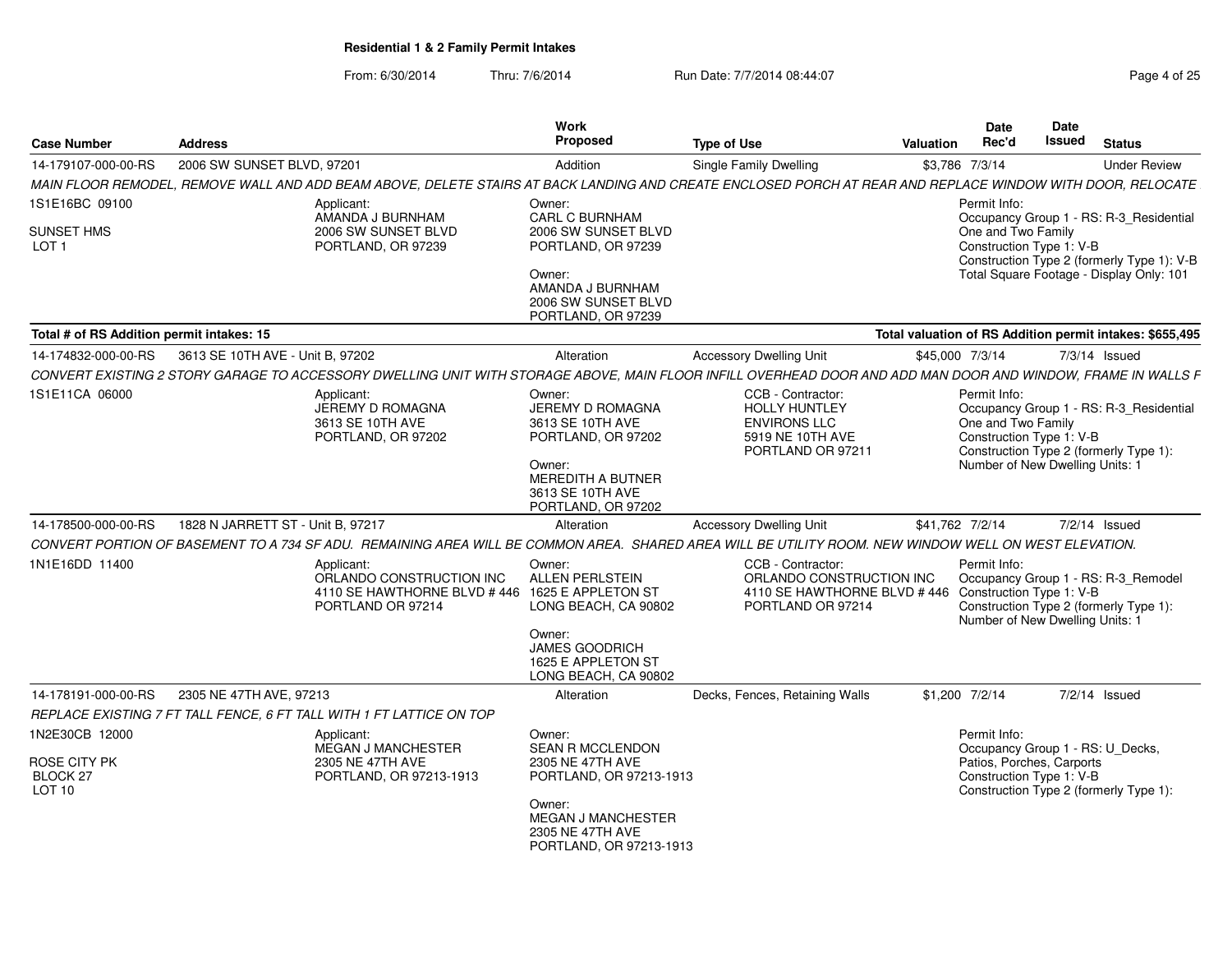From: 6/30/2014Thru: 7/6/2014 **Run Date: 7/7/2014 08:44:07** Page 4 of 25

| <b>Case Number</b>                        | <b>Address</b>                    |                                                                                                                                                              | Work<br>Proposed                                                                                                                              | <b>Type of Use</b>                                                                                                         | <b>Valuation</b>                                         | Date<br>Rec'd                                                                                     | Date<br><b>Issued</b> | <b>Status</b>                                                                                                                     |
|-------------------------------------------|-----------------------------------|--------------------------------------------------------------------------------------------------------------------------------------------------------------|-----------------------------------------------------------------------------------------------------------------------------------------------|----------------------------------------------------------------------------------------------------------------------------|----------------------------------------------------------|---------------------------------------------------------------------------------------------------|-----------------------|-----------------------------------------------------------------------------------------------------------------------------------|
| 14-179107-000-00-RS                       | 2006 SW SUNSET BLVD, 97201        |                                                                                                                                                              | Addition                                                                                                                                      | Single Family Dwelling                                                                                                     | \$3,786 7/3/14                                           |                                                                                                   |                       | <b>Under Review</b>                                                                                                               |
|                                           |                                   | MAIN FLOOR REMODEL, REMOVE WALL AND ADD BEAM ABOVE, DELETE STAIRS AT BACK LANDING AND CREATE ENCLOSED PORCH AT REAR AND REPLACE WINDOW WITH DOOR, RELOCATE   |                                                                                                                                               |                                                                                                                            |                                                          |                                                                                                   |                       |                                                                                                                                   |
| 1S1E16BC 09100                            |                                   | Applicant:                                                                                                                                                   | Owner:                                                                                                                                        |                                                                                                                            |                                                          | Permit Info:                                                                                      |                       |                                                                                                                                   |
| <b>SUNSET HMS</b><br>LOT <sub>1</sub>     |                                   | AMANDA J BURNHAM<br>2006 SW SUNSET BLVD<br>PORTLAND, OR 97239                                                                                                | <b>CARL C BURNHAM</b><br>2006 SW SUNSET BLVD<br>PORTLAND, OR 97239<br>Owner:<br>AMANDA J BURNHAM<br>2006 SW SUNSET BLVD<br>PORTLAND, OR 97239 |                                                                                                                            |                                                          | One and Two Family<br>Construction Type 1: V-B                                                    |                       | Occupancy Group 1 - RS: R-3_Residential<br>Construction Type 2 (formerly Type 1): V-B<br>Total Square Footage - Display Only: 101 |
| Total # of RS Addition permit intakes: 15 |                                   |                                                                                                                                                              |                                                                                                                                               |                                                                                                                            | Total valuation of RS Addition permit intakes: \$655,495 |                                                                                                   |                       |                                                                                                                                   |
| 14-174832-000-00-RS                       | 3613 SE 10TH AVE - Unit B, 97202  |                                                                                                                                                              | Alteration                                                                                                                                    | <b>Accessory Dwelling Unit</b>                                                                                             | \$45,000 7/3/14                                          |                                                                                                   |                       | 7/3/14 Issued                                                                                                                     |
|                                           |                                   | CONVERT EXISTING 2 STORY GARAGE TO ACCESSORY DWELLING UNIT WITH STORAGE ABOVE, MAIN FLOOR INFILL OVERHEAD DOOR AND ADD MAN DOOR AND WINDOW, FRAME IN WALLS F |                                                                                                                                               |                                                                                                                            |                                                          |                                                                                                   |                       |                                                                                                                                   |
| 1S1E11CA 06000                            |                                   | Applicant:<br>JEREMY D ROMAGNA<br>3613 SE 10TH AVE<br>PORTLAND, OR 97202                                                                                     | Owner:<br>JEREMY D ROMAGNA<br>3613 SE 10TH AVE<br>PORTLAND, OR 97202<br>Owner:                                                                | CCB - Contractor:<br><b>HOLLY HUNTLEY</b><br><b>ENVIRONS LLC</b><br>5919 NE 10TH AVE<br>PORTLAND OR 97211                  |                                                          | Permit Info:<br>One and Two Family<br>Construction Type 1: V-B<br>Number of New Dwelling Units: 1 |                       | Occupancy Group 1 - RS: R-3 Residential<br>Construction Type 2 (formerly Type 1):                                                 |
|                                           |                                   |                                                                                                                                                              | MEREDITH A BUTNER<br>3613 SE 10TH AVE<br>PORTLAND, OR 97202                                                                                   |                                                                                                                            |                                                          |                                                                                                   |                       |                                                                                                                                   |
| 14-178500-000-00-RS                       | 1828 N JARRETT ST - Unit B. 97217 |                                                                                                                                                              | Alteration                                                                                                                                    | <b>Accessory Dwelling Unit</b>                                                                                             | \$41.762 7/2/14                                          |                                                                                                   |                       | $7/2/14$ Issued                                                                                                                   |
|                                           |                                   | CONVERT PORTION OF BASEMENT TO A 734 SF ADU. REMAINING AREA WILL BE COMMON AREA. SHARED AREA WILL BE UTILITY ROOM. NEW WINDOW WELL ON WEST ELEVATION.        |                                                                                                                                               |                                                                                                                            |                                                          |                                                                                                   |                       |                                                                                                                                   |
| 1N1E16DD 11400                            |                                   | Applicant:<br>ORLANDO CONSTRUCTION INC<br>4110 SE HAWTHORNE BLVD #446 1625 E APPLETON ST<br>PORTLAND OR 97214                                                | Owner:<br><b>ALLEN PERLSTEIN</b><br>LONG BEACH, CA 90802                                                                                      | CCB - Contractor:<br>ORLANDO CONSTRUCTION INC<br>4110 SE HAWTHORNE BLVD #446 Construction Type 1: V-B<br>PORTLAND OR 97214 |                                                          | Permit Info:<br>Number of New Dwelling Units: 1                                                   |                       | Occupancy Group 1 - RS: R-3_Remodel<br>Construction Type 2 (formerly Type 1):                                                     |
|                                           |                                   |                                                                                                                                                              | Owner:<br><b>JAMES GOODRICH</b><br>1625 E APPLETON ST<br>LONG BEACH, CA 90802                                                                 |                                                                                                                            |                                                          |                                                                                                   |                       |                                                                                                                                   |
| 14-178191-000-00-RS                       | 2305 NE 47TH AVE, 97213           |                                                                                                                                                              | Alteration                                                                                                                                    | Decks, Fences, Retaining Walls                                                                                             | \$1,200 7/2/14                                           |                                                                                                   |                       | 7/2/14 Issued                                                                                                                     |
|                                           |                                   | REPLACE EXISTING 7 FT TALL FENCE, 6 FT TALL WITH 1 FT LATTICE ON TOP                                                                                         |                                                                                                                                               |                                                                                                                            |                                                          |                                                                                                   |                       |                                                                                                                                   |
| 1N2E30CB 12000                            |                                   | Applicant:<br>MEGAN J MANCHESTER                                                                                                                             | Owner:<br><b>SEAN R MCCLENDON</b>                                                                                                             |                                                                                                                            |                                                          | Permit Info:<br>Occupancy Group 1 - RS: U_Decks,                                                  |                       |                                                                                                                                   |
| ROSE CITY PK<br>BLOCK 27<br><b>LOT 10</b> |                                   | 2305 NE 47TH AVE<br>PORTLAND, OR 97213-1913                                                                                                                  | 2305 NE 47TH AVE<br>PORTLAND, OR 97213-1913                                                                                                   |                                                                                                                            |                                                          | Patios, Porches, Carports<br>Construction Type 1: V-B                                             |                       | Construction Type 2 (formerly Type 1):                                                                                            |
|                                           |                                   |                                                                                                                                                              | Owner:<br>MEGAN J MANCHESTER<br>2305 NE 47TH AVE<br>PORTLAND, OR 97213-1913                                                                   |                                                                                                                            |                                                          |                                                                                                   |                       |                                                                                                                                   |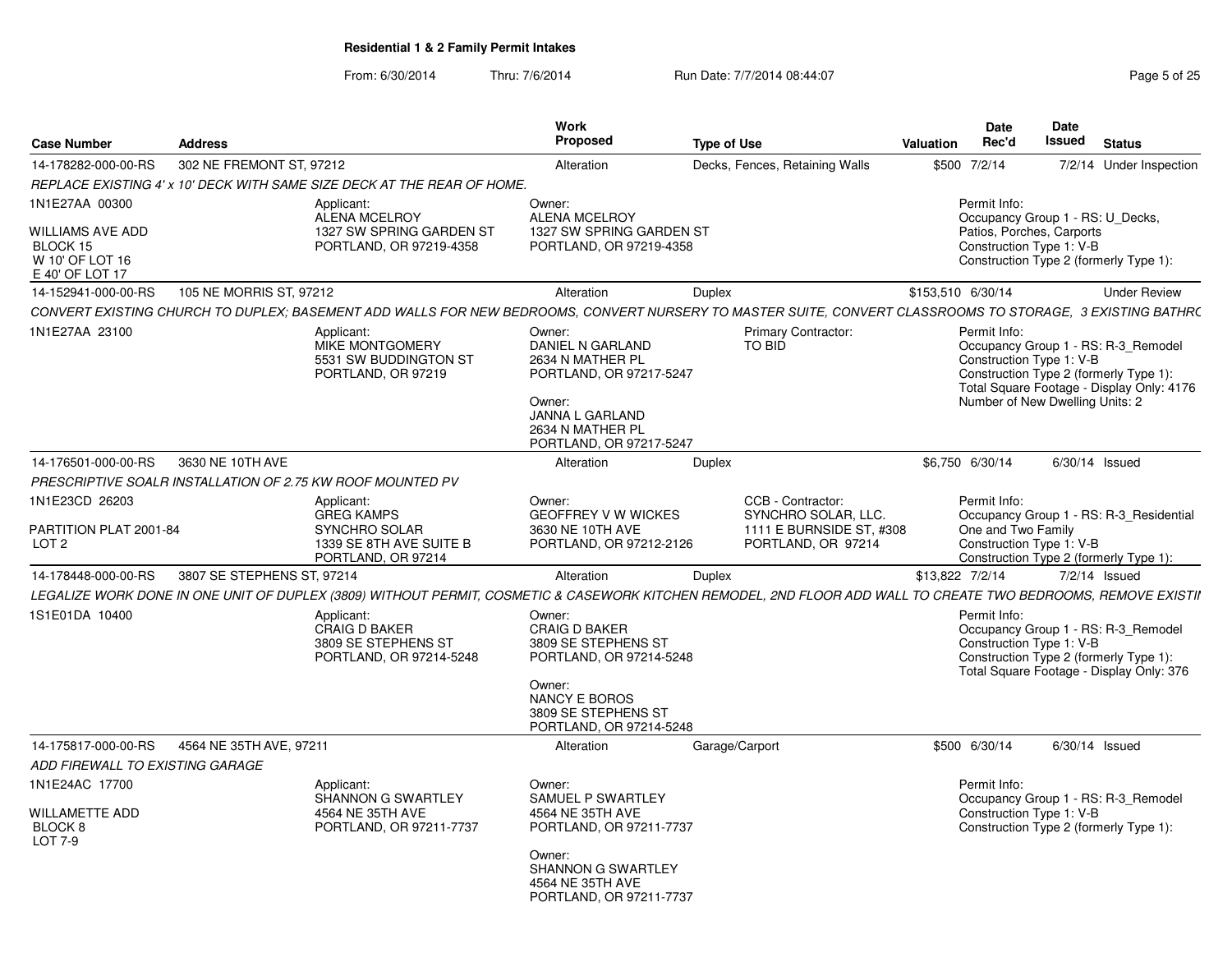From: 6/30/2014Thru: 7/6/2014 **Run Date: 7/7/2014 08:44:07 Page 5 of 25 Page 5 of 25** 

| <b>Case Number</b>                                            | <b>Address</b>          |                                                                                                                                                                | Work<br>Proposed                                                                                                                                              | <b>Type of Use</b>                                                    | Date<br>Rec'd<br>Valuation | Date<br>Issued<br><b>Status</b>                                                                                                                                                           |
|---------------------------------------------------------------|-------------------------|----------------------------------------------------------------------------------------------------------------------------------------------------------------|---------------------------------------------------------------------------------------------------------------------------------------------------------------|-----------------------------------------------------------------------|----------------------------|-------------------------------------------------------------------------------------------------------------------------------------------------------------------------------------------|
| 14-178282-000-00-RS 302 NE FREMONT ST, 97212                  |                         |                                                                                                                                                                | Alteration                                                                                                                                                    | Decks, Fences, Retaining Walls                                        | \$500 7/2/14               | 7/2/14 Under Inspection                                                                                                                                                                   |
|                                                               |                         | REPLACE EXISTING 4' x 10' DECK WITH SAME SIZE DECK AT THE REAR OF HOME.                                                                                        |                                                                                                                                                               |                                                                       |                            |                                                                                                                                                                                           |
| 1N1E27AA 00300                                                |                         | Applicant:                                                                                                                                                     | Owner:                                                                                                                                                        |                                                                       | Permit Info:               |                                                                                                                                                                                           |
|                                                               |                         | ALENA MCELROY                                                                                                                                                  | <b>ALENA MCELROY</b>                                                                                                                                          |                                                                       |                            | Occupancy Group 1 - RS: U_Decks,                                                                                                                                                          |
| <b>WILLIAMS AVE ADD</b><br>BLOCK 15<br>W 10' OF LOT 16        |                         | 1327 SW SPRING GARDEN ST<br>PORTLAND, OR 97219-4358                                                                                                            | 1327 SW SPRING GARDEN ST<br>PORTLAND, OR 97219-4358                                                                                                           |                                                                       |                            | Patios, Porches, Carports<br>Construction Type 1: V-B<br>Construction Type 2 (formerly Type 1):                                                                                           |
| E 40' OF LOT 17                                               |                         |                                                                                                                                                                |                                                                                                                                                               |                                                                       |                            |                                                                                                                                                                                           |
| 14-152941-000-00-RS                                           | 105 NE MORRIS ST, 97212 |                                                                                                                                                                | Alteration                                                                                                                                                    | Duplex                                                                | \$153,510 6/30/14          | Under Review                                                                                                                                                                              |
|                                                               |                         | CONVERT EXISTING CHURCH TO DUPLEX; BASEMENT ADD WALLS FOR NEW BEDROOMS, CONVERT NURSERY TO MASTER SUITE, CONVERT CLASSROOMS TO STORAGE, 3 EXISTING BATHRO      |                                                                                                                                                               |                                                                       |                            |                                                                                                                                                                                           |
| 1N1E27AA 23100                                                |                         | Applicant:<br>MIKE MONTGOMERY<br>5531 SW BUDDINGTON ST<br>PORTLAND, OR 97219                                                                                   | Owner:<br>DANIEL N GARLAND<br>2634 N MATHER PL<br>PORTLAND, OR 97217-5247<br>Owner:<br>JANNA L GARLAND<br>2634 N MATHER PI<br>PORTLAND, OR 97217-5247         | <b>Primary Contractor:</b><br>TO BID                                  | Permit Info:               | Occupancy Group 1 - RS: R-3_Remodel<br>Construction Type 1: V-B<br>Construction Type 2 (formerly Type 1):<br>Total Square Footage - Display Only: 4176<br>Number of New Dwelling Units: 2 |
| 14-176501-000-00-RS 3630 NE 10TH AVE                          |                         |                                                                                                                                                                | Alteration                                                                                                                                                    | Duplex                                                                | \$6,750 6/30/14            | 6/30/14 Issued                                                                                                                                                                            |
|                                                               |                         | PRESCRIPTIVE SOALR INSTALLATION OF 2.75 KW ROOF MOUNTED PV                                                                                                     |                                                                                                                                                               |                                                                       |                            |                                                                                                                                                                                           |
| 1N1E23CD 26203                                                |                         | Applicant:                                                                                                                                                     | Owner:                                                                                                                                                        | CCB - Contractor:                                                     | Permit Info:               |                                                                                                                                                                                           |
| PARTITION PLAT 2001-84<br>LOT <sub>2</sub>                    |                         | GREG KAMPS<br>SYNCHRO SOLAR<br>1339 SE 8TH AVE SUITE B<br>PORTLAND, OR 97214                                                                                   | <b>GEOFFREY V W WICKES</b><br>3630 NE 10TH AVE<br>PORTLAND, OR 97212-2126                                                                                     | SYNCHRO SOLAR, LLC.<br>1111 E BURNSIDE ST, #308<br>PORTLAND, OR 97214 | One and Two Family         | Occupancy Group 1 - RS: R-3_Residential<br>Construction Type 1: V-B<br>Construction Type 2 (formerly Type 1):                                                                             |
| 14-178448-000-00-RS 3807 SE STEPHENS ST, 97214                |                         |                                                                                                                                                                | Alteration                                                                                                                                                    | Duplex                                                                | \$13,822 7/2/14            | $7/2/14$ Issued                                                                                                                                                                           |
|                                                               |                         | LEGALIZE WORK DONE IN ONE UNIT OF DUPLEX (3809) WITHOUT PERMIT, COSMETIC & CASEWORK KITCHEN REMODEL, 2ND FLOOR ADD WALL TO CREATE TWO BEDROOMS, REMOVE EXISTII |                                                                                                                                                               |                                                                       |                            |                                                                                                                                                                                           |
| 1S1E01DA 10400                                                |                         | Applicant:<br>CRAIG D BAKER<br>3809 SE STEPHENS ST<br>PORTLAND, OR 97214-5248                                                                                  | Owner:<br><b>CRAIG D BAKER</b><br>3809 SE STEPHENS ST<br>PORTLAND, OR 97214-5248<br>Owner:<br>NANCY E BOROS<br>3809 SE STEPHENS ST<br>PORTLAND, OR 97214-5248 |                                                                       | <b>Permit Info:</b>        | Occupancy Group 1 - RS: R-3_Remodel<br>Construction Type 1: V-B<br>Construction Type 2 (formerly Type 1):<br>Total Square Footage - Display Only: 376                                     |
| 14-175817-000-00-RS 4564 NE 35TH AVE, 97211                   |                         |                                                                                                                                                                | Alteration                                                                                                                                                    | Garage/Carport                                                        | \$500 6/30/14              | 6/30/14 Issued                                                                                                                                                                            |
| ADD FIREWALL TO EXISTING GARAGE                               |                         |                                                                                                                                                                |                                                                                                                                                               |                                                                       |                            |                                                                                                                                                                                           |
| 1N1E24AC 17700<br>WILLAMETTE ADD<br>BLOCK 8<br><b>LOT 7-9</b> |                         | Applicant:<br>SHANNON G SWARTLEY<br>4564 NE 35TH AVE<br>PORTLAND, OR 97211-7737                                                                                | Owner:<br>SAMUEL P SWARTLEY<br>4564 NE 35TH AVE<br>PORTLAND, OR 97211-7737                                                                                    |                                                                       | Permit Info:               | Occupancy Group 1 - RS: R-3_Remodel<br>Construction Type 1: V-B<br>Construction Type 2 (formerly Type 1):                                                                                 |
|                                                               |                         |                                                                                                                                                                | Owner:<br>SHANNON G SWARTLEY<br>4564 NE 35TH AVE<br>PORTLAND, OR 97211-7737                                                                                   |                                                                       |                            |                                                                                                                                                                                           |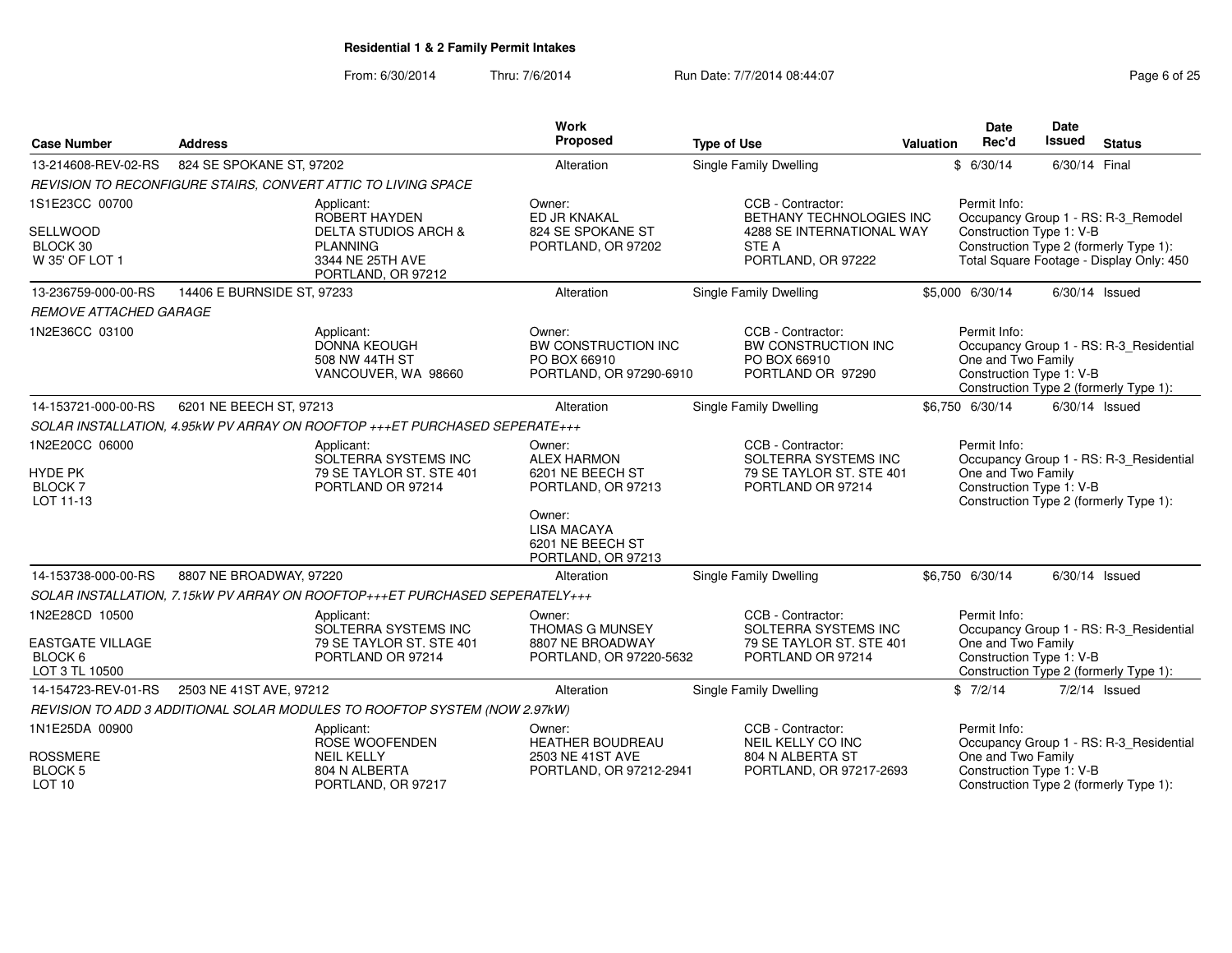From: 6/30/2014

Thru: 7/6/2014 **Run Date: 7/7/2014 08:44:07** Page 6 of 25

|                                                      |                            |                                                                                     | Work                                                                                                   |                                                                                            |                  | <b>Date</b>                                                    | <b>Date</b>   |                                                                                    |
|------------------------------------------------------|----------------------------|-------------------------------------------------------------------------------------|--------------------------------------------------------------------------------------------------------|--------------------------------------------------------------------------------------------|------------------|----------------------------------------------------------------|---------------|------------------------------------------------------------------------------------|
| <b>Case Number</b>                                   | <b>Address</b>             |                                                                                     | Proposed                                                                                               | <b>Type of Use</b>                                                                         | <b>Valuation</b> | Rec'd                                                          | <b>Issued</b> | <b>Status</b>                                                                      |
| 13-214608-REV-02-RS                                  | 824 SE SPOKANE ST, 97202   |                                                                                     | Alteration                                                                                             | Single Family Dwelling                                                                     |                  | \$6/30/14                                                      | 6/30/14 Final |                                                                                    |
|                                                      |                            | REVISION TO RECONFIGURE STAIRS, CONVERT ATTIC TO LIVING SPACE                       |                                                                                                        |                                                                                            |                  |                                                                |               |                                                                                    |
| 1S1E23CC 00700                                       |                            | Applicant:<br>ROBERT HAYDEN                                                         | Owner:<br>ED JR KNAKAL                                                                                 | CCB - Contractor:<br>BETHANY TECHNOLOGIES INC                                              |                  | Permit Info:                                                   |               | Occupancy Group 1 - RS: R-3_Remodel                                                |
| SELLWOOD<br>BLOCK 30<br>W 35' OF LOT 1               |                            | DELTA STUDIOS ARCH &<br><b>PLANNING</b><br>3344 NE 25TH AVE<br>PORTLAND, OR 97212   | 824 SE SPOKANE ST<br>PORTLAND, OR 97202                                                                | 4288 SE INTERNATIONAL WAY<br>STE A<br>PORTLAND, OR 97222                                   |                  | Construction Type 1: V-B                                       |               | Construction Type 2 (formerly Type 1):<br>Total Square Footage - Display Only: 450 |
| 13-236759-000-00-RS                                  | 14406 E BURNSIDE ST, 97233 |                                                                                     | Alteration                                                                                             | Single Family Dwelling                                                                     |                  | \$5,000 6/30/14                                                |               | $6/30/14$ Issued                                                                   |
| <b>REMOVE ATTACHED GARAGE</b>                        |                            |                                                                                     |                                                                                                        |                                                                                            |                  |                                                                |               |                                                                                    |
| 1N2E36CC 03100                                       |                            | Applicant:<br><b>DONNA KEOUGH</b><br>508 NW 44TH ST<br>VANCOUVER, WA 98660          | Owner:<br>BW CONSTRUCTION INC<br>PO BOX 66910<br>PORTLAND, OR 97290-6910                               | CCB - Contractor:<br>BW CONSTRUCTION INC<br>PO BOX 66910<br>PORTLAND OR 97290              |                  | Permit Info:<br>One and Two Family<br>Construction Type 1: V-B |               | Occupancy Group 1 - RS: R-3_Residential<br>Construction Type 2 (formerly Type 1):  |
| 14-153721-000-00-RS                                  | 6201 NE BEECH ST, 97213    |                                                                                     | Alteration                                                                                             | <b>Single Family Dwelling</b>                                                              |                  | \$6,750 6/30/14                                                |               | $6/30/14$ Issued                                                                   |
|                                                      |                            | SOLAR INSTALLATION, 4.95kW PV ARRAY ON ROOFTOP +++ET PURCHASED SEPERATE+++          |                                                                                                        |                                                                                            |                  |                                                                |               |                                                                                    |
| 1N2E20CC 06000<br>HYDE PK<br>BLOCK 7<br>LOT 11-13    |                            | Applicant:<br>SOLTERRA SYSTEMS INC<br>79 SE TAYLOR ST. STE 401<br>PORTLAND OR 97214 | Owner:<br><b>ALEX HARMON</b><br>6201 NE BEECH ST<br>PORTLAND, OR 97213<br>Owner:<br><b>LISA MACAYA</b> | CCB - Contractor:<br>SOLTERRA SYSTEMS INC<br>79 SE TAYLOR ST. STE 401<br>PORTLAND OR 97214 |                  | Permit Info:<br>One and Two Family<br>Construction Type 1: V-B |               | Occupancy Group 1 - RS: R-3_Residential<br>Construction Type 2 (formerly Type 1):  |
|                                                      |                            |                                                                                     | 6201 NE BEECH ST<br>PORTLAND, OR 97213                                                                 |                                                                                            |                  |                                                                |               |                                                                                    |
| 14-153738-000-00-RS                                  | 8807 NE BROADWAY, 97220    |                                                                                     | Alteration                                                                                             | <b>Single Family Dwelling</b>                                                              |                  | \$6,750 6/30/14                                                |               | $6/30/14$ Issued                                                                   |
|                                                      |                            | SOLAR INSTALLATION, 7.15kW PV ARRAY ON ROOFTOP+++ET PURCHASED SEPERATELY+++         |                                                                                                        |                                                                                            |                  |                                                                |               |                                                                                    |
| 1N2E28CD 10500                                       |                            | Applicant:<br>SOLTERRA SYSTEMS INC                                                  | Owner:<br><b>THOMAS G MUNSEY</b>                                                                       | CCB - Contractor:<br>SOLTERRA SYSTEMS INC                                                  |                  | Permit Info:                                                   |               | Occupancy Group 1 - RS: R-3 Residential                                            |
| <b>EASTGATE VILLAGE</b><br>BLOCK 6<br>LOT 3 TL 10500 |                            | 79 SE TAYLOR ST. STE 401<br>PORTLAND OR 97214                                       | 8807 NE BROADWAY<br>PORTLAND, OR 97220-5632                                                            | 79 SE TAYLOR ST. STE 401<br>PORTLAND OR 97214                                              |                  | One and Two Family<br>Construction Type 1: V-B                 |               | Construction Type 2 (formerly Type 1):                                             |
| 14-154723-REV-01-RS                                  | 2503 NE 41ST AVE, 97212    |                                                                                     | Alteration                                                                                             | Single Family Dwelling                                                                     |                  | \$7/2/14                                                       |               | $7/2/14$ Issued                                                                    |
|                                                      |                            | REVISION TO ADD 3 ADDITIONAL SOLAR MODULES TO ROOFTOP SYSTEM (NOW 2.97kW)           |                                                                                                        |                                                                                            |                  |                                                                |               |                                                                                    |
| 1N1E25DA 00900                                       |                            | Applicant:<br>ROSE WOOFENDEN                                                        | Owner:<br>HEATHER BOUDREAU                                                                             | CCB - Contractor:<br>NEIL KELLY CO INC                                                     |                  | Permit Info:                                                   |               | Occupancy Group 1 - RS: R-3_Residential                                            |
| <b>ROSSMERE</b>                                      |                            | <b>NEIL KELLY</b>                                                                   | 2503 NE 41ST AVE                                                                                       | 804 N ALBERTA ST                                                                           |                  | One and Two Family                                             |               |                                                                                    |
| <b>BLOCK 5</b><br>LOT <sub>10</sub>                  |                            | 804 N ALBERTA<br>PORTLAND, OR 97217                                                 | PORTLAND, OR 97212-2941                                                                                | PORTLAND, OR 97217-2693                                                                    |                  | Construction Type 1: V-B                                       |               | Construction Type 2 (formerly Type 1):                                             |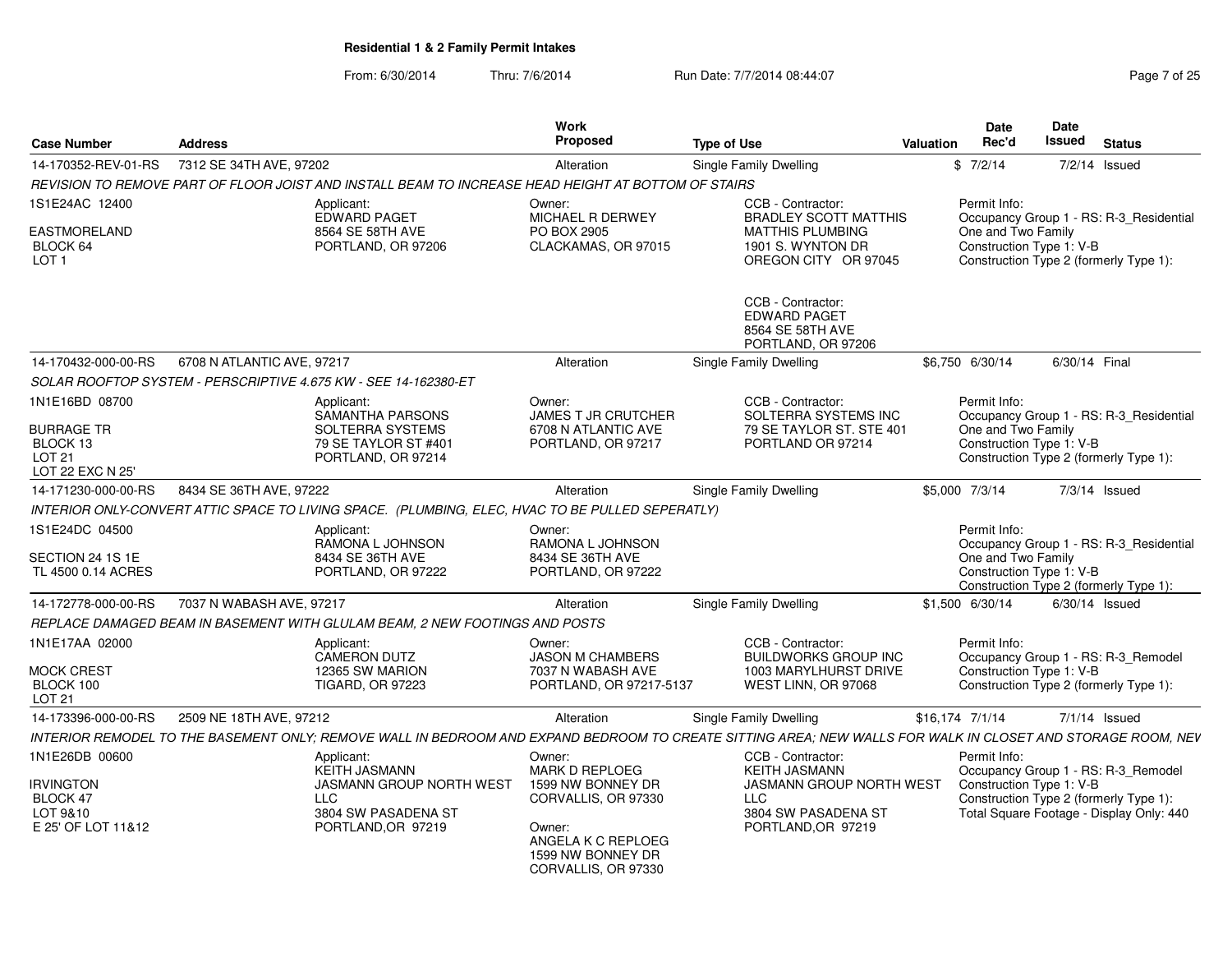From: 6/30/2014Thru: 7/6/2014 **Run Date: 7/7/2014 08:44:07** Page 7 of 25

| <b>Case Number</b>                                          | <b>Address</b>             |                                                                                                                                                             | Work<br><b>Proposed</b>                                                                                              | <b>Type of Use</b> |                                                                                     | <b>Valuation</b> | Date<br>Rec'd                                  | Date<br>Issued | <b>Status</b>                                                                      |
|-------------------------------------------------------------|----------------------------|-------------------------------------------------------------------------------------------------------------------------------------------------------------|----------------------------------------------------------------------------------------------------------------------|--------------------|-------------------------------------------------------------------------------------|------------------|------------------------------------------------|----------------|------------------------------------------------------------------------------------|
| 14-170352-REV-01-RS                                         | 7312 SE 34TH AVE, 97202    |                                                                                                                                                             | Alteration                                                                                                           |                    | Single Family Dwelling                                                              |                  | \$7/2/14                                       |                | $7/2/14$ Issued                                                                    |
|                                                             |                            | REVISION TO REMOVE PART OF FLOOR JOIST AND INSTALL BEAM TO INCREASE HEAD HEIGHT AT BOTTOM OF STAIRS                                                         |                                                                                                                      |                    |                                                                                     |                  |                                                |                |                                                                                    |
| 1S1E24AC 12400                                              |                            | Applicant:<br><b>EDWARD PAGET</b>                                                                                                                           | Owner:<br><b>MICHAEL R DERWEY</b>                                                                                    |                    | CCB - Contractor:<br><b>BRADLEY SCOTT MATTHIS</b>                                   |                  | Permit Info:                                   |                | Occupancy Group 1 - RS: R-3_Residential                                            |
| EASTMORELAND<br>BLOCK 64<br>LOT <sub>1</sub>                |                            | 8564 SE 58TH AVE<br>PORTLAND, OR 97206                                                                                                                      | PO BOX 2905<br>CLACKAMAS, OR 97015                                                                                   |                    | <b>MATTHIS PLUMBING</b><br>1901 S. WYNTON DR<br>OREGON CITY OR 97045                |                  | One and Two Family<br>Construction Type 1: V-B |                | Construction Type 2 (formerly Type 1):                                             |
|                                                             |                            |                                                                                                                                                             |                                                                                                                      |                    | CCB - Contractor:<br><b>EDWARD PAGET</b><br>8564 SE 58TH AVE<br>PORTLAND, OR 97206  |                  |                                                |                |                                                                                    |
| 14-170432-000-00-RS                                         | 6708 N ATLANTIC AVE, 97217 |                                                                                                                                                             | Alteration                                                                                                           |                    | <b>Single Family Dwelling</b>                                                       |                  | \$6,750 6/30/14                                | 6/30/14 Final  |                                                                                    |
|                                                             |                            | SOLAR ROOFTOP SYSTEM - PERSCRIPTIVE 4.675 KW - SEE 14-162380-ET                                                                                             |                                                                                                                      |                    |                                                                                     |                  |                                                |                |                                                                                    |
| 1N1E16BD 08700                                              |                            | Applicant:<br>SAMANTHA PARSONS                                                                                                                              | Owner:<br><b>JAMES T JR CRUTCHER</b>                                                                                 |                    | CCB - Contractor:<br>SOLTERRA SYSTEMS INC                                           |                  | Permit Info:                                   |                | Occupancy Group 1 - RS: R-3_Residential                                            |
| BURRAGE TR<br>BLOCK 13<br><b>LOT 21</b><br>LOT 22 EXC N 25' |                            | SOLTERRA SYSTEMS<br>79 SE TAYLOR ST #401<br>PORTLAND, OR 97214                                                                                              | 6708 N ATLANTIC AVE<br>PORTLAND, OR 97217                                                                            |                    | 79 SE TAYLOR ST. STE 401<br>PORTLAND OR 97214                                       |                  | One and Two Family<br>Construction Type 1: V-B |                | Construction Type 2 (formerly Type 1):                                             |
| 14-171230-000-00-RS                                         | 8434 SE 36TH AVE, 97222    |                                                                                                                                                             | Alteration                                                                                                           |                    | Single Family Dwelling                                                              |                  | \$5,000 7/3/14                                 |                | 7/3/14 Issued                                                                      |
|                                                             |                            | INTERIOR ONLY-CONVERT ATTIC SPACE TO LIVING SPACE. (PLUMBING, ELEC, HVAC TO BE PULLED SEPERATLY)                                                            |                                                                                                                      |                    |                                                                                     |                  |                                                |                |                                                                                    |
| 1S1E24DC 04500                                              |                            | Applicant:<br>RAMONA L JOHNSON                                                                                                                              | Owner:<br>RAMONA L JOHNSON                                                                                           |                    |                                                                                     |                  | Permit Info:                                   |                | Occupancy Group 1 - RS: R-3_Residential                                            |
| SECTION 24 1S 1E<br>TL 4500 0.14 ACRES                      |                            | 8434 SE 36TH AVE<br>PORTLAND, OR 97222                                                                                                                      | 8434 SE 36TH AVE<br>PORTLAND, OR 97222                                                                               |                    |                                                                                     |                  | One and Two Family<br>Construction Type 1: V-B |                | Construction Type 2 (formerly Type 1):                                             |
| 14-172778-000-00-RS                                         | 7037 N WABASH AVE, 97217   |                                                                                                                                                             | Alteration                                                                                                           |                    | <b>Single Family Dwelling</b>                                                       |                  | \$1,500 6/30/14                                |                | $6/30/14$ Issued                                                                   |
|                                                             |                            | REPLACE DAMAGED BEAM IN BASEMENT WITH GLULAM BEAM, 2 NEW FOOTINGS AND POSTS                                                                                 |                                                                                                                      |                    |                                                                                     |                  |                                                |                |                                                                                    |
| 1N1E17AA 02000                                              |                            | Applicant:<br><b>CAMERON DUTZ</b>                                                                                                                           | Owner:<br><b>JASON M CHAMBERS</b>                                                                                    |                    | CCB - Contractor:<br><b>BUILDWORKS GROUP INC</b>                                    |                  | Permit Info:                                   |                | Occupancy Group 1 - RS: R-3_Remodel                                                |
| MOCK CREST<br>BLOCK 100<br><b>LOT 21</b>                    |                            | 12365 SW MARION<br><b>TIGARD, OR 97223</b>                                                                                                                  | 7037 N WABASH AVE<br>PORTLAND, OR 97217-5137                                                                         |                    | 1003 MARYLHURST DRIVE<br>WEST LINN, OR 97068                                        |                  | Construction Type 1: V-B                       |                | Construction Type 2 (formerly Type 1):                                             |
| 14-173396-000-00-RS                                         | 2509 NE 18TH AVE, 97212    |                                                                                                                                                             | Alteration                                                                                                           |                    | <b>Single Family Dwelling</b>                                                       | \$16,174 7/1/14  |                                                |                | $7/1/14$ Issued                                                                    |
|                                                             |                            | INTERIOR REMODEL TO THE BASEMENT ONLY; REMOVE WALL IN BEDROOM AND EXPAND BEDROOM TO CREATE SITTING AREA; NEW WALLS FOR WALK IN CLOSET AND STORAGE ROOM, NEV |                                                                                                                      |                    |                                                                                     |                  |                                                |                |                                                                                    |
| 1N1E26DB 00600                                              |                            | Applicant:<br><b>KEITH JASMANN</b>                                                                                                                          | Owner:<br><b>MARK D REPLOEG</b>                                                                                      |                    | CCB - Contractor:<br><b>KEITH JASMANN</b>                                           |                  | Permit Info:                                   |                | Occupancy Group 1 - RS: R-3_Remodel                                                |
| irvington<br>BLOCK 47<br>LOT 9&10<br>E 25' OF LOT 11&12     |                            | <b>JASMANN GROUP NORTH WEST</b><br><b>LLC</b><br>3804 SW PASADENA ST<br>PORTLAND, OR 97219                                                                  | 1599 NW BONNEY DR<br>CORVALLIS, OR 97330<br>Owner:<br>ANGELA K C REPLOEG<br>1599 NW BONNEY DR<br>CORVALLIS, OR 97330 |                    | <b>JASMANN GROUP NORTH WEST</b><br>LLC<br>3804 SW PASADENA ST<br>PORTLAND, OR 97219 |                  | Construction Type 1: V-B                       |                | Construction Type 2 (formerly Type 1):<br>Total Square Footage - Display Only: 440 |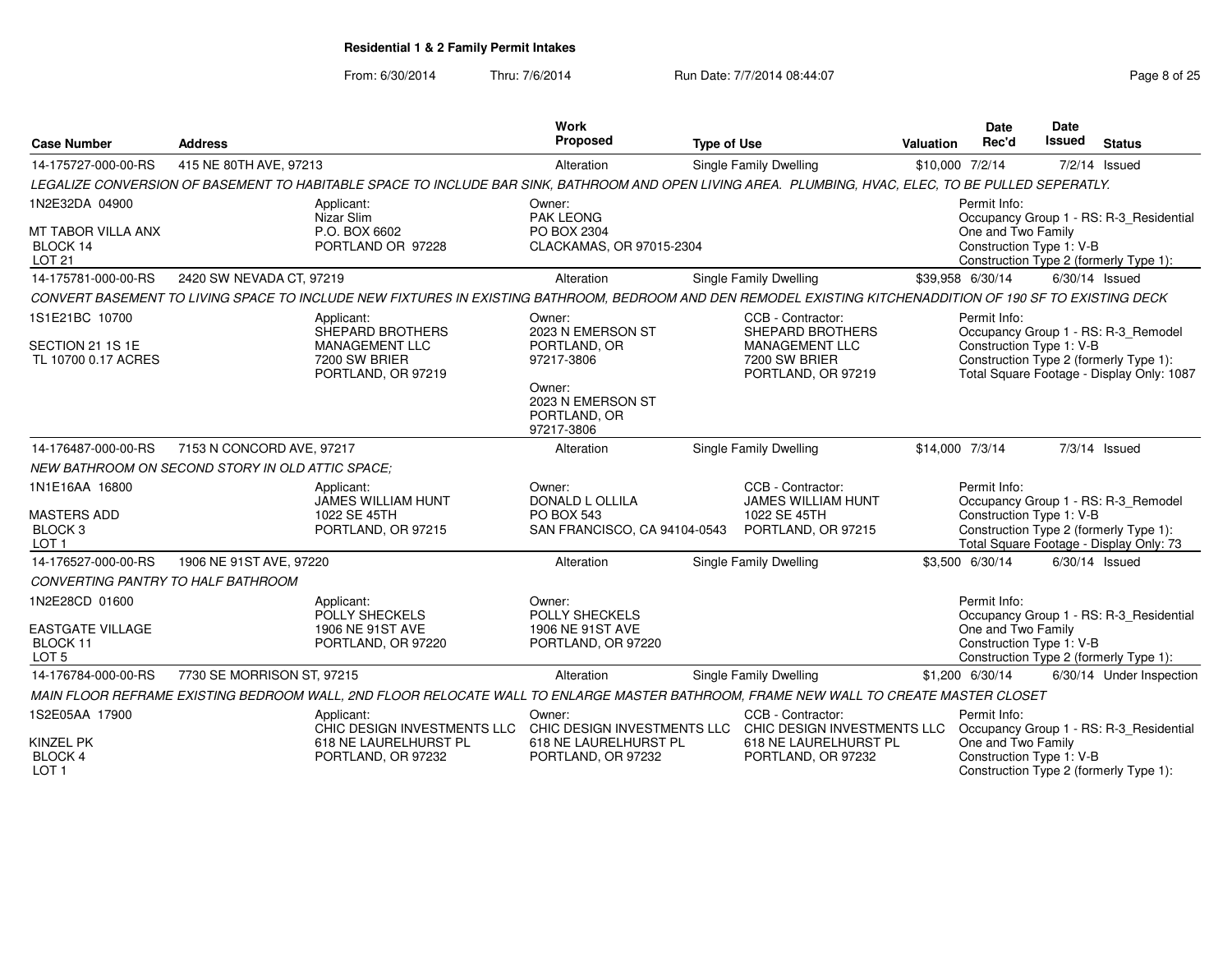From: 6/30/2014

Thru: 7/6/2014 Run Date: 7/7/2014 08:44:07 Rege 8 of 25

|                                                              |                                                         |                                                                                                                                                            | Work<br>Proposed                                                      |                                                                |                 | <b>Date</b>                                                    | <b>Date</b> |                                                                                     |
|--------------------------------------------------------------|---------------------------------------------------------|------------------------------------------------------------------------------------------------------------------------------------------------------------|-----------------------------------------------------------------------|----------------------------------------------------------------|-----------------|----------------------------------------------------------------|-------------|-------------------------------------------------------------------------------------|
| <b>Case Number</b>                                           | <b>Address</b>                                          |                                                                                                                                                            |                                                                       | <b>Type of Use</b>                                             | Valuation       | Rec'd                                                          | Issued      | <b>Status</b>                                                                       |
| 14-175727-000-00-RS                                          | 415 NE 80TH AVE, 97213                                  |                                                                                                                                                            | Alteration                                                            | Single Family Dwelling                                         | \$10,000 7/2/14 |                                                                |             | 7/2/14 Issued                                                                       |
|                                                              |                                                         | LEGALIZE CONVERSION OF BASEMENT TO HABITABLE SPACE TO INCLUDE BAR SINK, BATHROOM AND OPEN LIVING AREA. PLUMBING, HVAC, ELEC, TO BE PULLED SEPERATLY.       |                                                                       |                                                                |                 |                                                                |             |                                                                                     |
| 1N2E32DA 04900<br>MT TABOR VILLA ANX<br>BLOCK 14             |                                                         | Applicant:<br>Nizar Slim<br>P.O. BOX 6602<br>PORTLAND OR 97228                                                                                             | Owner:<br><b>PAK LEONG</b><br>PO BOX 2304<br>CLACKAMAS, OR 97015-2304 |                                                                |                 | Permit Info:<br>One and Two Family<br>Construction Type 1: V-B |             | Occupancy Group 1 - RS: R-3 Residential                                             |
| <b>LOT 21</b>                                                |                                                         |                                                                                                                                                            |                                                                       |                                                                |                 |                                                                |             | Construction Type 2 (formerly Type 1):                                              |
| 14-175781-000-00-RS                                          | 2420 SW NEVADA CT, 97219                                |                                                                                                                                                            | Alteration                                                            | Single Family Dwelling                                         |                 | \$39,958 6/30/14                                               |             | $6/30/14$ Issued                                                                    |
|                                                              |                                                         | CONVERT BASEMENT TO LIVING SPACE TO INCLUDE NEW FIXTURES IN EXISTING BATHROOM, BEDROOM AND DEN REMODEL EXISTING KITCHENADDITION OF 190 SF TO EXISTING DECK |                                                                       |                                                                |                 |                                                                |             |                                                                                     |
| 1S1E21BC 10700<br>SECTION 21 1S 1E                           |                                                         | Applicant:<br>SHEPARD BROTHERS<br>MANAGEMENT LLC                                                                                                           | Owner:<br>2023 N EMERSON ST<br>PORTLAND, OR                           | CCB - Contractor:<br><b>SHEPARD BROTHERS</b><br>MANAGEMENT LLC |                 | Permit Info:<br>Construction Type 1: V-B                       |             | Occupancy Group 1 - RS: R-3_Remodel                                                 |
| TL 10700 0.17 ACRES                                          |                                                         | 7200 SW BRIER<br>PORTLAND, OR 97219                                                                                                                        | 97217-3806<br>Owner:                                                  | 7200 SW BRIER<br>PORTLAND, OR 97219                            |                 |                                                                |             | Construction Type 2 (formerly Type 1):<br>Total Square Footage - Display Only: 1087 |
|                                                              |                                                         |                                                                                                                                                            | 2023 N EMERSON ST<br>PORTLAND, OR<br>97217-3806                       |                                                                |                 |                                                                |             |                                                                                     |
| 14-176487-000-00-RS                                          | 7153 N CONCORD AVE, 97217                               |                                                                                                                                                            | Alteration                                                            | Single Family Dwelling                                         | \$14,000 7/3/14 |                                                                |             | $7/3/14$ Issued                                                                     |
|                                                              | <b>NEW BATHROOM ON SECOND STORY IN OLD ATTIC SPACE:</b> |                                                                                                                                                            |                                                                       |                                                                |                 |                                                                |             |                                                                                     |
| 1N1E16AA 16800                                               |                                                         | Applicant:<br>JAMES WILLIAM HUNT                                                                                                                           | Owner:<br><b>DONALD L OLLILA</b>                                      | CCB - Contractor:<br>JAMES WILLIAM HUNT                        |                 | Permit Info:                                                   |             | Occupancy Group 1 - RS: R-3_Remodel                                                 |
| <b>MASTERS ADD</b><br>BLOCK <sub>3</sub><br>LOT <sub>1</sub> |                                                         | 1022 SE 45TH<br>PORTLAND, OR 97215                                                                                                                         | <b>PO BOX 543</b><br>SAN FRANCISCO, CA 94104-0543                     | 1022 SE 45TH<br>PORTLAND, OR 97215                             |                 | Construction Type 1: V-B                                       |             | Construction Type 2 (formerly Type 1):<br>Total Square Footage - Display Only: 73   |
| 14-176527-000-00-RS                                          | 1906 NE 91ST AVE, 97220                                 |                                                                                                                                                            | Alteration                                                            | <b>Single Family Dwelling</b>                                  |                 | \$3,500 6/30/14                                                |             | $6/30/14$ Issued                                                                    |
| CONVERTING PANTRY TO HALF BATHROOM                           |                                                         |                                                                                                                                                            |                                                                       |                                                                |                 |                                                                |             |                                                                                     |
| 1N2E28CD 01600                                               |                                                         | Applicant:<br>POLLY SHECKELS                                                                                                                               | Owner:<br>POLLY SHECKELS                                              |                                                                |                 | Permit Info:                                                   |             | Occupancy Group 1 - RS: R-3 Residential                                             |
| <b>EASTGATE VILLAGE</b><br>BLOCK 11<br>LOT <sub>5</sub>      |                                                         | 1906 NE 91ST AVE<br>PORTLAND, OR 97220                                                                                                                     | 1906 NE 91ST AVE<br>PORTLAND, OR 97220                                |                                                                |                 | One and Two Family<br>Construction Type 1: V-B                 |             | Construction Type 2 (formerly Type 1):                                              |
| 14-176784-000-00-RS                                          | 7730 SE MORRISON ST, 97215                              |                                                                                                                                                            | Alteration                                                            | Single Family Dwelling                                         |                 | \$1,200 6/30/14                                                |             | 6/30/14 Under Inspection                                                            |
|                                                              |                                                         | MAIN FLOOR REFRAME EXISTING BEDROOM WALL, 2ND FLOOR RELOCATE WALL TO ENLARGE MASTER BATHROOM, FRAME NEW WALL TO CREATE MASTER CLOSET                       |                                                                       |                                                                |                 |                                                                |             |                                                                                     |
| 1S2E05AA 17900                                               |                                                         | Applicant:<br>CHIC DESIGN INVESTMENTS LLC                                                                                                                  | Owner:<br>CHIC DESIGN INVESTMENTS LLC                                 | CCB - Contractor:<br>CHIC DESIGN INVESTMENTS LLC               |                 | Permit Info:                                                   |             | Occupancy Group 1 - RS: R-3_Residential                                             |
| <b>KINZEL PK</b><br>BLOCK 4<br>LOT <sub>1</sub>              |                                                         | 618 NE LAURELHURST PL<br>PORTLAND, OR 97232                                                                                                                | 618 NE LAURELHURST PL<br>PORTLAND, OR 97232                           | 618 NE LAURELHURST PL<br>PORTLAND, OR 97232                    |                 | One and Two Family<br>Construction Type 1: V-B                 |             | Construction Type 2 (formerly Type 1):                                              |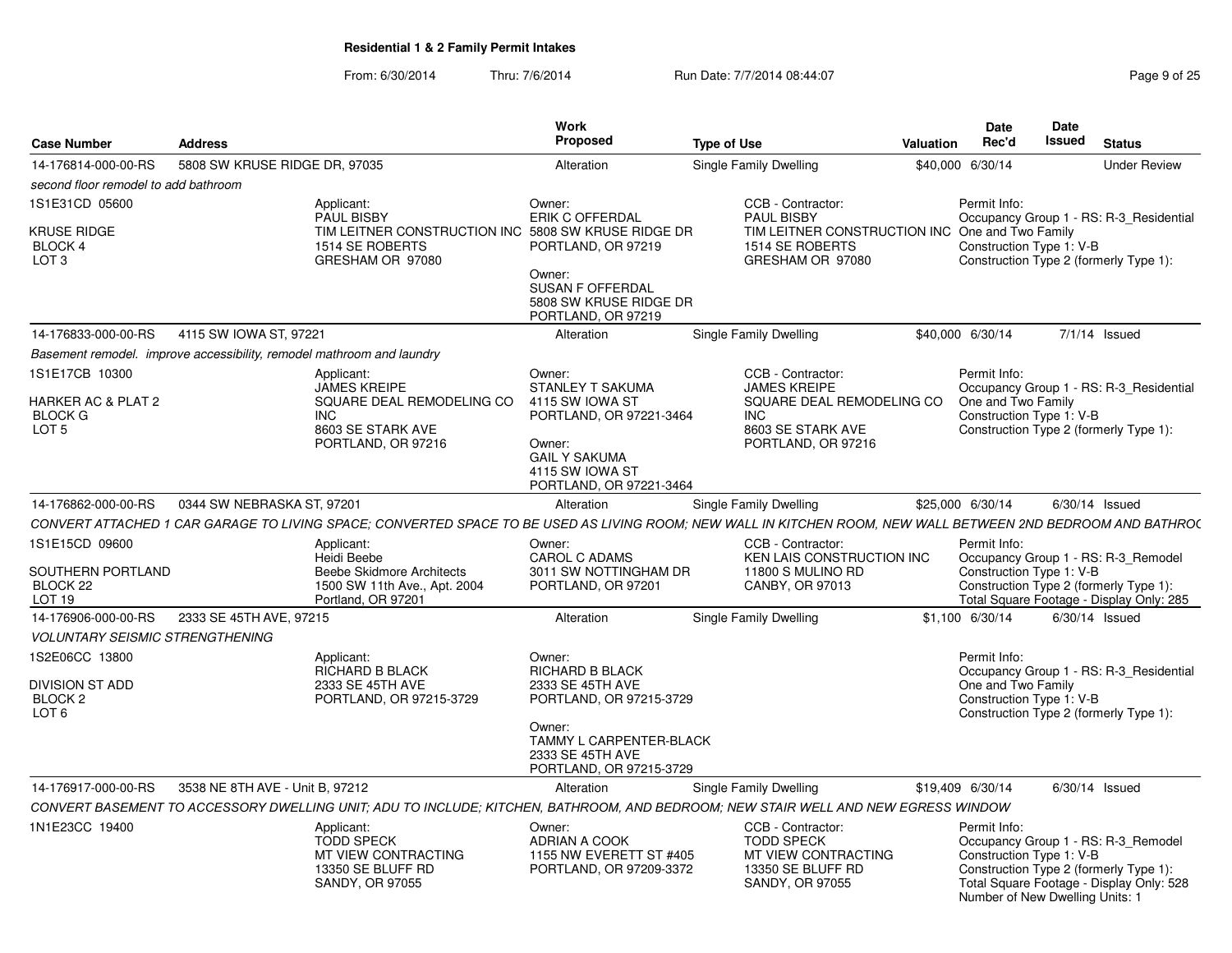|                                                                                 |                                                                       |                                                                                                                                                              | <b>Work</b>                                                                                                                                                     |                                                                                                                                |                  | <b>Date</b>                                                                 | Date          |                                                                                                                           |
|---------------------------------------------------------------------------------|-----------------------------------------------------------------------|--------------------------------------------------------------------------------------------------------------------------------------------------------------|-----------------------------------------------------------------------------------------------------------------------------------------------------------------|--------------------------------------------------------------------------------------------------------------------------------|------------------|-----------------------------------------------------------------------------|---------------|---------------------------------------------------------------------------------------------------------------------------|
| <b>Case Number</b>                                                              | <b>Address</b>                                                        |                                                                                                                                                              | Proposed                                                                                                                                                        | <b>Type of Use</b>                                                                                                             | <b>Valuation</b> | Rec'd                                                                       | <b>Issued</b> | <b>Status</b>                                                                                                             |
| 14-176814-000-00-RS                                                             | 5808 SW KRUSE RIDGE DR, 97035                                         |                                                                                                                                                              | Alteration                                                                                                                                                      | Single Family Dwelling                                                                                                         |                  | \$40,000 6/30/14                                                            |               | <b>Under Review</b>                                                                                                       |
| second floor remodel to add bathroom                                            |                                                                       |                                                                                                                                                              |                                                                                                                                                                 |                                                                                                                                |                  |                                                                             |               |                                                                                                                           |
| 1S1E31CD 05600<br>KRUSE RIDGE<br>BLOCK 4<br>LOT <sub>3</sub>                    |                                                                       | Applicant:<br><b>PAUL BISBY</b><br>TIM LEITNER CONSTRUCTION INC<br>1514 SE ROBERTS<br>GRESHAM OR 97080                                                       | Owner:<br><b>ERIK C OFFERDAL</b><br>5808 SW KRUSE RIDGE DR<br>PORTLAND, OR 97219<br>Owner:<br><b>SUSAN F OFFERDAL</b><br>5808 SW KRUSE RIDGE DR                 | CCB - Contractor:<br><b>PAUL BISBY</b><br>TIM LEITNER CONSTRUCTION INC<br>1514 SE ROBERTS<br>GRESHAM OR 97080                  |                  | Permit Info:<br>One and Two Family<br>Construction Type 1: V-B              |               | Occupancy Group 1 - RS: R-3 Residential<br>Construction Type 2 (formerly Type 1):                                         |
| 14-176833-000-00-RS                                                             | 4115 SW IOWA ST, 97221                                                |                                                                                                                                                              | PORTLAND, OR 97219<br>Alteration                                                                                                                                | Single Family Dwelling                                                                                                         |                  | \$40,000 6/30/14                                                            |               | $7/1/14$ Issued                                                                                                           |
|                                                                                 | Basement remodel. improve accessibility, remodel mathroom and laundry |                                                                                                                                                              |                                                                                                                                                                 |                                                                                                                                |                  |                                                                             |               |                                                                                                                           |
| 1S1E17CB 10300<br>HARKER AC & PLAT 2<br><b>BLOCK G</b><br>LOT <sub>5</sub>      |                                                                       | Applicant:<br><b>JAMES KREIPE</b><br>SQUARE DEAL REMODELING CO<br><b>INC</b><br>8603 SE STARK AVE<br>PORTLAND, OR 97216                                      | Owner:<br><b>STANLEY T SAKUMA</b><br>4115 SW IOWA ST<br>PORTLAND, OR 97221-3464<br>Owner:<br><b>GAIL Y SAKUMA</b><br>4115 SW IOWA ST<br>PORTLAND, OR 97221-3464 | CCB - Contractor:<br><b>JAMES KREIPE</b><br>SQUARE DEAL REMODELING CO<br><b>INC</b><br>8603 SE STARK AVE<br>PORTLAND, OR 97216 |                  | Permit Info:<br>One and Two Family<br>Construction Type 1: V-B              |               | Occupancy Group 1 - RS: R-3 Residential<br>Construction Type 2 (formerly Type 1):                                         |
| 14-176862-000-00-RS                                                             | 0344 SW NEBRASKA ST, 97201                                            |                                                                                                                                                              | Alteration                                                                                                                                                      | Single Family Dwelling                                                                                                         |                  | \$25,000 6/30/14                                                            |               | $6/30/14$ Issued                                                                                                          |
|                                                                                 |                                                                       | CONVERT ATTACHED 1 CAR GARAGE TO LIVING SPACE; CONVERTED SPACE TO BE USED AS LIVING ROOM; NEW WALL IN KITCHEN ROOM, NEW WALL BETWEEN 2ND BEDROOM AND BATHRO( |                                                                                                                                                                 |                                                                                                                                |                  |                                                                             |               |                                                                                                                           |
| 1S1E15CD 09600<br>SOUTHERN PORTLAND<br>BLOCK <sub>22</sub><br>LOT <sub>19</sub> |                                                                       | Applicant:<br>Heidi Beebe<br><b>Beebe Skidmore Architects</b><br>1500 SW 11th Ave., Apt. 2004<br>Portland, OR 97201                                          | Owner:<br>CAROL C ADAMS<br>3011 SW NOTTINGHAM DR<br>PORTLAND, OR 97201                                                                                          | CCB - Contractor:<br>KEN LAIS CONSTRUCTION INC<br>11800 S MULINO RD<br>CANBY, OR 97013                                         |                  | Permit Info:<br>Construction Type 1: V-B                                    |               | Occupancy Group 1 - RS: R-3 Remodel<br>Construction Type 2 (formerly Type 1):<br>Total Square Footage - Display Only: 285 |
| 14-176906-000-00-RS                                                             | 2333 SE 45TH AVE, 97215                                               |                                                                                                                                                              | Alteration                                                                                                                                                      | Single Family Dwelling                                                                                                         |                  | \$1,100 6/30/14                                                             |               | $6/30/14$ Issued                                                                                                          |
| <i><b>VOLUNTARY SEISMIC STRENGTHENING</b></i>                                   |                                                                       |                                                                                                                                                              |                                                                                                                                                                 |                                                                                                                                |                  |                                                                             |               |                                                                                                                           |
| 1S2E06CC 13800<br>DIVISION ST ADD<br>BLOCK 2<br>LOT <sub>6</sub>                |                                                                       | Applicant:<br>RICHARD B BLACK<br>2333 SE 45TH AVE<br>PORTLAND, OR 97215-3729                                                                                 | Owner:<br>RICHARD B BLACK<br>2333 SE 45TH AVE<br>PORTLAND, OR 97215-3729<br>Owner:                                                                              |                                                                                                                                |                  | Permit Info:<br>One and Two Family<br>Construction Type 1: V-B              |               | Occupancy Group 1 - RS: R-3 Residential<br>Construction Type 2 (formerly Type 1):                                         |
|                                                                                 |                                                                       |                                                                                                                                                              | TAMMY L CARPENTER-BLACK<br>2333 SE 45TH AVE<br>PORTLAND, OR 97215-3729                                                                                          |                                                                                                                                |                  |                                                                             |               |                                                                                                                           |
| 14-176917-000-00-RS                                                             | 3538 NE 8TH AVE - Unit B, 97212                                       |                                                                                                                                                              | Alteration                                                                                                                                                      | Single Family Dwelling                                                                                                         |                  | \$19,409 6/30/14                                                            |               | $6/30/14$ Issued                                                                                                          |
|                                                                                 |                                                                       | CONVERT BASEMENT TO ACCESSORY DWELLING UNIT; ADU TO INCLUDE; KITCHEN, BATHROOM, AND BEDROOM; NEW STAIR WELL AND NEW EGRESS WINDOW                            |                                                                                                                                                                 |                                                                                                                                |                  |                                                                             |               |                                                                                                                           |
| 1N1E23CC 19400                                                                  |                                                                       | Applicant:<br><b>TODD SPECK</b><br>MT VIEW CONTRACTING<br>13350 SE BLUFF RD<br>SANDY, OR 97055                                                               | Owner:<br>ADRIAN A COOK<br>1155 NW EVERETT ST #405<br>PORTLAND, OR 97209-3372                                                                                   | CCB - Contractor:<br><b>TODD SPECK</b><br>MT VIEW CONTRACTING<br>13350 SE BLUFF RD<br>SANDY, OR 97055                          |                  | Permit Info:<br>Construction Type 1: V-B<br>Number of New Dwelling Units: 1 |               | Occupancy Group 1 - RS: R-3 Remodel<br>Construction Type 2 (formerly Type 1):<br>Total Square Footage - Display Only: 528 |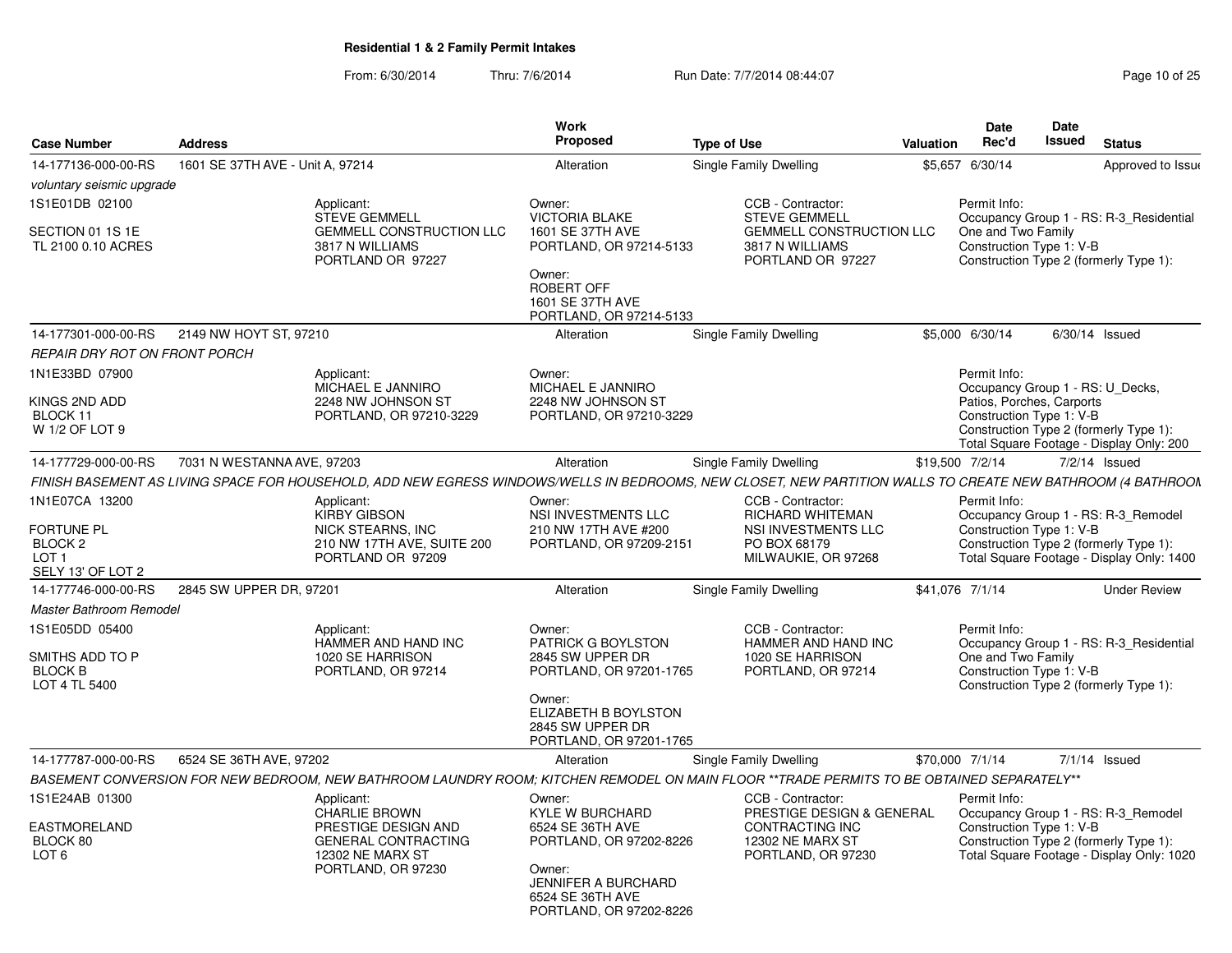|                                                                                             |                                  |                                                                                                                                                             |                                                                                                                           | Date<br><b>Date</b>                                                                                                |           |                                                                                                           |               |                                                                                                                            |  |  |  |  |
|---------------------------------------------------------------------------------------------|----------------------------------|-------------------------------------------------------------------------------------------------------------------------------------------------------------|---------------------------------------------------------------------------------------------------------------------------|--------------------------------------------------------------------------------------------------------------------|-----------|-----------------------------------------------------------------------------------------------------------|---------------|----------------------------------------------------------------------------------------------------------------------------|--|--|--|--|
| <b>Case Number</b>                                                                          | <b>Address</b>                   |                                                                                                                                                             | Proposed                                                                                                                  | <b>Type of Use</b>                                                                                                 | Valuation | Rec'd                                                                                                     | <b>Issued</b> | <b>Status</b>                                                                                                              |  |  |  |  |
| 14-177136-000-00-RS                                                                         | 1601 SE 37TH AVE - Unit A. 97214 |                                                                                                                                                             | Alteration                                                                                                                | Single Family Dwelling                                                                                             |           | \$5,657 6/30/14                                                                                           |               | Approved to Issue                                                                                                          |  |  |  |  |
| voluntary seismic upgrade                                                                   |                                  |                                                                                                                                                             |                                                                                                                           |                                                                                                                    |           |                                                                                                           |               |                                                                                                                            |  |  |  |  |
| 1S1E01DB 02100                                                                              |                                  | Applicant:<br><b>STEVE GEMMELL</b>                                                                                                                          | Owner:<br><b>VICTORIA BLAKE</b>                                                                                           | CCB - Contractor:<br><b>STEVE GEMMELL</b>                                                                          |           | Permit Info:                                                                                              |               | Occupancy Group 1 - RS: R-3 Residential                                                                                    |  |  |  |  |
| SECTION 01 1S 1E<br>TL 2100 0.10 ACRES                                                      |                                  | <b>GEMMELL CONSTRUCTION LLC</b><br>3817 N WILLIAMS<br>PORTLAND OR 97227                                                                                     | 1601 SE 37TH AVE<br>PORTLAND, OR 97214-5133<br>Owner:<br><b>ROBERT OFF</b><br>1601 SE 37TH AVE<br>PORTLAND, OR 97214-5133 | <b>GEMMELL CONSTRUCTION LLC</b><br>3817 N WILLIAMS<br>PORTLAND OR 97227                                            |           |                                                                                                           |               | One and Two Family<br>Construction Type 1: V-B<br>Construction Type 2 (formerly Type 1):                                   |  |  |  |  |
| 14-177301-000-00-RS                                                                         | 2149 NW HOYT ST, 97210           |                                                                                                                                                             | Alteration                                                                                                                | Single Family Dwelling                                                                                             |           | \$5,000 6/30/14                                                                                           |               | $6/30/14$ Issued                                                                                                           |  |  |  |  |
| REPAIR DRY ROT ON FRONT PORCH                                                               |                                  |                                                                                                                                                             |                                                                                                                           |                                                                                                                    |           |                                                                                                           |               |                                                                                                                            |  |  |  |  |
| 1N1E33BD 07900<br>KINGS 2ND ADD<br>BLOCK 11<br>W 1/2 OF LOT 9                               |                                  | Applicant:<br>MICHAEL E JANNIRO<br>2248 NW JOHNSON ST<br>PORTLAND, OR 97210-3229                                                                            | Owner:<br>MICHAEL E JANNIRO<br>2248 NW JOHNSON ST<br>PORTLAND, OR 97210-3229                                              |                                                                                                                    |           | Permit Info:<br>Occupancy Group 1 - RS: U_Decks,<br>Patios, Porches, Carports<br>Construction Type 1: V-B |               | Construction Type 2 (formerly Type 1):<br>Total Square Footage - Display Only: 200                                         |  |  |  |  |
| 14-177729-000-00-RS                                                                         | 7031 N WESTANNA AVE, 97203       |                                                                                                                                                             | Alteration                                                                                                                | Single Family Dwelling                                                                                             |           | \$19,500 7/2/14                                                                                           |               | $7/2/14$ Issued                                                                                                            |  |  |  |  |
|                                                                                             |                                  | FINISH BASEMENT AS LIVING SPACE FOR HOUSEHOLD, ADD NEW EGRESS WINDOWS/WELLS IN BEDROOMS, NEW CLOSET, NEW PARTITION WALLS TO CREATE NEW BATHROOM (4 BATHROON |                                                                                                                           |                                                                                                                    |           |                                                                                                           |               |                                                                                                                            |  |  |  |  |
| 1N1E07CA 13200<br>FORTUNE PL<br>BLOCK <sub>2</sub><br>LOT <sub>1</sub><br>SELY 13' OF LOT 2 |                                  | Applicant:<br><b>KIRBY GIBSON</b><br>NICK STEARNS, INC<br>210 NW 17TH AVE, SUITE 200<br>PORTLAND OR 97209                                                   | Owner:<br>NSI INVESTMENTS LLC<br>210 NW 17TH AVE #200<br>PORTLAND, OR 97209-2151                                          | CCB - Contractor:<br>RICHARD WHITEMAN<br>NSI INVESTMENTS LLC<br>PO BOX 68179<br>MILWAUKIE, OR 97268                |           | Permit Info:<br>Construction Type 1: V-B                                                                  |               | Occupancy Group 1 - RS: R-3_Remodel<br>Construction Type 2 (formerly Type 1):<br>Total Square Footage - Display Only: 1400 |  |  |  |  |
| 14-177746-000-00-RS                                                                         | 2845 SW UPPER DR, 97201          |                                                                                                                                                             | Alteration                                                                                                                | Single Family Dwelling                                                                                             |           | \$41,076 7/1/14                                                                                           |               | <b>Under Review</b>                                                                                                        |  |  |  |  |
| Master Bathroom Remodel                                                                     |                                  |                                                                                                                                                             |                                                                                                                           |                                                                                                                    |           |                                                                                                           |               |                                                                                                                            |  |  |  |  |
| 1S1E05DD 05400<br>SMITHS ADD TO P<br><b>BLOCK B</b><br>LOT 4 TL 5400                        |                                  | Applicant:<br>HAMMER AND HAND INC<br>1020 SE HARRISON<br>PORTLAND, OR 97214                                                                                 | Owner:<br>PATRICK G BOYLSTON<br>2845 SW UPPER DR<br>PORTLAND, OR 97201-1765                                               | CCB - Contractor:<br>HAMMER AND HAND INC<br>1020 SE HARRISON<br>PORTLAND, OR 97214                                 |           | Permit Info:<br>One and Two Family<br>Construction Type 1: V-B                                            |               | Occupancy Group 1 - RS: R-3_Residential<br>Construction Type 2 (formerly Type 1):                                          |  |  |  |  |
|                                                                                             |                                  |                                                                                                                                                             | Owner:<br>ELIZABETH B BOYLSTON<br>2845 SW UPPER DR<br>PORTLAND, OR 97201-1765                                             |                                                                                                                    |           |                                                                                                           |               |                                                                                                                            |  |  |  |  |
| 14-177787-000-00-RS                                                                         | 6524 SE 36TH AVE, 97202          |                                                                                                                                                             | Alteration                                                                                                                | Single Family Dwelling                                                                                             |           | \$70,000 7/1/14                                                                                           |               | $7/1/14$ Issued                                                                                                            |  |  |  |  |
|                                                                                             |                                  | BASEMENT CONVERSION FOR NEW BEDROOM, NEW BATHROOM LAUNDRY ROOM; KITCHEN REMODEL ON MAIN FLOOR **TRADE PERMITS TO BE OBTAINED SEPARATELY**                   |                                                                                                                           |                                                                                                                    |           |                                                                                                           |               |                                                                                                                            |  |  |  |  |
| 1S1E24AB 01300<br>EASTMORELAND<br>BLOCK 80<br>LOT <sub>6</sub>                              |                                  | Applicant:<br><b>CHARLIE BROWN</b><br>PRESTIGE DESIGN AND<br><b>GENERAL CONTRACTING</b><br>12302 NE MARX ST<br>PORTLAND, OR 97230                           | Owner:<br><b>KYLE W BURCHARD</b><br>6524 SE 36TH AVE<br>PORTLAND, OR 97202-8226<br>Owner:<br><b>JENNIFER A BURCHARD</b>   | CCB - Contractor:<br>PRESTIGE DESIGN & GENERAL<br>CONTRACTING INC<br><b>12302 NE MARX ST</b><br>PORTLAND, OR 97230 |           | Permit Info:<br>Construction Type 1: V-B                                                                  |               | Occupancy Group 1 - RS: R-3 Remodel<br>Construction Type 2 (formerly Type 1):<br>Total Square Footage - Display Only: 1020 |  |  |  |  |
|                                                                                             |                                  |                                                                                                                                                             | 6524 SE 36TH AVE<br>PORTLAND, OR 97202-8226                                                                               |                                                                                                                    |           |                                                                                                           |               |                                                                                                                            |  |  |  |  |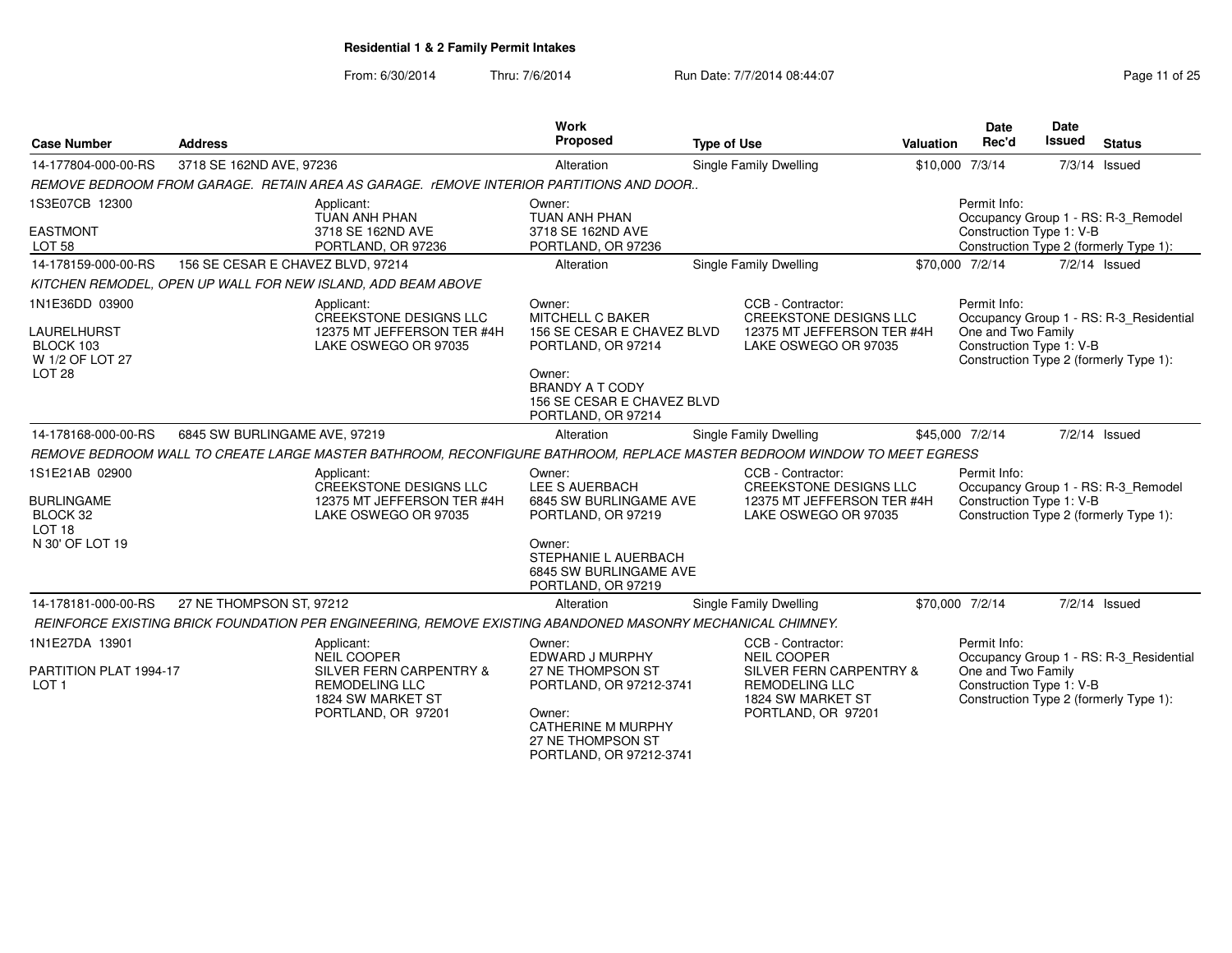From: 6/30/2014Thru: 7/6/2014 **Run Date: 7/7/2014 08:44:07** Page 11 of 25

| Case Number                                                                             | <b>Address</b>                    |                                                                                                                                 | <b>Work</b><br>Proposed                                                                                                                                                       | <b>Type of Use</b> |                                                                                                                                        | Valuation | Date<br>Rec'd                                                  | Date<br><b>Issued</b> | <b>Status</b>                                                                     |
|-----------------------------------------------------------------------------------------|-----------------------------------|---------------------------------------------------------------------------------------------------------------------------------|-------------------------------------------------------------------------------------------------------------------------------------------------------------------------------|--------------------|----------------------------------------------------------------------------------------------------------------------------------------|-----------|----------------------------------------------------------------|-----------------------|-----------------------------------------------------------------------------------|
| 14-177804-000-00-RS                                                                     | 3718 SE 162ND AVE, 97236          |                                                                                                                                 | Alteration                                                                                                                                                                    |                    | Single Family Dwelling                                                                                                                 |           | \$10,000 7/3/14                                                |                       | $7/3/14$ Issued                                                                   |
|                                                                                         |                                   | REMOVE BEDROOM FROM GARAGE. RETAIN AREA AS GARAGE. rEMOVE INTERIOR PARTITIONS AND DOOR                                          |                                                                                                                                                                               |                    |                                                                                                                                        |           |                                                                |                       |                                                                                   |
| 1S3E07CB 12300<br><b>EASTMONT</b><br><b>LOT 58</b>                                      |                                   | Applicant:<br>TUAN ANH PHAN<br>3718 SE 162ND AVE<br>PORTLAND, OR 97236                                                          | Owner:<br>TUAN ANH PHAN<br>3718 SE 162ND AVE<br>PORTLAND, OR 97236                                                                                                            |                    |                                                                                                                                        |           | Permit Info:<br>Construction Type 1: V-B                       |                       | Occupancy Group 1 - RS: R-3_Remodel<br>Construction Type 2 (formerly Type 1):     |
| 14-178159-000-00-RS                                                                     | 156 SE CESAR E CHAVEZ BLVD, 97214 |                                                                                                                                 | Alteration                                                                                                                                                                    |                    | Single Family Dwelling                                                                                                                 |           | \$70,000 7/2/14                                                |                       | 7/2/14 Issued                                                                     |
|                                                                                         |                                   | KITCHEN REMODEL, OPEN UP WALL FOR NEW ISLAND, ADD BEAM ABOVE                                                                    |                                                                                                                                                                               |                    |                                                                                                                                        |           |                                                                |                       |                                                                                   |
| 1N1E36DD 03900<br>LAURELHURST<br>BLOCK 103<br>W 1/2 OF LOT 27<br>LOT <sub>28</sub>      |                                   | Applicant:<br><b>CREEKSTONE DESIGNS LLC</b><br>12375 MT JEFFERSON TER #4H<br>LAKE OSWEGO OR 97035                               | Owner:<br><b>MITCHELL C BAKER</b><br>156 SE CESAR E CHAVEZ BLVD<br>PORTLAND, OR 97214<br>Owner:<br><b>BRANDY A T CODY</b><br>156 SE CESAR E CHAVEZ BLVD<br>PORTLAND, OR 97214 |                    | CCB - Contractor:<br><b>CREEKSTONE DESIGNS LLC</b><br>12375 MT JEFFERSON TER #4H<br>LAKE OSWEGO OR 97035                               |           | Permit Info:<br>One and Two Family<br>Construction Type 1: V-B |                       | Occupancy Group 1 - RS: R-3 Residential<br>Construction Type 2 (formerly Type 1): |
| 14-178168-000-00-RS                                                                     | 6845 SW BURLINGAME AVE, 97219     |                                                                                                                                 | Alteration                                                                                                                                                                    |                    | <b>Single Family Dwelling</b>                                                                                                          |           | \$45,000 7/2/14                                                |                       | 7/2/14 Issued                                                                     |
|                                                                                         |                                   | REMOVE BEDROOM WALL TO CREATE LARGE MASTER BATHROOM, RECONFIGURE BATHROOM, REPLACE MASTER BEDROOM WINDOW TO MEET EGRESS         |                                                                                                                                                                               |                    |                                                                                                                                        |           |                                                                |                       |                                                                                   |
| 1S1E21AB 02900<br><b>BURLINGAME</b><br>BLOCK 32<br>LOT <sub>18</sub><br>N 30' OF LOT 19 |                                   | Applicant:<br>CREEKSTONE DESIGNS LLC<br>12375 MT JEFFERSON TER #4H<br>LAKE OSWEGO OR 97035                                      | Owner:<br>LEE S AUERBACH<br>6845 SW BURLINGAME AVE<br>PORTLAND, OR 97219<br>Owner:                                                                                            |                    | CCB - Contractor:<br>CREEKSTONE DESIGNS LLC<br>12375 MT JEFFERSON TER #4H<br>LAKE OSWEGO OR 97035                                      |           | Permit Info:<br>Construction Type 1: V-B                       |                       | Occupancy Group 1 - RS: R-3 Remodel<br>Construction Type 2 (formerly Type 1):     |
|                                                                                         |                                   |                                                                                                                                 | STEPHANIE L AUERBACH<br>6845 SW BURLINGAME AVE<br>PORTLAND, OR 97219                                                                                                          |                    |                                                                                                                                        |           |                                                                |                       |                                                                                   |
| 14-178181-000-00-RS                                                                     | 27 NE THOMPSON ST, 97212          |                                                                                                                                 | Alteration                                                                                                                                                                    |                    | <b>Single Family Dwelling</b>                                                                                                          |           | \$70,000 7/2/14                                                |                       | 7/2/14 Issued                                                                     |
|                                                                                         |                                   | REINFORCE EXISTING BRICK FOUNDATION PER ENGINEERING, REMOVE EXISTING ABANDONED MASONRY MECHANICAL CHIMNEY.                      |                                                                                                                                                                               |                    |                                                                                                                                        |           |                                                                |                       |                                                                                   |
| 1N1E27DA 13901<br>PARTITION PLAT 1994-17<br>LOT 1                                       |                                   | Applicant:<br><b>NEIL COOPER</b><br>SILVER FERN CARPENTRY &<br><b>REMODELING LLC</b><br>1824 SW MARKET ST<br>PORTLAND, OR 97201 | Owner:<br>EDWARD J MURPHY<br>27 NE THOMPSON ST<br>PORTLAND, OR 97212-3741<br>Owner:<br><b>CATHERINE M MURPHY</b><br>27 NE THOMPSON ST<br>PORTLAND, OR 97212-3741              |                    | CCB - Contractor:<br><b>NEIL COOPER</b><br>SILVER FERN CARPENTRY &<br><b>REMODELING LLC</b><br>1824 SW MARKET ST<br>PORTLAND, OR 97201 |           | Permit Info:<br>One and Two Family<br>Construction Type 1: V-B |                       | Occupancy Group 1 - RS: R-3_Residential<br>Construction Type 2 (formerly Type 1): |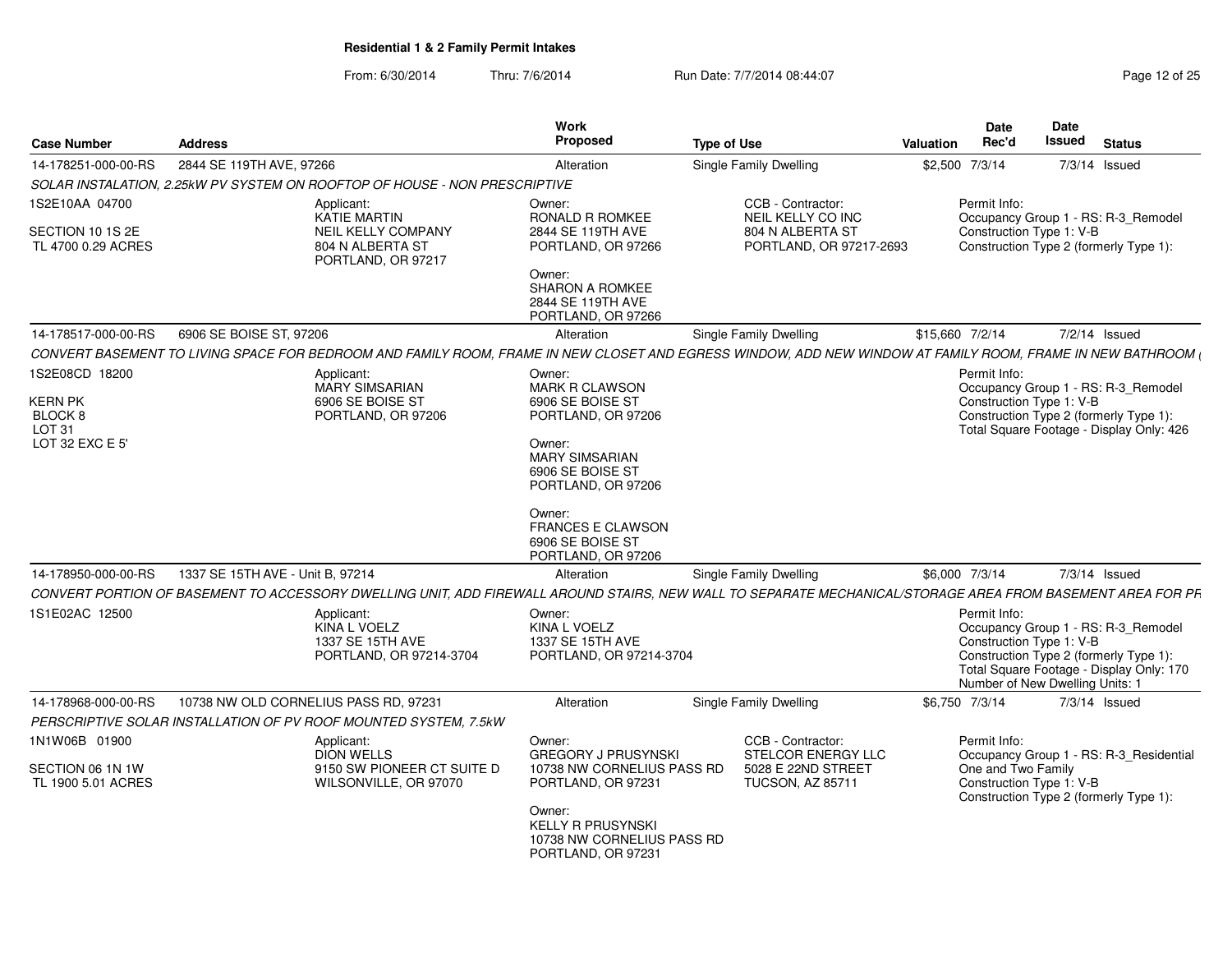From: 6/30/2014Thru: 7/6/2014 **Run Date: 7/7/2014 08:44:07** Page 12 of 25

| <b>Case Number</b>                                      | <b>Address</b>                                                                                                                                              | Work<br><b>Proposed</b>                                                                  | <b>Type of Use</b>                                                                              | <b>Valuation</b> | Date<br>Rec'd                                                               | Date<br>Issued | <b>Status</b>                                                                                                             |
|---------------------------------------------------------|-------------------------------------------------------------------------------------------------------------------------------------------------------------|------------------------------------------------------------------------------------------|-------------------------------------------------------------------------------------------------|------------------|-----------------------------------------------------------------------------|----------------|---------------------------------------------------------------------------------------------------------------------------|
| 14-178251-000-00-RS                                     | 2844 SE 119TH AVE, 97266                                                                                                                                    | Alteration                                                                               | Single Family Dwelling                                                                          | \$2,500 7/3/14   |                                                                             |                | 7/3/14 Issued                                                                                                             |
|                                                         | SOLAR INSTALATION. 2.25kW PV SYSTEM ON ROOFTOP OF HOUSE - NON PRESCRIPTIVE                                                                                  |                                                                                          |                                                                                                 |                  |                                                                             |                |                                                                                                                           |
| 1S2E10AA 04700                                          | Applicant:<br><b>KATIE MARTIN</b>                                                                                                                           | Owner:<br><b>RONALD R ROMKEE</b>                                                         | CCB - Contractor:<br>NEIL KELLY CO INC                                                          |                  | Permit Info:                                                                |                | Occupancy Group 1 - RS: R-3_Remodel                                                                                       |
| SECTION 10 1S 2E<br>TL 4700 0.29 ACRES                  | <b>NEIL KELLY COMPANY</b><br>804 N ALBERTA ST<br>PORTLAND, OR 97217                                                                                         | 2844 SE 119TH AVE<br>PORTLAND, OR 97266                                                  | 804 N ALBERTA ST<br>PORTLAND, OR 97217-2693                                                     |                  | Construction Type 1: V-B                                                    |                | Construction Type 2 (formerly Type 1):                                                                                    |
|                                                         |                                                                                                                                                             | Owner:<br><b>SHARON A ROMKEE</b><br>2844 SE 119TH AVE<br>PORTLAND, OR 97266              |                                                                                                 |                  |                                                                             |                |                                                                                                                           |
| 14-178517-000-00-RS                                     | 6906 SE BOISE ST, 97206                                                                                                                                     | Alteration                                                                               | <b>Single Family Dwelling</b>                                                                   | \$15,660 7/2/14  |                                                                             |                | $7/2/14$ Issued                                                                                                           |
|                                                         | CONVERT BASEMENT TO LIVING SPACE FOR BEDROOM AND FAMILY ROOM, FRAME IN NEW CLOSET AND EGRESS WINDOW, ADD NEW WINDOW AT FAMILY ROOM, FRAME IN NEW BATHROOM ( |                                                                                          |                                                                                                 |                  |                                                                             |                |                                                                                                                           |
| 1S2E08CD 18200<br><b>KERN PK</b>                        | Applicant:<br><b>MARY SIMSARIAN</b><br>6906 SE BOISE ST                                                                                                     | Owner:<br>MARK R CLAWSON<br>6906 SE BOISE ST                                             |                                                                                                 |                  | Permit Info:<br>Construction Type 1: V-B                                    |                | Occupancy Group 1 - RS: R-3_Remodel                                                                                       |
| BLOCK 8<br>LOT <sub>31</sub>                            | PORTLAND, OR 97206                                                                                                                                          | PORTLAND, OR 97206                                                                       |                                                                                                 |                  |                                                                             |                | Construction Type 2 (formerly Type 1):<br>Total Square Footage - Display Only: 426                                        |
| LOT 32 EXC E 5'                                         |                                                                                                                                                             | Owner:<br><b>MARY SIMSARIAN</b><br>6906 SE BOISE ST<br>PORTLAND, OR 97206                |                                                                                                 |                  |                                                                             |                |                                                                                                                           |
|                                                         |                                                                                                                                                             | Owner:<br><b>FRANCES E CLAWSON</b><br>6906 SE BOISE ST<br>PORTLAND, OR 97206             |                                                                                                 |                  |                                                                             |                |                                                                                                                           |
| 14-178950-000-00-RS                                     | 1337 SE 15TH AVE - Unit B, 97214                                                                                                                            | Alteration                                                                               | Single Family Dwelling                                                                          | \$6,000 7/3/14   |                                                                             |                | $7/3/14$ Issued                                                                                                           |
|                                                         | CONVERT PORTION OF BASEMENT TO ACCESSORY DWELLING UNIT, ADD FIREWALL AROUND STAIRS, NEW WALL TO SEPARATE MECHANICAL/STORAGE AREA FROM BASEMENT AREA FOR PR  |                                                                                          |                                                                                                 |                  |                                                                             |                |                                                                                                                           |
| 1S1E02AC 12500                                          | Applicant:<br>KINA L VOELZ<br>1337 SE 15TH AVE<br>PORTLAND, OR 97214-3704                                                                                   | Owner:<br><b>KINA L VOELZ</b><br>1337 SE 15TH AVE<br>PORTLAND, OR 97214-3704             |                                                                                                 |                  | Permit Info:<br>Construction Type 1: V-B<br>Number of New Dwelling Units: 1 |                | Occupancy Group 1 - RS: R-3 Remodel<br>Construction Type 2 (formerly Type 1):<br>Total Square Footage - Display Only: 170 |
| 14-178968-000-00-RS                                     | 10738 NW OLD CORNELIUS PASS RD, 97231                                                                                                                       | Alteration                                                                               | Single Family Dwelling                                                                          | \$6,750 7/3/14   |                                                                             |                | $7/3/14$ Issued                                                                                                           |
|                                                         | PERSCRIPTIVE SOLAR INSTALLATION OF PV ROOF MOUNTED SYSTEM, 7.5kW                                                                                            |                                                                                          |                                                                                                 |                  |                                                                             |                |                                                                                                                           |
| 1N1W06B 01900<br>SECTION 06 1N 1W<br>TL 1900 5.01 ACRES | Applicant:<br><b>DION WELLS</b><br>9150 SW PIONEER CT SUITE D<br>WILSONVILLE, OR 97070                                                                      | Owner:<br><b>GREGORY J PRUSYNSKI</b><br>10738 NW CORNELIUS PASS RD<br>PORTLAND, OR 97231 | CCB - Contractor:<br><b>STELCOR ENERGY LLC</b><br>5028 E 22ND STREET<br><b>TUCSON, AZ 85711</b> |                  | Permit Info:<br>One and Two Family<br>Construction Type 1: V-B              |                | Occupancy Group 1 - RS: R-3_Residential<br>Construction Type 2 (formerly Type 1):                                         |
|                                                         |                                                                                                                                                             | Owner:<br><b>KELLY R PRUSYNSKI</b><br>10738 NW CORNELIUS PASS RD<br>PORTLAND, OR 97231   |                                                                                                 |                  |                                                                             |                |                                                                                                                           |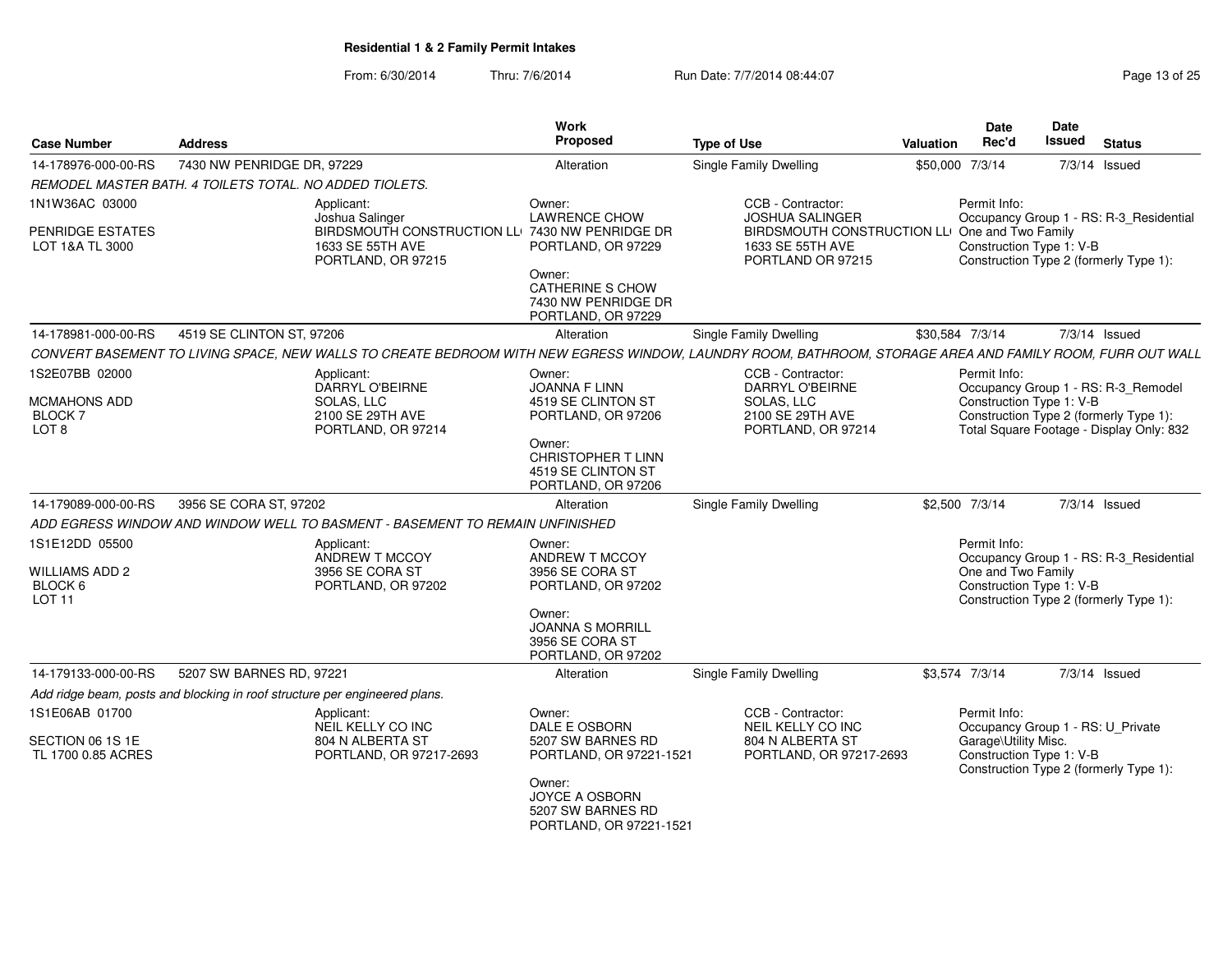| <b>Case Number</b>                                 | <b>Address</b>                                                                                                                                            | Work<br><b>Proposed</b>                                                         | <b>Type of Use</b>                                                                      | <b>Valuation</b> | Date<br><b>Date</b><br><b>Issued</b><br>Rec'd    | <b>Status</b>                                                                      |
|----------------------------------------------------|-----------------------------------------------------------------------------------------------------------------------------------------------------------|---------------------------------------------------------------------------------|-----------------------------------------------------------------------------------------|------------------|--------------------------------------------------|------------------------------------------------------------------------------------|
| 14-178976-000-00-RS                                | 7430 NW PENRIDGE DR, 97229                                                                                                                                | Alteration                                                                      | Single Family Dwelling                                                                  | \$50,000 7/3/14  |                                                  | $7/3/14$ Issued                                                                    |
|                                                    | REMODEL MASTER BATH. 4 TOILETS TOTAL. NO ADDED TIOLETS.                                                                                                   |                                                                                 |                                                                                         |                  |                                                  |                                                                                    |
| 1N1W36AC 03000                                     | Applicant:<br>Joshua Salinger                                                                                                                             | Owner:<br><b>LAWRENCE CHOW</b>                                                  | CCB - Contractor:<br><b>JOSHUA SALINGER</b>                                             | Permit Info:     |                                                  | Occupancy Group 1 - RS: R-3_Residential                                            |
| <b>PENRIDGE ESTATES</b><br>LOT 1&A TL 3000         | 1633 SE 55TH AVE<br>PORTLAND, OR 97215                                                                                                                    | BIRDSMOUTH CONSTRUCTION LLI 7430 NW PENRIDGE DR<br>PORTLAND, OR 97229<br>Owner: | BIRDSMOUTH CONSTRUCTION LLI One and Two Family<br>1633 SE 55TH AVE<br>PORTLAND OR 97215 |                  | Construction Type 1: V-B                         | Construction Type 2 (formerly Type 1):                                             |
|                                                    |                                                                                                                                                           | <b>CATHERINE S CHOW</b><br>7430 NW PENRIDGE DR<br>PORTLAND, OR 97229            |                                                                                         |                  |                                                  |                                                                                    |
| 14-178981-000-00-RS                                | 4519 SE CLINTON ST, 97206                                                                                                                                 | Alteration                                                                      | <b>Single Family Dwelling</b>                                                           | \$30.584 7/3/14  |                                                  | $7/3/14$ Issued                                                                    |
|                                                    | CONVERT BASEMENT TO LIVING SPACE, NEW WALLS TO CREATE BEDROOM WITH NEW EGRESS WINDOW, LAUNDRY ROOM, BATHROOM, STORAGE AREA AND FAMILY ROOM, FURR OUT WALL |                                                                                 |                                                                                         |                  |                                                  |                                                                                    |
| 1S2E07BB 02000<br><b>MCMAHONS ADD</b>              | Applicant:<br>DARRYL O'BEIRNE<br><b>SOLAS, LLC</b>                                                                                                        | Owner:<br><b>JOANNA F LINN</b><br>4519 SE CLINTON ST                            | CCB - Contractor:<br><b>DARRYL O'BEIRNE</b><br>SOLAS, LLC                               | Permit Info:     | Construction Type 1: V-B                         | Occupancy Group 1 - RS: R-3_Remodel                                                |
| <b>BLOCK7</b><br>LOT <sub>8</sub>                  | 2100 SE 29TH AVE<br>PORTLAND, OR 97214                                                                                                                    | PORTLAND, OR 97206                                                              | 2100 SE 29TH AVE<br>PORTLAND, OR 97214                                                  |                  |                                                  | Construction Type 2 (formerly Type 1):<br>Total Square Footage - Display Only: 832 |
|                                                    |                                                                                                                                                           | Owner:<br>CHRISTOPHER T LINN<br>4519 SE CLINTON ST<br>PORTLAND, OR 97206        |                                                                                         |                  |                                                  |                                                                                    |
| 14-179089-000-00-RS                                | 3956 SE CORA ST, 97202                                                                                                                                    | Alteration                                                                      | Single Family Dwelling                                                                  | \$2,500 7/3/14   |                                                  | $7/3/14$ Issued                                                                    |
|                                                    | ADD EGRESS WINDOW AND WINDOW WELL TO BASMENT - BASEMENT TO REMAIN UNFINISHED                                                                              |                                                                                 |                                                                                         |                  |                                                  |                                                                                    |
| 1S1E12DD 05500<br><b>WILLIAMS ADD 2</b><br>BLOCK 6 | Applicant:<br>ANDREW T MCCOY<br>3956 SE CORA ST<br>PORTLAND, OR 97202                                                                                     | Owner:<br>ANDREW T MCCOY<br>3956 SE CORA ST<br>PORTLAND, OR 97202               |                                                                                         | Permit Info:     | One and Two Family<br>Construction Type 1: V-B   | Occupancy Group 1 - RS: R-3 Residential                                            |
| LOT <sub>11</sub>                                  |                                                                                                                                                           | Owner:<br><b>JOANNA S MORRILL</b><br>3956 SE CORA ST<br>PORTLAND, OR 97202      |                                                                                         |                  |                                                  | Construction Type 2 (formerly Type 1):                                             |
| 14-179133-000-00-RS                                | 5207 SW BARNES RD, 97221                                                                                                                                  | Alteration                                                                      | Single Family Dwelling                                                                  | \$3,574 7/3/14   |                                                  | 7/3/14 Issued                                                                      |
|                                                    | Add ridge beam, posts and blocking in roof structure per engineered plans.                                                                                |                                                                                 |                                                                                         |                  |                                                  |                                                                                    |
| 1S1E06AB 01700                                     | Applicant:<br>NEIL KELLY CO INC                                                                                                                           | Owner:<br>DALE E OSBORN                                                         | CCB - Contractor:<br>NEIL KELLY CO INC                                                  | Permit Info:     | Occupancy Group 1 - RS: U_Private                |                                                                                    |
| SECTION 06 1S 1E<br>TL 1700 0.85 ACRES             | 804 N ALBERTA ST<br>PORTLAND, OR 97217-2693                                                                                                               | 5207 SW BARNES RD<br>PORTLAND, OR 97221-1521                                    | 804 N ALBERTA ST<br>PORTLAND, OR 97217-2693                                             |                  | Garage\Utility Misc.<br>Construction Type 1: V-B | Construction Type 2 (formerly Type 1):                                             |
|                                                    |                                                                                                                                                           | Owner:<br>JOYCE A OSBORN<br>5207 SW BARNES RD<br>PORTLAND, OR 97221-1521        |                                                                                         |                  |                                                  |                                                                                    |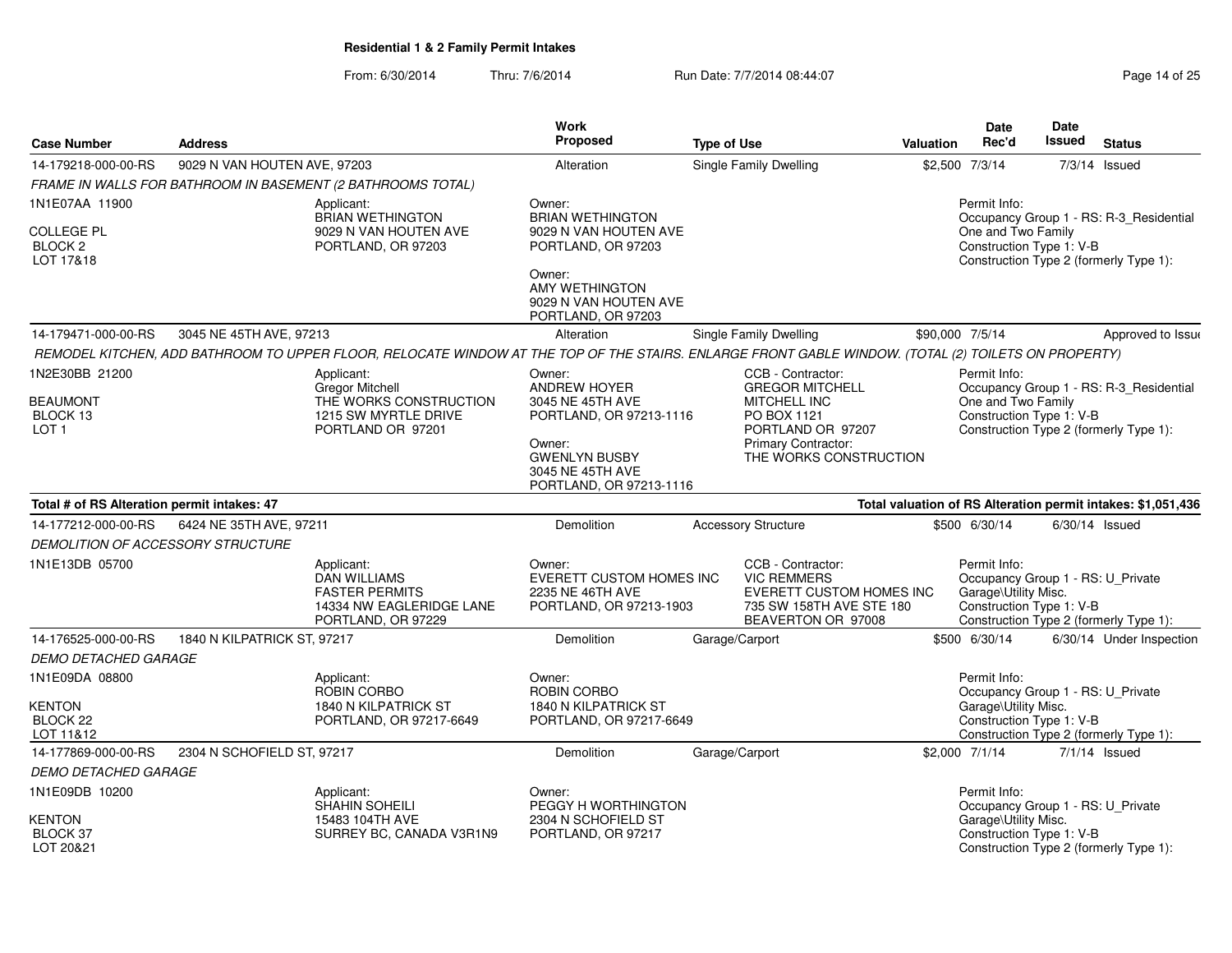|                                                                        |                              |                                                                                                                                                     | <b>Work</b>                                                                                                                                                   |                    |                                                                                                                                                                |           | Date                                                                                                  | Date          |                                                                                   |
|------------------------------------------------------------------------|------------------------------|-----------------------------------------------------------------------------------------------------------------------------------------------------|---------------------------------------------------------------------------------------------------------------------------------------------------------------|--------------------|----------------------------------------------------------------------------------------------------------------------------------------------------------------|-----------|-------------------------------------------------------------------------------------------------------|---------------|-----------------------------------------------------------------------------------|
| <b>Case Number</b>                                                     | <b>Address</b>               |                                                                                                                                                     | <b>Proposed</b>                                                                                                                                               | <b>Type of Use</b> |                                                                                                                                                                | Valuation | Rec'd                                                                                                 | <b>Issued</b> | <b>Status</b>                                                                     |
| 14-179218-000-00-RS                                                    | 9029 N VAN HOUTEN AVE, 97203 |                                                                                                                                                     | Alteration                                                                                                                                                    |                    | Single Family Dwelling                                                                                                                                         |           | \$2,500 7/3/14                                                                                        | 7/3/14        | Issued                                                                            |
|                                                                        |                              | FRAME IN WALLS FOR BATHROOM IN BASEMENT (2 BATHROOMS TOTAL)                                                                                         |                                                                                                                                                               |                    |                                                                                                                                                                |           |                                                                                                       |               |                                                                                   |
| 1N1E07AA 11900<br><b>COLLEGE PL</b><br>BLOCK <sub>2</sub><br>LOT 17&18 |                              | Applicant:<br><b>BRIAN WETHINGTON</b><br>9029 N VAN HOUTEN AVE<br>PORTLAND, OR 97203                                                                | Owner:<br><b>BRIAN WETHINGTON</b><br>9029 N VAN HOUTEN AVE<br>PORTLAND, OR 97203<br>Owner:<br>AMY WETHINGTON<br>9029 N VAN HOUTEN AVE<br>PORTLAND, OR 97203   |                    |                                                                                                                                                                |           | Permit Info:<br>One and Two Family<br>Construction Type 1: V-B                                        |               | Occupancy Group 1 - RS: R-3_Residential<br>Construction Type 2 (formerly Type 1): |
| 14-179471-000-00-RS                                                    | 3045 NE 45TH AVE, 97213      |                                                                                                                                                     | Alteration                                                                                                                                                    |                    | <b>Single Family Dwelling</b>                                                                                                                                  |           | \$90,000 7/5/14                                                                                       |               | Approved to Issue                                                                 |
|                                                                        |                              | REMODEL KITCHEN, ADD BATHROOM TO UPPER FLOOR, RELOCATE WINDOW AT THE TOP OF THE STAIRS. ENLARGE FRONT GABLE WINDOW. (TOTAL (2) TOILETS ON PROPERTY) |                                                                                                                                                               |                    |                                                                                                                                                                |           |                                                                                                       |               |                                                                                   |
| 1N2E30BB 21200<br><b>BEAUMONT</b><br>BLOCK 13<br>LOT <sub>1</sub>      |                              | Applicant:<br><b>Gregor Mitchell</b><br>THE WORKS CONSTRUCTION<br>1215 SW MYRTLE DRIVE<br>PORTLAND OR 97201                                         | Owner:<br><b>ANDREW HOYER</b><br>3045 NE 45TH AVE<br>PORTLAND, OR 97213-1116<br>Owner:<br><b>GWENLYN BUSBY</b><br>3045 NE 45TH AVE<br>PORTLAND, OR 97213-1116 |                    | CCB - Contractor:<br><b>GREGOR MITCHELL</b><br><b>MITCHELL INC</b><br>PO BOX 1121<br>PORTLAND OR 97207<br><b>Primary Contractor:</b><br>THE WORKS CONSTRUCTION |           | Permit Info:<br>One and Two Family<br>Construction Type 1: V-B                                        |               | Occupancy Group 1 - RS: R-3_Residential<br>Construction Type 2 (formerly Type 1): |
| Total # of RS Alteration permit intakes: 47                            |                              |                                                                                                                                                     |                                                                                                                                                               |                    |                                                                                                                                                                |           |                                                                                                       |               | Total valuation of RS Alteration permit intakes: \$1,051,436                      |
| 14-177212-000-00-RS                                                    | 6424 NE 35TH AVE, 97211      |                                                                                                                                                     | Demolition                                                                                                                                                    |                    | <b>Accessory Structure</b>                                                                                                                                     |           | \$500 6/30/14                                                                                         |               | $6/30/14$ Issued                                                                  |
| DEMOLITION OF ACCESSORY STRUCTURE                                      |                              |                                                                                                                                                     |                                                                                                                                                               |                    |                                                                                                                                                                |           |                                                                                                       |               |                                                                                   |
| 1N1E13DB 05700                                                         |                              | Applicant:<br><b>DAN WILLIAMS</b><br><b>FASTER PERMITS</b><br>14334 NW EAGLERIDGE LANE<br>PORTLAND, OR 97229                                        | Owner:<br>EVERETT CUSTOM HOMES INC<br>2235 NE 46TH AVE<br>PORTLAND, OR 97213-1903                                                                             |                    | CCB - Contractor:<br><b>VIC REMMERS</b><br>EVERETT CUSTOM HOMES INC<br>735 SW 158TH AVE STE 180<br>BEAVERTON OR 97008                                          |           | Permit Info:<br>Occupancy Group 1 - RS: U_Private<br>Garage\Utility Misc.<br>Construction Type 1: V-B |               | Construction Type 2 (formerly Type 1):                                            |
| 14-176525-000-00-RS                                                    | 1840 N KILPATRICK ST. 97217  |                                                                                                                                                     | Demolition                                                                                                                                                    |                    | Garage/Carport                                                                                                                                                 |           | \$500 6/30/14                                                                                         |               | 6/30/14 Under Inspection                                                          |
| <b>DEMO DETACHED GARAGE</b>                                            |                              |                                                                                                                                                     |                                                                                                                                                               |                    |                                                                                                                                                                |           |                                                                                                       |               |                                                                                   |
| 1N1E09DA 08800<br><b>KENTON</b><br>BLOCK <sub>22</sub><br>LOT 11&12    |                              | Applicant:<br>ROBIN CORBO<br>1840 N KILPATRICK ST<br>PORTLAND, OR 97217-6649                                                                        | Owner:<br>ROBIN CORBO<br>1840 N KILPATRICK ST<br>PORTLAND, OR 97217-6649                                                                                      |                    |                                                                                                                                                                |           | Permit Info:<br>Occupancy Group 1 - RS: U Private<br>Garage\Utility Misc.<br>Construction Type 1: V-B |               | Construction Type 2 (formerly Type 1):                                            |
| 14-177869-000-00-RS                                                    | 2304 N SCHOFIELD ST, 97217   |                                                                                                                                                     | Demolition                                                                                                                                                    | Garage/Carport     |                                                                                                                                                                |           | \$2,000 7/1/14                                                                                        |               | $7/1/14$ Issued                                                                   |
| <b>DEMO DETACHED GARAGE</b>                                            |                              |                                                                                                                                                     |                                                                                                                                                               |                    |                                                                                                                                                                |           |                                                                                                       |               |                                                                                   |
| 1N1E09DB 10200                                                         |                              | Applicant:<br><b>SHAHIN SOHEILI</b>                                                                                                                 | Owner:<br>PEGGY H WORTHINGTON                                                                                                                                 |                    |                                                                                                                                                                |           | Permit Info:<br>Occupancy Group 1 - RS: U_Private                                                     |               |                                                                                   |
| <b>KENTON</b><br>BLOCK 37<br>LOT 20&21                                 |                              | 15483 104TH AVE<br>SURREY BC, CANADA V3R1N9                                                                                                         | 2304 N SCHOFIELD ST<br>PORTLAND, OR 97217                                                                                                                     |                    |                                                                                                                                                                |           | Garage\Utility Misc.<br>Construction Type 1: V-B                                                      |               | Construction Type 2 (formerly Type 1):                                            |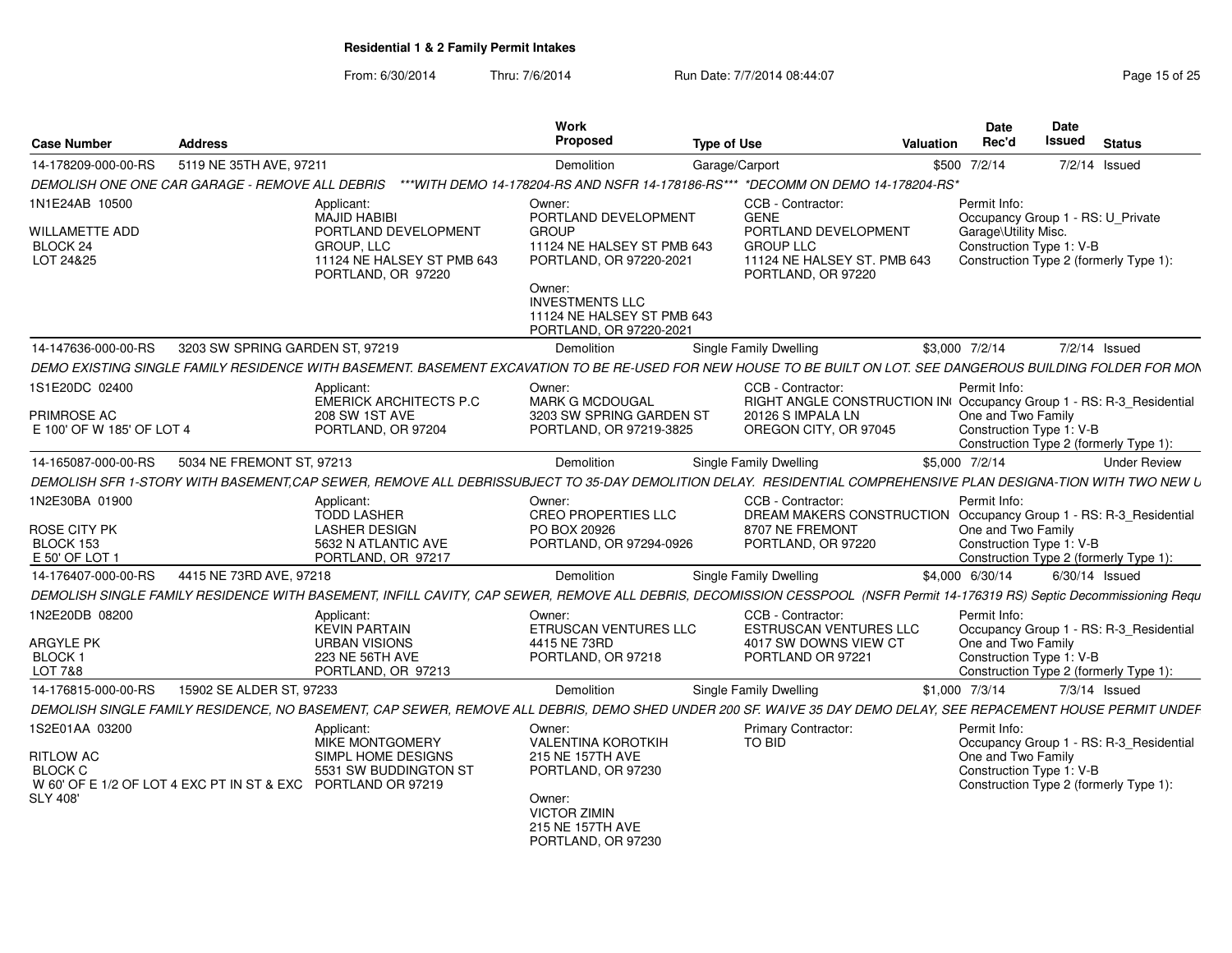| <b>Case Number</b>                                                                                                    | <b>Address</b>                  |                                                                                                                                                                          | Work<br>Proposed                                                                                                  | <b>Type of Use</b>                                                                            | <b>Date</b><br>Rec'd<br>Valuation                                                                       | Date<br>Issued<br><b>Status</b>                                    |
|-----------------------------------------------------------------------------------------------------------------------|---------------------------------|--------------------------------------------------------------------------------------------------------------------------------------------------------------------------|-------------------------------------------------------------------------------------------------------------------|-----------------------------------------------------------------------------------------------|---------------------------------------------------------------------------------------------------------|--------------------------------------------------------------------|
| 14-178209-000-00-RS                                                                                                   | 5119 NE 35TH AVE, 97211         |                                                                                                                                                                          | Demolition                                                                                                        | Garage/Carport                                                                                | \$500 7/2/14                                                                                            | 7/2/14 Issued                                                      |
| DEMOLISH ONE ONE CAR GARAGE - REMOVE ALL DEBRIS                                                                       |                                 |                                                                                                                                                                          |                                                                                                                   | ***WITH DEMO 14-178204-RS AND NSFR 14-178186-RS*** *DECOMM ON DEMO 14-178204-RS*              |                                                                                                         |                                                                    |
| 1N1E24AB 10500                                                                                                        |                                 | Applicant:<br><b>MAJID HABIBI</b>                                                                                                                                        | Owner:<br>PORTLAND DEVELOPMENT                                                                                    | CCB - Contractor:<br>GENE                                                                     | Permit Info:                                                                                            | Occupancy Group 1 - RS: U Private                                  |
| WILLAMETTE ADD<br>BLOCK 24<br>LOT 24&25                                                                               |                                 | PORTLAND DEVELOPMENT<br>GROUP. LLC<br>11124 NE HALSEY ST PMB 643<br>PORTLAND, OR 97220                                                                                   | <b>GROUP</b><br>11124 NE HALSEY ST PMB 643<br>PORTLAND, OR 97220-2021                                             | PORTLAND DEVELOPMENT<br><b>GROUP LLC</b><br>11124 NE HALSEY ST. PMB 643<br>PORTLAND, OR 97220 | Garage\Utility Misc.                                                                                    | Construction Type 1: V-B<br>Construction Type 2 (formerly Type 1): |
|                                                                                                                       |                                 |                                                                                                                                                                          | Owner:<br><b>INVESTMENTS LLC</b><br>11124 NE HALSEY ST PMB 643<br>PORTLAND, OR 97220-2021                         |                                                                                               |                                                                                                         |                                                                    |
| 14-147636-000-00-RS                                                                                                   | 3203 SW SPRING GARDEN ST, 97219 |                                                                                                                                                                          | <b>Demolition</b>                                                                                                 | <b>Single Family Dwelling</b>                                                                 | \$3,000 7/2/14                                                                                          | 7/2/14 Issued                                                      |
|                                                                                                                       |                                 | DEMO EXISTING SINGLE FAMILY RESIDENCE WITH BASEMENT. BASEMENT EXCAVATION TO BE RE-USED FOR NEW HOUSE TO BE BUILT ON LOT. SEE DANGEROUS BUILDING FOLDER FOR MON           |                                                                                                                   |                                                                                               |                                                                                                         |                                                                    |
| 1S1E20DC 02400                                                                                                        |                                 | Applicant:<br><b>EMERICK ARCHITECTS P.C.</b>                                                                                                                             | Owner:<br><b>MARK G MCDOUGAL</b>                                                                                  | CCB - Contractor:                                                                             | Permit Info:<br>RIGHT ANGLE CONSTRUCTION IN Occupancy Group 1 - RS: R-3_Residential                     |                                                                    |
| PRIMROSE AC<br>E 100' OF W 185' OF LOT 4                                                                              |                                 | <b>208 SW 1ST AVE</b><br>PORTLAND, OR 97204                                                                                                                              | 3203 SW SPRING GARDEN ST<br>PORTLAND, OR 97219-3825                                                               | 20126 S IMPALA LN<br>OREGON CITY, OR 97045                                                    | One and Two Family                                                                                      | Construction Type 1: V-B<br>Construction Type 2 (formerly Type 1): |
| 14-165087-000-00-RS                                                                                                   | 5034 NE FREMONT ST, 97213       |                                                                                                                                                                          | Demolition                                                                                                        | <b>Single Family Dwelling</b>                                                                 | \$5,000 7/2/14                                                                                          | <b>Under Review</b>                                                |
|                                                                                                                       |                                 | DEMOLISH SFR 1-STORY WITH BASEMENT.CAP SEWER. REMOVE ALL DEBRISSUBJECT TO 35-DAY DEMOLITION DELAY.  RESIDENTIAL COMPREHENSIVE PLAN DESIGNA-TION WITH TWO NEW L           |                                                                                                                   |                                                                                               |                                                                                                         |                                                                    |
| 1N2E30BA 01900<br>ROSE CITY PK<br>BLOCK 153<br>E 50' OF LOT 1                                                         |                                 | Applicant:<br><b>TODD LASHER</b><br><b>LASHER DESIGN</b><br>5632 N ATLANTIC AVE<br>PORTLAND, OR 97217                                                                    | Owner:<br><b>CREO PROPERTIES LLC</b><br>PO BOX 20926<br>PORTLAND, OR 97294-0926                                   | CCB - Contractor:<br>8707 NE FREMONT<br>PORTLAND, OR 97220                                    | Permit Info:<br>DREAM MAKERS CONSTRUCTION Occupancy Group 1 - RS: R-3 Residential<br>One and Two Family | Construction Type 1: V-B<br>Construction Type 2 (formerly Type 1): |
| 14-176407-000-00-RS                                                                                                   | 4415 NE 73RD AVE, 97218         |                                                                                                                                                                          | Demolition                                                                                                        | <b>Single Family Dwelling</b>                                                                 | \$4,000 6/30/14                                                                                         | $6/30/14$ Issued                                                   |
|                                                                                                                       |                                 | DEMOLISH SINGLE FAMILY RESIDENCE WITH BASEMENT, INFILL CAVITY, CAP SEWER, REMOVE ALL DEBRIS, DECOMISSION CESSPOOL (NSFR Permit 14-176319 RS) Septic Decommissioning Requ |                                                                                                                   |                                                                                               |                                                                                                         |                                                                    |
| 1N2E20DB 08200                                                                                                        |                                 | Applicant:<br><b>KEVIN PARTAIN</b>                                                                                                                                       | Owner:<br>ETRUSCAN VENTURES LLC                                                                                   | CCB - Contractor:<br><b>ESTRUSCAN VENTURES LLC</b>                                            | Permit Info:                                                                                            | Occupancy Group 1 - RS: R-3_Residential                            |
| <b>ARGYLE PK</b><br>BLOCK 1<br>LOT 7&8                                                                                |                                 | <b>URBAN VISIONS</b><br>223 NE 56TH AVE<br>PORTLAND, OR 97213                                                                                                            | 4415 NE 73RD<br>PORTLAND, OR 97218                                                                                | 4017 SW DOWNS VIEW CT<br>PORTLAND OR 97221                                                    | One and Two Family                                                                                      | Construction Type 1: V-B<br>Construction Type 2 (formerly Type 1): |
| 14-176815-000-00-RS                                                                                                   | 15902 SE ALDER ST, 97233        |                                                                                                                                                                          | Demolition                                                                                                        | Single Family Dwelling                                                                        | \$1,000 7/3/14                                                                                          | $7/3/14$ Issued                                                    |
|                                                                                                                       |                                 | DEMOLISH SINGLE FAMILY RESIDENCE, NO BASEMENT, CAP SEWER, REMOVE ALL DEBRIS, DEMO SHED UNDER 200 SF. WAIVE 35 DAY DEMO DELAY, SEE REPACEMENT HOUSE PERMIT UNDEF          |                                                                                                                   |                                                                                               |                                                                                                         |                                                                    |
| 1S2E01AA 03200                                                                                                        |                                 | Applicant:<br><b>MIKE MONTGOMERY</b>                                                                                                                                     | Owner:<br><b>VALENTINA KOROTKIH</b>                                                                               | <b>Primary Contractor:</b><br>TO BID                                                          | Permit Info:                                                                                            | Occupancy Group 1 - RS: R-3_Residential                            |
| <b>RITLOW AC</b><br><b>BLOCK C</b><br>W 60' OF E 1/2 OF LOT 4 EXC PT IN ST & EXC PORTLAND OR 97219<br><b>SLY 408'</b> |                                 | SIMPL HOME DESIGNS<br>5531 SW BUDDINGTON ST                                                                                                                              | 215 NE 157TH AVE<br>PORTLAND, OR 97230<br>Owner:<br><b>VICTOR ZIMIN</b><br>215 NE 157TH AVE<br>PORTLAND, OR 97230 |                                                                                               | One and Two Family                                                                                      | Construction Type 1: V-B<br>Construction Type 2 (formerly Type 1): |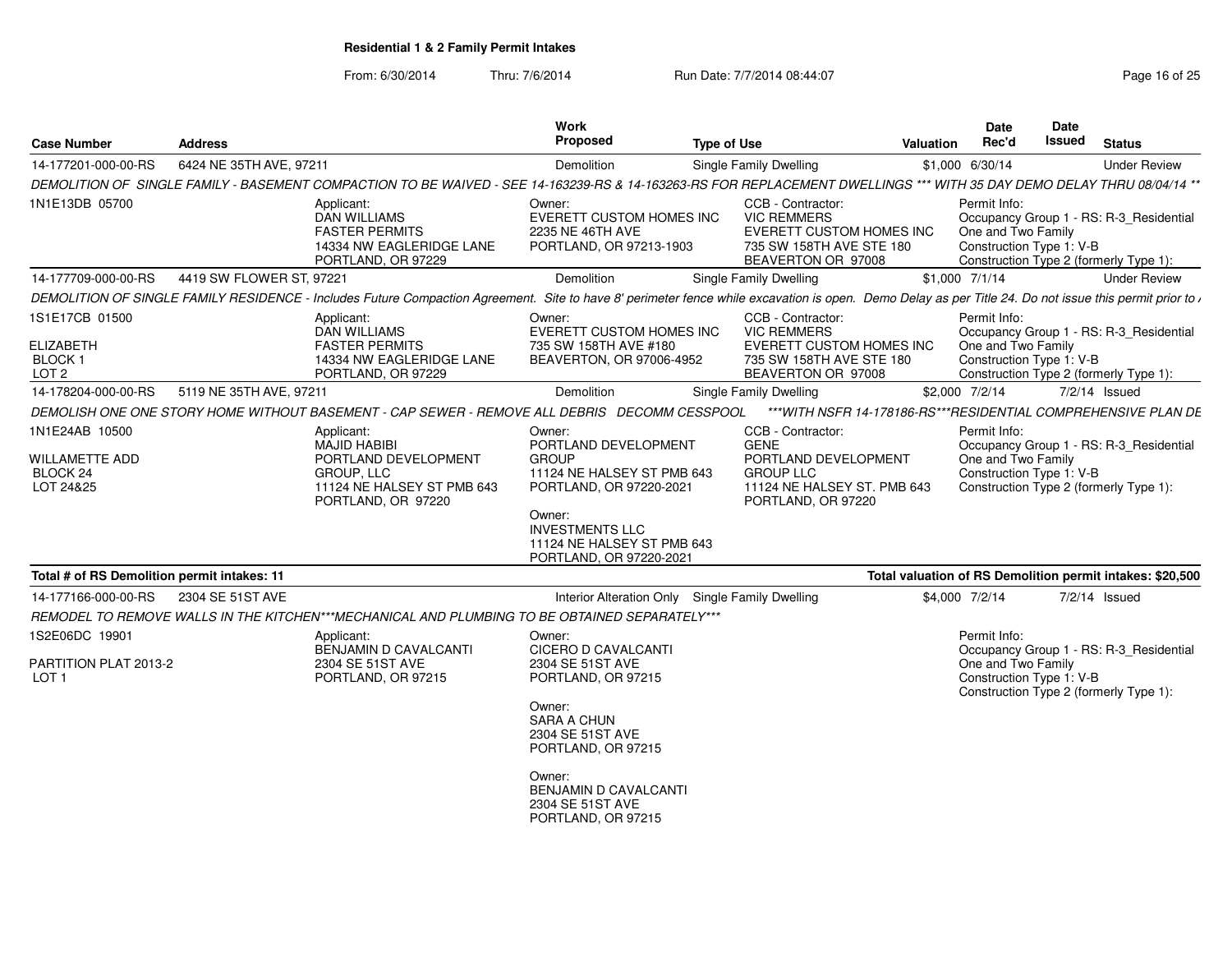From: 6/30/2014

Thru: 7/6/2014 Run Date: 7/7/2014 08:44:07 Research 25

| <b>Case Number</b>                                                                       | <b>Address</b>           |                                                                                                                                                                                                               | Work<br>Proposed                                                                                                                                                                                     | <b>Type of Use</b>                                                                                                                | Valuation       | Date<br>Rec'd                      | Date<br><b>Issued</b>                     | <b>Status</b>                                                                     |
|------------------------------------------------------------------------------------------|--------------------------|---------------------------------------------------------------------------------------------------------------------------------------------------------------------------------------------------------------|------------------------------------------------------------------------------------------------------------------------------------------------------------------------------------------------------|-----------------------------------------------------------------------------------------------------------------------------------|-----------------|------------------------------------|-------------------------------------------|-----------------------------------------------------------------------------------|
| 14-177201-000-00-RS                                                                      | 6424 NE 35TH AVE, 97211  |                                                                                                                                                                                                               | Demolition                                                                                                                                                                                           | Single Family Dwelling                                                                                                            | \$1,000 6/30/14 |                                    |                                           | <b>Under Review</b>                                                               |
|                                                                                          |                          | DEMOLITION OF SINGLE FAMILY - BASEMENT COMPACTION TO BE WAIVED - SEE 14-163239-RS & 14-163263-RS FOR REPLACEMENT DWELLINGS *** WITH 35 DAY DEMO DELAY THRU 08/04/14 **                                        |                                                                                                                                                                                                      |                                                                                                                                   |                 |                                    |                                           |                                                                                   |
| 1N1E13DB 05700                                                                           |                          | Applicant:<br>DAN WILLIAMS<br><b>FASTER PERMITS</b><br>14334 NW EAGLERIDGE LANE<br>PORTLAND, OR 97229                                                                                                         | Owner:<br>EVERETT CUSTOM HOMES INC<br>2235 NE 46TH AVE<br>PORTLAND, OR 97213-1903                                                                                                                    | CCB - Contractor:<br><b>VIC REMMERS</b><br>EVERETT CUSTOM HOMES INC<br>735 SW 158TH AVE STE 180<br>BEAVERTON OR 97008             |                 | Permit Info:<br>One and Two Family | Construction Type 1: V-B                  | Occupancy Group 1 - RS: R-3 Residential<br>Construction Type 2 (formerly Type 1): |
| 14-177709-000-00-RS                                                                      | 4419 SW FLOWER ST, 97221 |                                                                                                                                                                                                               | Demolition                                                                                                                                                                                           | <b>Single Family Dwelling</b>                                                                                                     | \$1,000 7/1/14  |                                    |                                           | <b>Under Review</b>                                                               |
|                                                                                          |                          | DEMOLITION OF SINGLE FAMILY RESIDENCE - Includes Future Compaction Agreement. Site to have 8' perimeter fence while excavation is open. Demo Delay as per Title 24. Do not issue this permit prior to $\iota$ |                                                                                                                                                                                                      |                                                                                                                                   |                 |                                    |                                           |                                                                                   |
| 1S1E17CB 01500<br><b>ELIZABETH</b><br>BLOCK 1<br>LOT <sub>2</sub><br>14-178204-000-00-RS | 5119 NE 35TH AVE, 97211  | Applicant:<br>DAN WILLIAMS<br><b>FASTER PERMITS</b><br>14334 NW EAGLERIDGE LANE<br>PORTLAND, OR 97229                                                                                                         | Owner:<br>EVERETT CUSTOM HOMES INC<br>735 SW 158TH AVE #180<br>BEAVERTON, OR 97006-4952<br>Demolition                                                                                                | CCB - Contractor:<br><b>VIC REMMERS</b><br><b>EVERETT CUSTOM HOMES INC</b><br>735 SW 158TH AVE STE 180<br>BEAVERTON OR 97008      | \$2,000 7/2/14  | Permit Info:<br>One and Two Family | Construction Type 1: V-B<br>7/2/14 Issued | Occupancy Group 1 - RS: R-3_Residential<br>Construction Type 2 (formerly Type 1): |
|                                                                                          |                          |                                                                                                                                                                                                               |                                                                                                                                                                                                      | Single Family Dwelling                                                                                                            |                 |                                    |                                           |                                                                                   |
|                                                                                          |                          | DEMOLISH ONE ONE STORY HOME WITHOUT BASEMENT - CAP SEWER - REMOVE ALL DEBRIS DECOMM CESSPOOL                                                                                                                  |                                                                                                                                                                                                      | *** WITH NSFR 14-178186-RS*** RESIDENTIAL COMPREHENSIVE PLAN DE                                                                   |                 |                                    |                                           |                                                                                   |
| 1N1E24AB 10500<br><b>WILLAMETTE ADD</b><br>BLOCK 24<br>LOT 24&25                         |                          | Applicant:<br>MAJID HABIBI<br>PORTLAND DEVELOPMENT<br>GROUP, LLC<br>11124 NE HALSEY ST PMB 643<br>PORTLAND, OR 97220                                                                                          | Owner:<br>PORTLAND DEVELOPMENT<br><b>GROUP</b><br>11124 NE HALSEY ST PMB 643<br>PORTLAND, OR 97220-2021<br>Owner:<br><b>INVESTMENTS LLC</b><br>11124 NE HALSEY ST PMB 643<br>PORTLAND, OR 97220-2021 | CCB - Contractor:<br><b>GENE</b><br>PORTLAND DEVELOPMENT<br><b>GROUP LLC</b><br>11124 NE HALSEY ST. PMB 643<br>PORTLAND, OR 97220 |                 | Permit Info:<br>One and Two Family | Construction Type 1: V-B                  | Occupancy Group 1 - RS: R-3_Residential<br>Construction Type 2 (formerly Type 1): |
| Total # of RS Demolition permit intakes: 11                                              |                          |                                                                                                                                                                                                               |                                                                                                                                                                                                      |                                                                                                                                   |                 |                                    |                                           | Total valuation of RS Demolition permit intakes: \$20,500                         |
| 14-177166-000-00-RS                                                                      | 2304 SE 51ST AVE         |                                                                                                                                                                                                               | Interior Alteration Only Single Family Dwelling                                                                                                                                                      |                                                                                                                                   | \$4,000 7/2/14  |                                    | 7/2/14 Issued                             |                                                                                   |
|                                                                                          |                          | REMODEL TO REMOVE WALLS IN THE KITCHEN***MECHANICAL AND PLUMBING TO BE OBTAINED SEPARATELY***                                                                                                                 |                                                                                                                                                                                                      |                                                                                                                                   |                 |                                    |                                           |                                                                                   |
| 1S2E06DC 19901                                                                           |                          | Applicant:<br>BENJAMIN D CAVALCANTI                                                                                                                                                                           | Owner:<br>CICERO D CAVALCANTI                                                                                                                                                                        |                                                                                                                                   |                 | Permit Info:                       |                                           | Occupancy Group 1 - RS: R-3 Residential                                           |
| PARTITION PLAT 2013-2<br>LOT <sub>1</sub>                                                |                          | 2304 SE 51ST AVE<br>PORTLAND, OR 97215                                                                                                                                                                        | 2304 SE 51ST AVE<br>PORTLAND, OR 97215<br>Owner:<br><b>SARA A CHUN</b><br>2304 SE 51ST AVE<br>PORTLAND, OR 97215<br>Owner:<br>BENJAMIN D CAVALCANTI<br>2304 SE 51ST AVE                              |                                                                                                                                   |                 | One and Two Family                 | Construction Type 1: V-B                  | Construction Type 2 (formerly Type 1):                                            |
|                                                                                          |                          |                                                                                                                                                                                                               | PORTLAND, OR 97215                                                                                                                                                                                   |                                                                                                                                   |                 |                                    |                                           |                                                                                   |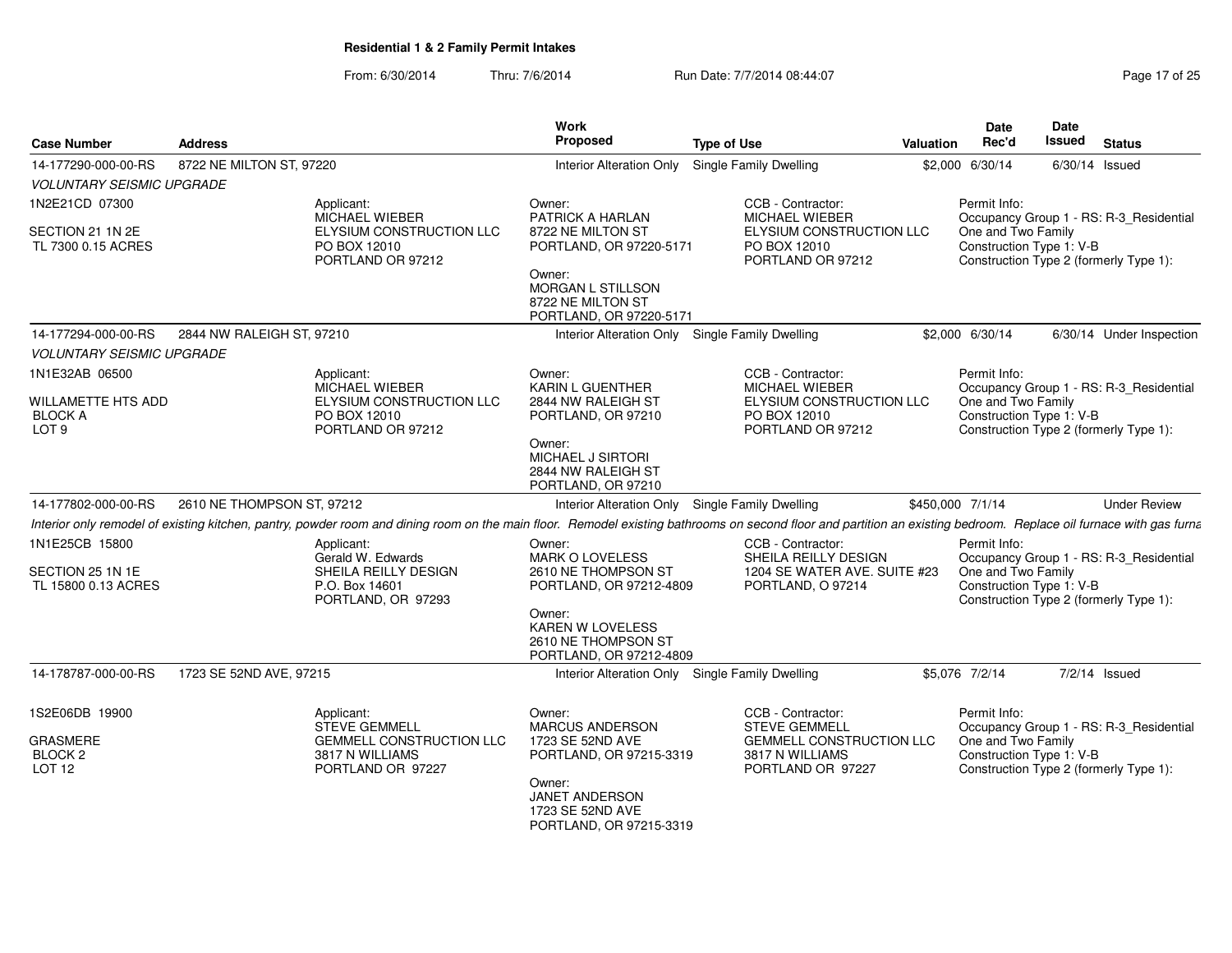|                                                               |                                                                                                                                                                                                                    | <b>Work</b>                                                                                                                                                 |                                                                                                |                  | Date                                                           | Date             |                                                                                   |
|---------------------------------------------------------------|--------------------------------------------------------------------------------------------------------------------------------------------------------------------------------------------------------------------|-------------------------------------------------------------------------------------------------------------------------------------------------------------|------------------------------------------------------------------------------------------------|------------------|----------------------------------------------------------------|------------------|-----------------------------------------------------------------------------------|
| <b>Case Number</b>                                            | <b>Address</b>                                                                                                                                                                                                     | Proposed                                                                                                                                                    | <b>Type of Use</b>                                                                             | <b>Valuation</b> | Rec'd                                                          | Issued           | <b>Status</b>                                                                     |
| 14-177290-000-00-RS                                           | 8722 NE MILTON ST, 97220                                                                                                                                                                                           | <b>Interior Alteration Only</b>                                                                                                                             | <b>Single Family Dwelling</b>                                                                  |                  | \$2,000 6/30/14                                                | $6/30/14$ Issued |                                                                                   |
| <b>VOLUNTARY SEISMIC UPGRADE</b>                              |                                                                                                                                                                                                                    |                                                                                                                                                             |                                                                                                |                  |                                                                |                  |                                                                                   |
| 1N2E21CD 07300                                                | Applicant:<br>MICHAEL WIEBER                                                                                                                                                                                       | Owner:<br>PATRICK A HARLAN                                                                                                                                  | CCB - Contractor:<br>MICHAEL WIEBER                                                            |                  | Permit Info:                                                   |                  | Occupancy Group 1 - RS: R-3_Residential                                           |
| SECTION 21 1N 2E<br>TL 7300 0.15 ACRES                        | ELYSIUM CONSTRUCTION LLC<br>PO BOX 12010<br>PORTLAND OR 97212                                                                                                                                                      | 8722 NE MILTON ST<br>PORTLAND, OR 97220-5171<br>Owner:<br>MORGAN L STILLSON<br>8722 NE MILTON ST<br>PORTLAND, OR 97220-5171                                 | ELYSIUM CONSTRUCTION LLC<br>PO BOX 12010<br>PORTLAND OR 97212                                  |                  | One and Two Family<br>Construction Type 1: V-B                 |                  | Construction Type 2 (formerly Type 1):                                            |
| 14-177294-000-00-RS                                           | 2844 NW RALEIGH ST, 97210                                                                                                                                                                                          |                                                                                                                                                             | Interior Alteration Only Single Family Dwelling                                                |                  | \$2,000 6/30/14                                                |                  | 6/30/14 Under Inspection                                                          |
| <b>VOLUNTARY SEISMIC UPGRADE</b>                              |                                                                                                                                                                                                                    |                                                                                                                                                             |                                                                                                |                  |                                                                |                  |                                                                                   |
| 1N1E32AB 06500<br><b>WILLAMETTE HTS ADD</b><br><b>BLOCK A</b> | Applicant:<br><b>MICHAEL WIEBER</b><br>ELYSIUM CONSTRUCTION LLC<br>PO BOX 12010                                                                                                                                    | Owner:<br>KARIN L GUENTHER<br>2844 NW RALEIGH ST<br>PORTLAND, OR 97210                                                                                      | CCB - Contractor:<br><b>MICHAEL WIEBER</b><br>ELYSIUM CONSTRUCTION LLC<br>PO BOX 12010         |                  | Permit Info:<br>One and Two Family<br>Construction Type 1: V-B |                  | Occupancy Group 1 - RS: R-3_Residential                                           |
| LOT <sub>9</sub>                                              | PORTLAND OR 97212                                                                                                                                                                                                  | Owner:<br>MICHAEL J SIRTORI<br>2844 NW RALEIGH ST<br>PORTLAND, OR 97210                                                                                     | PORTLAND OR 97212                                                                              |                  |                                                                |                  | Construction Type 2 (formerly Type 1):                                            |
| 14-177802-000-00-RS                                           | 2610 NE THOMPSON ST, 97212                                                                                                                                                                                         |                                                                                                                                                             | Interior Alteration Only Single Family Dwelling                                                |                  | \$450,000 7/1/14                                               |                  | <b>Under Review</b>                                                               |
|                                                               | Interior only remodel of existing kitchen, pantry, powder room and dining room on the main floor. Remodel existing bathrooms on second floor and partition an existing bedroom. Replace oil furnace with gas furna |                                                                                                                                                             |                                                                                                |                  |                                                                |                  |                                                                                   |
| 1N1E25CB 15800<br>SECTION 25 1N 1E<br>TL 15800 0.13 ACRES     | Applicant:<br>Gerald W. Edwards<br>SHEILA REILLY DESIGN<br>P.O. Box 14601<br>PORTLAND, OR 97293                                                                                                                    | Owner:<br>MARK O LOVELESS<br>2610 NE THOMPSON ST<br>PORTLAND, OR 97212-4809<br>Owner:<br>KAREN W LOVELESS<br>2610 NE THOMPSON ST<br>PORTLAND, OR 97212-4809 | CCB - Contractor:<br>SHEILA REILLY DESIGN<br>1204 SE WATER AVE. SUITE #23<br>PORTLAND, O 97214 |                  | Permit Info:<br>One and Two Family<br>Construction Type 1: V-B |                  | Occupancy Group 1 - RS: R-3_Residential<br>Construction Type 2 (formerly Type 1): |
| 14-178787-000-00-RS                                           | 1723 SE 52ND AVE, 97215                                                                                                                                                                                            | Interior Alteration Only                                                                                                                                    | <b>Single Family Dwelling</b>                                                                  |                  | \$5,076 7/2/14                                                 |                  | $7/2/14$ Issued                                                                   |
|                                                               |                                                                                                                                                                                                                    |                                                                                                                                                             |                                                                                                |                  |                                                                |                  |                                                                                   |
| 1S2E06DB 19900                                                | Applicant:<br><b>STEVE GEMMELL</b>                                                                                                                                                                                 | Owner:<br>MARCUS ANDERSON                                                                                                                                   | CCB - Contractor:<br><b>STEVE GEMMELL</b>                                                      |                  | Permit Info:                                                   |                  | Occupancy Group 1 - RS: R-3_Residential                                           |
| GRASMERE<br>BLOCK <sub>2</sub><br>LOT <sub>12</sub>           | <b>GEMMELL CONSTRUCTION LLC</b><br>3817 N WILLIAMS<br>PORTLAND OR 97227                                                                                                                                            | 1723 SE 52ND AVE<br>PORTLAND, OR 97215-3319                                                                                                                 | <b>GEMMELL CONSTRUCTION LLC</b><br>3817 N WILLIAMS<br>PORTLAND OR 97227                        |                  | One and Two Family<br>Construction Type 1: V-B                 |                  | Construction Type 2 (formerly Type 1):                                            |
|                                                               |                                                                                                                                                                                                                    | Owner:<br>JANET ANDERSON<br>1723 SE 52ND AVE<br>PORTLAND, OR 97215-3319                                                                                     |                                                                                                |                  |                                                                |                  |                                                                                   |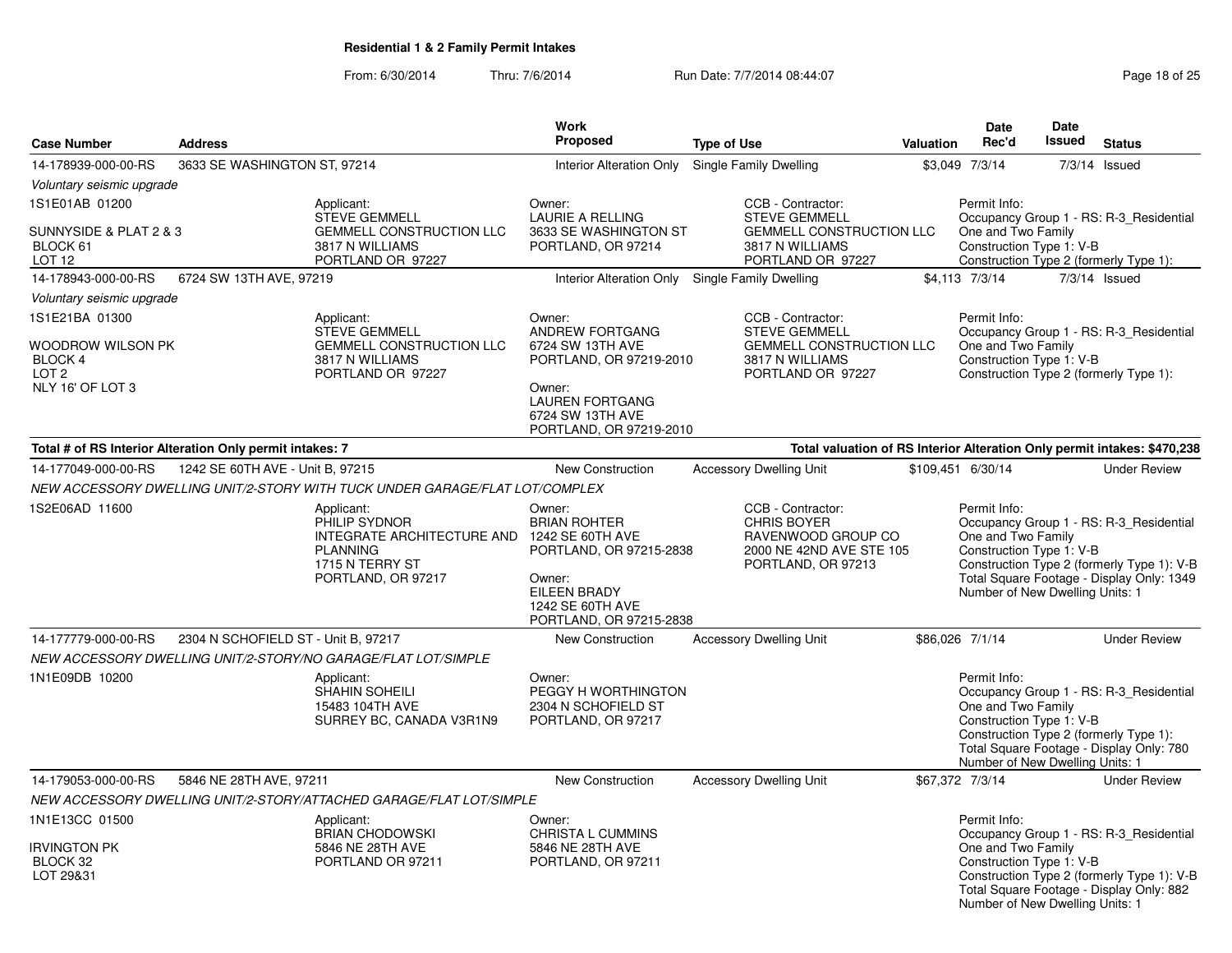|                                                                                        | <b>Address</b>                                           |                                                                                                                       | <b>Work</b><br><b>Proposed</b>                                                                                                                              |                                                                                                                      | <b>Valuation</b> | <b>Date</b><br>Rec'd                                                                              | Date<br>Issued | <b>Status</b>                                                                                                                      |
|----------------------------------------------------------------------------------------|----------------------------------------------------------|-----------------------------------------------------------------------------------------------------------------------|-------------------------------------------------------------------------------------------------------------------------------------------------------------|----------------------------------------------------------------------------------------------------------------------|------------------|---------------------------------------------------------------------------------------------------|----------------|------------------------------------------------------------------------------------------------------------------------------------|
| <b>Case Number</b>                                                                     |                                                          |                                                                                                                       |                                                                                                                                                             | <b>Type of Use</b>                                                                                                   |                  |                                                                                                   |                |                                                                                                                                    |
| 14-178939-000-00-RS                                                                    | 3633 SE WASHINGTON ST, 97214                             |                                                                                                                       | <b>Interior Alteration Only</b>                                                                                                                             | Single Family Dwelling                                                                                               |                  | \$3,049 7/3/14                                                                                    |                | $7/3/14$ Issued                                                                                                                    |
| Voluntary seismic upgrade                                                              |                                                          |                                                                                                                       |                                                                                                                                                             |                                                                                                                      |                  |                                                                                                   |                |                                                                                                                                    |
| 1S1E01AB 01200<br>SUNNYSIDE & PLAT 2 & 3<br>BLOCK 61                                   |                                                          | Applicant:<br><b>STEVE GEMMELL</b><br>GEMMELL CONSTRUCTION LLC<br>3817 N WILLIAMS                                     | Owner:<br><b>LAURIE A RELLING</b><br>3633 SE WASHINGTON ST<br>PORTLAND, OR 97214                                                                            | CCB - Contractor:<br><b>STEVE GEMMELL</b><br><b>GEMMELL CONSTRUCTION LLC</b><br>3817 N WILLIAMS                      |                  | Permit Info:<br>One and Two Family<br>Construction Type 1: V-B                                    |                | Occupancy Group 1 - RS: R-3_Residential                                                                                            |
| LOT 12<br>14-178943-000-00-RS                                                          | 6724 SW 13TH AVE, 97219                                  | PORTLAND OR 97227                                                                                                     | Interior Alteration Only Single Family Dwelling                                                                                                             | PORTLAND OR 97227                                                                                                    |                  | \$4,113 7/3/14                                                                                    |                | Construction Type 2 (formerly Type 1):<br>$7/3/14$ Issued                                                                          |
|                                                                                        |                                                          |                                                                                                                       |                                                                                                                                                             |                                                                                                                      |                  |                                                                                                   |                |                                                                                                                                    |
| Voluntary seismic upgrade                                                              |                                                          |                                                                                                                       |                                                                                                                                                             |                                                                                                                      |                  |                                                                                                   |                |                                                                                                                                    |
| 1S1E21BA 01300<br>WOODROW WILSON PK<br>BLOCK 4<br>LOT <sub>2</sub><br>NLY 16' OF LOT 3 |                                                          | Applicant:<br><b>STEVE GEMMELL</b><br><b>GEMMELL CONSTRUCTION LLC</b><br>3817 N WILLIAMS<br>PORTLAND OR 97227         | Owner:<br>ANDREW FORTGANG<br>6724 SW 13TH AVE<br>PORTLAND, OR 97219-2010<br>Owner:<br><b>LAUREN FORTGANG</b><br>6724 SW 13TH AVE<br>PORTLAND, OR 97219-2010 | CCB - Contractor:<br><b>STEVE GEMMELL</b><br><b>GEMMELL CONSTRUCTION LLC</b><br>3817 N WILLIAMS<br>PORTLAND OR 97227 |                  | Permit Info:<br>One and Two Family<br>Construction Type 1: V-B                                    |                | Occupancy Group 1 - RS: R-3_Residential<br>Construction Type 2 (formerly Type 1):                                                  |
|                                                                                        | Total # of RS Interior Alteration Only permit intakes: 7 |                                                                                                                       |                                                                                                                                                             |                                                                                                                      |                  |                                                                                                   |                | Total valuation of RS Interior Alteration Only permit intakes: \$470,238                                                           |
| 14-177049-000-00-RS                                                                    | 1242 SE 60TH AVE - Unit B, 97215                         |                                                                                                                       | New Construction                                                                                                                                            | <b>Accessory Dwelling Unit</b>                                                                                       |                  | \$109,451 6/30/14                                                                                 |                | <b>Under Review</b>                                                                                                                |
|                                                                                        |                                                          | NEW ACCESSORY DWELLING UNIT/2-STORY WITH TUCK UNDER GARAGE/FLAT LOT/COMPLEX                                           |                                                                                                                                                             |                                                                                                                      |                  |                                                                                                   |                |                                                                                                                                    |
| 1S2E06AD 11600                                                                         |                                                          | Applicant:<br>PHILIP SYDNOR<br>INTEGRATE ARCHITECTURE AND<br><b>PLANNING</b><br>1715 N TERRY ST<br>PORTLAND, OR 97217 | Owner:<br><b>BRIAN ROHTER</b><br>1242 SE 60TH AVE<br>PORTLAND, OR 97215-2838<br>Owner:<br>EILEEN BRADY<br>1242 SE 60TH AVE<br>PORTLAND, OR 97215-2838       | CCB - Contractor:<br><b>CHRIS BOYER</b><br>RAVENWOOD GROUP CO<br>2000 NE 42ND AVE STE 105<br>PORTLAND, OR 97213      |                  | Permit Info:<br>One and Two Family<br>Construction Type 1: V-B<br>Number of New Dwelling Units: 1 |                | Occupancy Group 1 - RS: R-3_Residential<br>Construction Type 2 (formerly Type 1): V-B<br>Total Square Footage - Display Only: 1349 |
| 14-177779-000-00-RS                                                                    | 2304 N SCHOFIELD ST - Unit B, 97217                      |                                                                                                                       | New Construction                                                                                                                                            | <b>Accessory Dwelling Unit</b>                                                                                       |                  | \$86,026 7/1/14                                                                                   |                | <b>Under Review</b>                                                                                                                |
|                                                                                        |                                                          | NEW ACCESSORY DWELLING UNIT/2-STORY/NO GARAGE/FLAT LOT/SIMPLE                                                         |                                                                                                                                                             |                                                                                                                      |                  |                                                                                                   |                |                                                                                                                                    |
| 1N1E09DB 10200                                                                         |                                                          | Applicant:<br>SHAHIN SOHEILI<br>15483 104TH AVE<br>SURREY BC, CANADA V3R1N9                                           | Owner:<br>PEGGY H WORTHINGTON<br>2304 N SCHOFIELD ST<br>PORTLAND, OR 97217                                                                                  |                                                                                                                      |                  | Permit Info:<br>One and Two Family<br>Construction Type 1: V-B<br>Number of New Dwelling Units: 1 |                | Occupancy Group 1 - RS: R-3_Residential<br>Construction Type 2 (formerly Type 1):<br>Total Square Footage - Display Only: 780      |
| 14-179053-000-00-RS                                                                    | 5846 NE 28TH AVE, 97211                                  |                                                                                                                       | New Construction                                                                                                                                            | <b>Accessory Dwelling Unit</b>                                                                                       |                  | \$67,372 7/3/14                                                                                   |                | <b>Under Review</b>                                                                                                                |
|                                                                                        |                                                          | NEW ACCESSORY DWELLING UNIT/2-STORY/ATTACHED GARAGE/FLAT LOT/SIMPLE                                                   |                                                                                                                                                             |                                                                                                                      |                  |                                                                                                   |                |                                                                                                                                    |
| 1N1E13CC 01500<br>Irvington PK<br>BLOCK 32<br>LOT 29&31                                |                                                          | Applicant:<br><b>BRIAN CHODOWSKI</b><br>5846 NE 28TH AVE<br>PORTLAND OR 97211                                         | Owner:<br><b>CHRISTA L CUMMINS</b><br>5846 NE 28TH AVE<br>PORTLAND, OR 97211                                                                                |                                                                                                                      |                  | Permit Info:<br>One and Two Family<br>Construction Type 1: V-B                                    |                | Occupancy Group 1 - RS: R-3_Residential<br>Construction Type 2 (formerly Type 1): V-B                                              |
|                                                                                        |                                                          |                                                                                                                       |                                                                                                                                                             |                                                                                                                      |                  | Number of New Dwelling Units: 1                                                                   |                | Total Square Footage - Display Only: 882                                                                                           |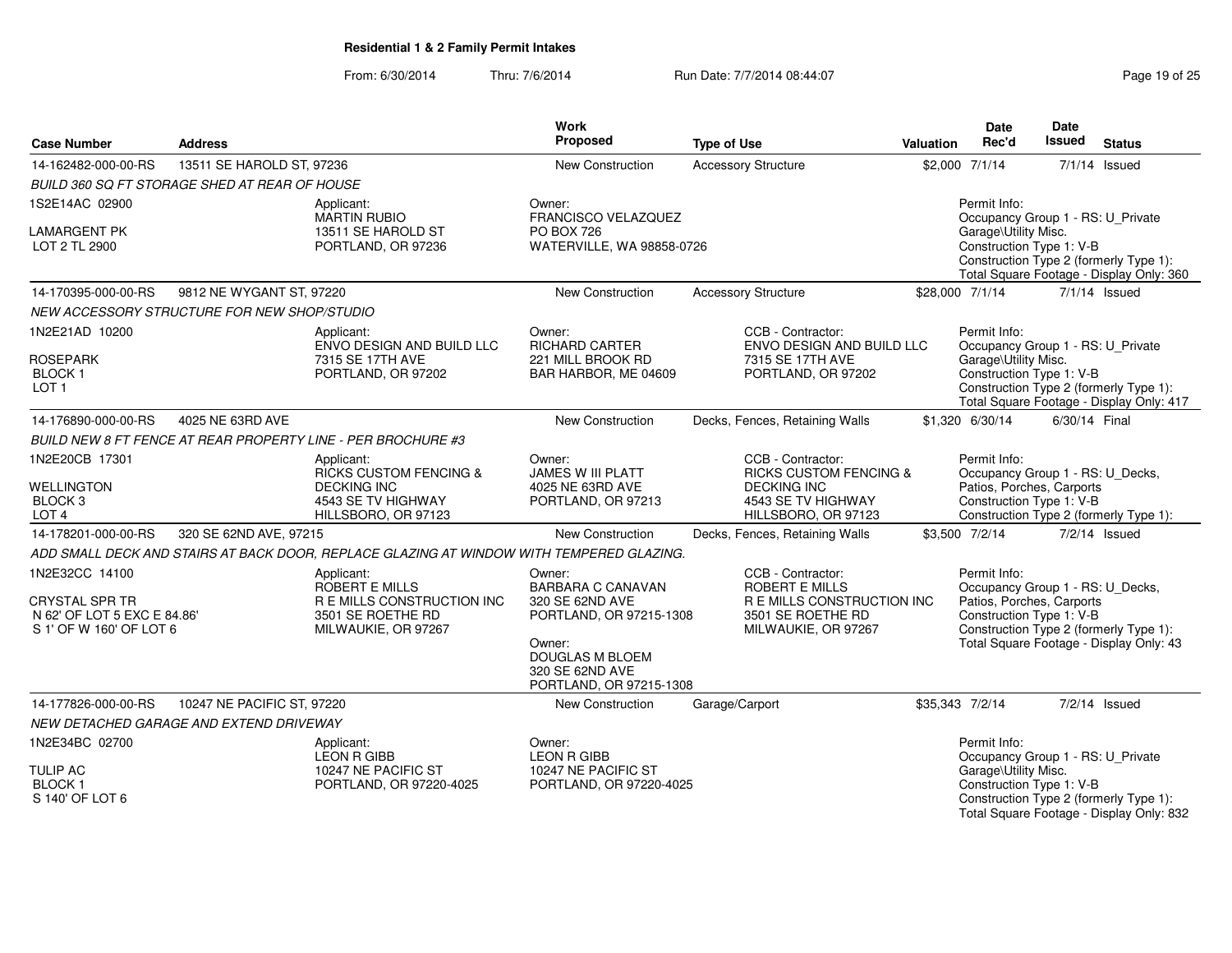From: 6/30/2014

Thru: 7/6/2014 **Run Date: 7/7/2014 08:44:07** Page 19 of 25

| <b>Address</b><br><b>Case Number</b>                                                              |                                               |                                                                                                                    | Work<br>Proposed                                                                 | <b>Type of Use</b>                                                                                                          | <b>Valuation</b> | <b>Date</b><br>Rec'd                                                                                      | Date<br><b>Issued</b> | <b>Status</b>                                                                      |
|---------------------------------------------------------------------------------------------------|-----------------------------------------------|--------------------------------------------------------------------------------------------------------------------|----------------------------------------------------------------------------------|-----------------------------------------------------------------------------------------------------------------------------|------------------|-----------------------------------------------------------------------------------------------------------|-----------------------|------------------------------------------------------------------------------------|
| 14-162482-000-00-RS                                                                               | 13511 SE HAROLD ST, 97236                     |                                                                                                                    | New Construction                                                                 | <b>Accessory Structure</b>                                                                                                  |                  | \$2,000 7/1/14                                                                                            |                       | $7/1/14$ Issued                                                                    |
|                                                                                                   | BUILD 360 SQ FT STORAGE SHED AT REAR OF HOUSE |                                                                                                                    |                                                                                  |                                                                                                                             |                  |                                                                                                           |                       |                                                                                    |
| 1S2E14AC 02900                                                                                    |                                               | Applicant:<br>MARTIN RUBIO                                                                                         | Owner:<br>FRANCISCO VELAZQUEZ                                                    |                                                                                                                             |                  | Permit Info:<br>Occupancy Group 1 - RS: U_Private                                                         |                       |                                                                                    |
| <b>LAMARGENT PK</b><br>LOT 2 TL 2900                                                              |                                               | 13511 SE HAROLD ST<br>PORTLAND, OR 97236                                                                           | PO BOX 726<br>WATERVILLE, WA 98858-0726                                          |                                                                                                                             |                  | Garage\Utility Misc.<br>Construction Type 1: V-B                                                          |                       | Construction Type 2 (formerly Type 1):<br>Total Square Footage - Display Only: 360 |
| 14-170395-000-00-RS                                                                               | 9812 NE WYGANT ST, 97220                      |                                                                                                                    | New Construction                                                                 | <b>Accessory Structure</b>                                                                                                  |                  | \$28,000 7/1/14                                                                                           |                       | $7/1/14$ Issued                                                                    |
|                                                                                                   | NEW ACCESSORY STRUCTURE FOR NEW SHOP/STUDIO   |                                                                                                                    |                                                                                  |                                                                                                                             |                  |                                                                                                           |                       |                                                                                    |
| 1N2E21AD 10200<br><b>ROSEPARK</b>                                                                 |                                               | Applicant:<br>ENVO DESIGN AND BUILD LLC<br>7315 SE 17TH AVE                                                        | Owner:<br><b>RICHARD CARTER</b><br>221 MILL BROOK RD                             | CCB - Contractor:<br>ENVO DESIGN AND BUILD LLC<br>7315 SE 17TH AVE                                                          |                  | Permit Info:<br>Occupancy Group 1 - RS: U_Private<br>Garage\Utility Misc.                                 |                       |                                                                                    |
| <b>BLOCK1</b><br>LOT <sub>1</sub>                                                                 |                                               | PORTLAND, OR 97202                                                                                                 | BAR HARBOR, ME 04609                                                             | PORTLAND, OR 97202                                                                                                          |                  | Construction Type 1: V-B                                                                                  |                       | Construction Type 2 (formerly Type 1):<br>Total Square Footage - Display Only: 417 |
| 14-176890-000-00-RS                                                                               | 4025 NE 63RD AVE                              |                                                                                                                    | New Construction                                                                 | Decks, Fences, Retaining Walls                                                                                              |                  | \$1,320 6/30/14                                                                                           | 6/30/14 Final         |                                                                                    |
|                                                                                                   |                                               | <b>BUILD NEW 8 FT FENCE AT REAR PROPERTY LINE - PER BROCHURE #3</b>                                                |                                                                                  |                                                                                                                             |                  |                                                                                                           |                       |                                                                                    |
| 1N2E20CB 17301<br><b>WELLINGTON</b><br>BLOCK <sub>3</sub><br>LOT <sub>4</sub>                     |                                               | Applicant:<br><b>RICKS CUSTOM FENCING &amp;</b><br><b>DECKING INC</b><br>4543 SE TV HIGHWAY<br>HILLSBORO, OR 97123 | Owner:<br>JAMES W III PLATT<br>4025 NE 63RD AVE<br>PORTLAND, OR 97213            | CCB - Contractor:<br><b>RICKS CUSTOM FENCING &amp;</b><br><b>DECKING INC</b><br>4543 SE TV HIGHWAY<br>HILLSBORO, OR 97123   |                  | Permit Info:<br>Occupancy Group 1 - RS: U_Decks,<br>Patios, Porches, Carports<br>Construction Type 1: V-B |                       | Construction Type 2 (formerly Type 1):                                             |
| 14-178201-000-00-RS                                                                               | 320 SE 62ND AVE, 97215                        |                                                                                                                    | New Construction                                                                 | Decks, Fences, Retaining Walls                                                                                              |                  | \$3,500 7/2/14                                                                                            |                       | 7/2/14 Issued                                                                      |
|                                                                                                   |                                               | ADD SMALL DECK AND STAIRS AT BACK DOOR, REPLACE GLAZING AT WINDOW WITH TEMPERED GLAZING.                           |                                                                                  |                                                                                                                             |                  |                                                                                                           |                       |                                                                                    |
| 1N2E32CC 14100<br><b>CRYSTAL SPR TR</b><br>N 62' OF LOT 5 EXC E 84.86'<br>S 1' OF W 160' OF LOT 6 |                                               | Applicant:<br>ROBERT E MILLS<br>R E MILLS CONSTRUCTION INC<br>3501 SE ROETHE RD<br>MILWAUKIE, OR 97267             | Owner:<br><b>BARBARA C CANAVAN</b><br>320 SE 62ND AVE<br>PORTLAND, OR 97215-1308 | CCB - Contractor:<br><b>ROBERT E MILLS</b><br><b>R E MILLS CONSTRUCTION INC</b><br>3501 SE ROETHE RD<br>MILWAUKIE, OR 97267 |                  | Permit Info:<br>Occupancy Group 1 - RS: U_Decks,<br>Patios, Porches, Carports<br>Construction Type 1: V-B |                       | Construction Type 2 (formerly Type 1):                                             |
|                                                                                                   |                                               |                                                                                                                    | Owner:<br>DOUGLAS M BLOEM<br>320 SE 62ND AVE<br>PORTLAND, OR 97215-1308          |                                                                                                                             |                  |                                                                                                           |                       | Total Square Footage - Display Only: 43                                            |
| 14-177826-000-00-RS                                                                               | 10247 NE PACIFIC ST, 97220                    |                                                                                                                    | New Construction                                                                 | Garage/Carport                                                                                                              |                  | \$35,343 7/2/14                                                                                           |                       | $7/2/14$ Issued                                                                    |
|                                                                                                   | NEW DETACHED GARAGE AND EXTEND DRIVEWAY       |                                                                                                                    |                                                                                  |                                                                                                                             |                  |                                                                                                           |                       |                                                                                    |
| 1N2E34BC 02700                                                                                    |                                               | Applicant:<br><b>LEON R GIBB</b>                                                                                   | Owner:<br><b>LEON R GIBB</b>                                                     |                                                                                                                             |                  | Permit Info:<br>Occupancy Group 1 - RS: U_Private                                                         |                       |                                                                                    |
| <b>TULIP AC</b><br><b>BLOCK1</b><br>S 140' OF LOT 6                                               |                                               | 10247 NE PACIFIC ST<br>PORTLAND, OR 97220-4025                                                                     | 10247 NE PACIFIC ST<br>PORTLAND, OR 97220-4025                                   |                                                                                                                             |                  | Garage\Utility Misc.<br>Construction Type 1: V-B                                                          |                       | Construction Type 2 (formerly Type 1):<br>Total Square Footage - Display Only: 832 |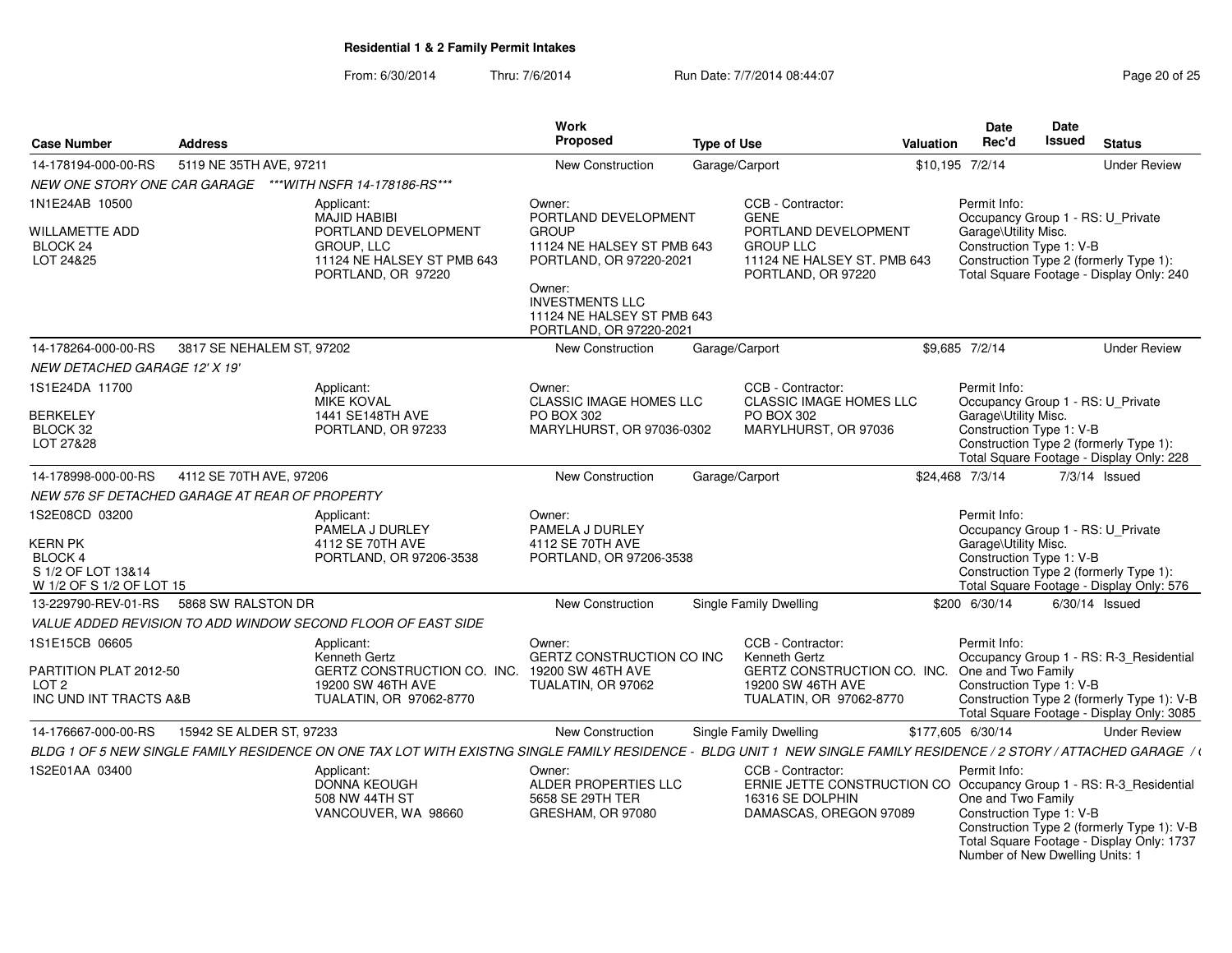From: 6/30/2014

Thru: 7/6/2014 Run Date: 7/7/2014 08:44:07 Research 25

| <b>Case Number</b>                                                                                   | <b>Address</b>            |                                                                                                                                                                       | Work<br>Proposed                                                                                        | <b>Type of Use</b>                                                                                                                     | Valuation | Date<br>Rec'd                                                                                         | <b>Date</b><br><b>Issued</b> | <b>Status</b>                                                                                                                      |
|------------------------------------------------------------------------------------------------------|---------------------------|-----------------------------------------------------------------------------------------------------------------------------------------------------------------------|---------------------------------------------------------------------------------------------------------|----------------------------------------------------------------------------------------------------------------------------------------|-----------|-------------------------------------------------------------------------------------------------------|------------------------------|------------------------------------------------------------------------------------------------------------------------------------|
| 14-178194-000-00-RS                                                                                  | 5119 NE 35TH AVE, 97211   |                                                                                                                                                                       | <b>New Construction</b>                                                                                 | Garage/Carport                                                                                                                         |           | \$10,195 7/2/14                                                                                       |                              | <b>Under Review</b>                                                                                                                |
| NEW ONE STORY ONE CAR GARAGE                                                                         |                           | ***WITH NSFR 14-178186-RS***                                                                                                                                          |                                                                                                         |                                                                                                                                        |           |                                                                                                       |                              |                                                                                                                                    |
| 1N1E24AB 10500<br><b>WILLAMETTE ADD</b><br>BLOCK 24<br>LOT 24&25                                     |                           | Applicant:<br><b>MAJID HABIBI</b><br>PORTLAND DEVELOPMENT<br>GROUP, LLC<br>11124 NE HALSEY ST PMB 643                                                                 | Owner:<br>PORTLAND DEVELOPMENT<br><b>GROUP</b><br>11124 NE HALSEY ST PMB 643<br>PORTLAND, OR 97220-2021 | CCB - Contractor:<br><b>GENE</b><br>PORTLAND DEVELOPMENT<br><b>GROUP LLC</b><br>11124 NE HALSEY ST. PMB 643                            |           | Permit Info:<br>Occupancy Group 1 - RS: U Private<br>Garage\Utility Misc.<br>Construction Type 1: V-B |                              | Construction Type 2 (formerly Type 1):                                                                                             |
|                                                                                                      |                           | PORTLAND, OR 97220                                                                                                                                                    | Owner:<br><b>INVESTMENTS LLC</b><br>11124 NE HALSEY ST PMB 643<br>PORTLAND, OR 97220-2021               | PORTLAND, OR 97220                                                                                                                     |           |                                                                                                       |                              | Total Square Footage - Display Only: 240                                                                                           |
| 14-178264-000-00-RS                                                                                  | 3817 SE NEHALEM ST, 97202 |                                                                                                                                                                       | <b>New Construction</b>                                                                                 | Garage/Carport                                                                                                                         |           | \$9.685 7/2/14                                                                                        |                              | <b>Under Review</b>                                                                                                                |
| <i>NEW DETACHED GARAGE 12' X 19'</i>                                                                 |                           |                                                                                                                                                                       |                                                                                                         |                                                                                                                                        |           |                                                                                                       |                              |                                                                                                                                    |
| 1S1E24DA 11700<br><b>BERKELEY</b>                                                                    |                           | Applicant:<br>MIKE KOVAL<br>1441 SE148TH AVE                                                                                                                          | Owner:<br><b>CLASSIC IMAGE HOMES LLC</b><br>PO BOX 302                                                  | CCB - Contractor:<br>CLASSIC IMAGE HOMES LLC<br>PO BOX 302                                                                             |           | Permit Info:<br>Occupancy Group 1 - RS: U_Private<br>Garage\Utility Misc.                             |                              |                                                                                                                                    |
| BLOCK 32<br>LOT 27&28                                                                                |                           | PORTLAND, OR 97233                                                                                                                                                    | MARYLHURST, OR 97036-0302                                                                               | MARYLHURST, OR 97036                                                                                                                   |           | Construction Type 1: V-B                                                                              |                              | Construction Type 2 (formerly Type 1):<br>Total Square Footage - Display Only: 228                                                 |
| 14-178998-000-00-RS                                                                                  | 4112 SE 70TH AVE, 97206   |                                                                                                                                                                       | <b>New Construction</b>                                                                                 | Garage/Carport                                                                                                                         |           | \$24,468 7/3/14                                                                                       |                              | $7/3/14$ Issued                                                                                                                    |
| NEW 576 SF DETACHED GARAGE AT REAR OF PROPERTY                                                       |                           |                                                                                                                                                                       |                                                                                                         |                                                                                                                                        |           |                                                                                                       |                              |                                                                                                                                    |
| 1S2E08CD 03200<br><b>KERN PK</b><br><b>BLOCK 4</b><br>S 1/2 OF LOT 13&14<br>W 1/2 OF S 1/2 OF LOT 15 |                           | Applicant:<br>PAMELA J DURLEY<br>4112 SE 70TH AVE<br>PORTLAND, OR 97206-3538                                                                                          | Owner:<br>PAMELA J DURLEY<br>4112 SE 70TH AVE<br>PORTLAND, OR 97206-3538                                |                                                                                                                                        |           | Permit Info:<br>Occupancy Group 1 - RS: U_Private<br>Garage\Utility Misc.<br>Construction Type 1: V-B |                              | Construction Type 2 (formerly Type 1):<br>Total Square Footage - Display Only: 576                                                 |
| 13-229790-REV-01-RS                                                                                  | 5868 SW RALSTON DR        |                                                                                                                                                                       | <b>New Construction</b>                                                                                 | Single Family Dwelling                                                                                                                 |           | \$200 6/30/14                                                                                         |                              | $6/30/14$ Issued                                                                                                                   |
|                                                                                                      |                           | VALUE ADDED REVISION TO ADD WINDOW SECOND FLOOR OF EAST SIDE                                                                                                          |                                                                                                         |                                                                                                                                        |           |                                                                                                       |                              |                                                                                                                                    |
| 1S1E15CB 06605<br>PARTITION PLAT 2012-50<br>LOT <sub>2</sub><br>INC UND INT TRACTS A&B               |                           | Applicant:<br>Kenneth Gertz<br>GERTZ CONSTRUCTION CO. INC.<br>19200 SW 46TH AVE<br>TUALATIN, OR 97062-8770                                                            | Owner:<br>GERTZ CONSTRUCTION CO INC<br>19200 SW 46TH AVE<br>TUALATIN, OR 97062                          | CCB - Contractor:<br>Kenneth Gertz<br>GERTZ CONSTRUCTION CO. INC.<br>19200 SW 46TH AVE<br>TUALATIN, OR 97062-8770                      |           | Permit Info:<br>One and Two Family<br>Construction Type 1: V-B                                        |                              | Occupancy Group 1 - RS: R-3 Residential<br>Construction Type 2 (formerly Type 1): V-B<br>Total Square Footage - Display Only: 3085 |
| 14-176667-000-00-RS                                                                                  | 15942 SE ALDER ST, 97233  |                                                                                                                                                                       | <b>New Construction</b>                                                                                 | Single Family Dwelling                                                                                                                 |           | \$177,605 6/30/14                                                                                     |                              | <b>Under Review</b>                                                                                                                |
|                                                                                                      |                           | BLDG 1 OF 5 NEW SINGLE FAMILY RESIDENCE ON ONE TAX LOT WITH EXISTNG SINGLE FAMILY RESIDENCE - BLDG UNIT 1 NEW SINGLE FAMILY RESIDENCE / 2 STORY / ATTACHED GARAGE / t |                                                                                                         |                                                                                                                                        |           |                                                                                                       |                              |                                                                                                                                    |
| 1S2E01AA 03400                                                                                       |                           | Applicant:<br><b>DONNA KEOUGH</b><br>508 NW 44TH ST<br>VANCOUVER, WA 98660                                                                                            | Owner:<br>ALDER PROPERTIES LLC<br>5658 SE 29TH TER<br>GRESHAM, OR 97080                                 | CCB - Contractor:<br>ERNIE JETTE CONSTRUCTION CO Occupancy Group 1 - RS: R-3_Residential<br>16316 SE DOLPHIN<br>DAMASCAS, OREGON 97089 |           | Permit Info:<br>One and Two Family<br>Construction Type 1: V-B<br>Number of New Dwelling Units: 1     |                              | Construction Type 2 (formerly Type 1): V-B<br>Total Square Footage - Display Only: 1737                                            |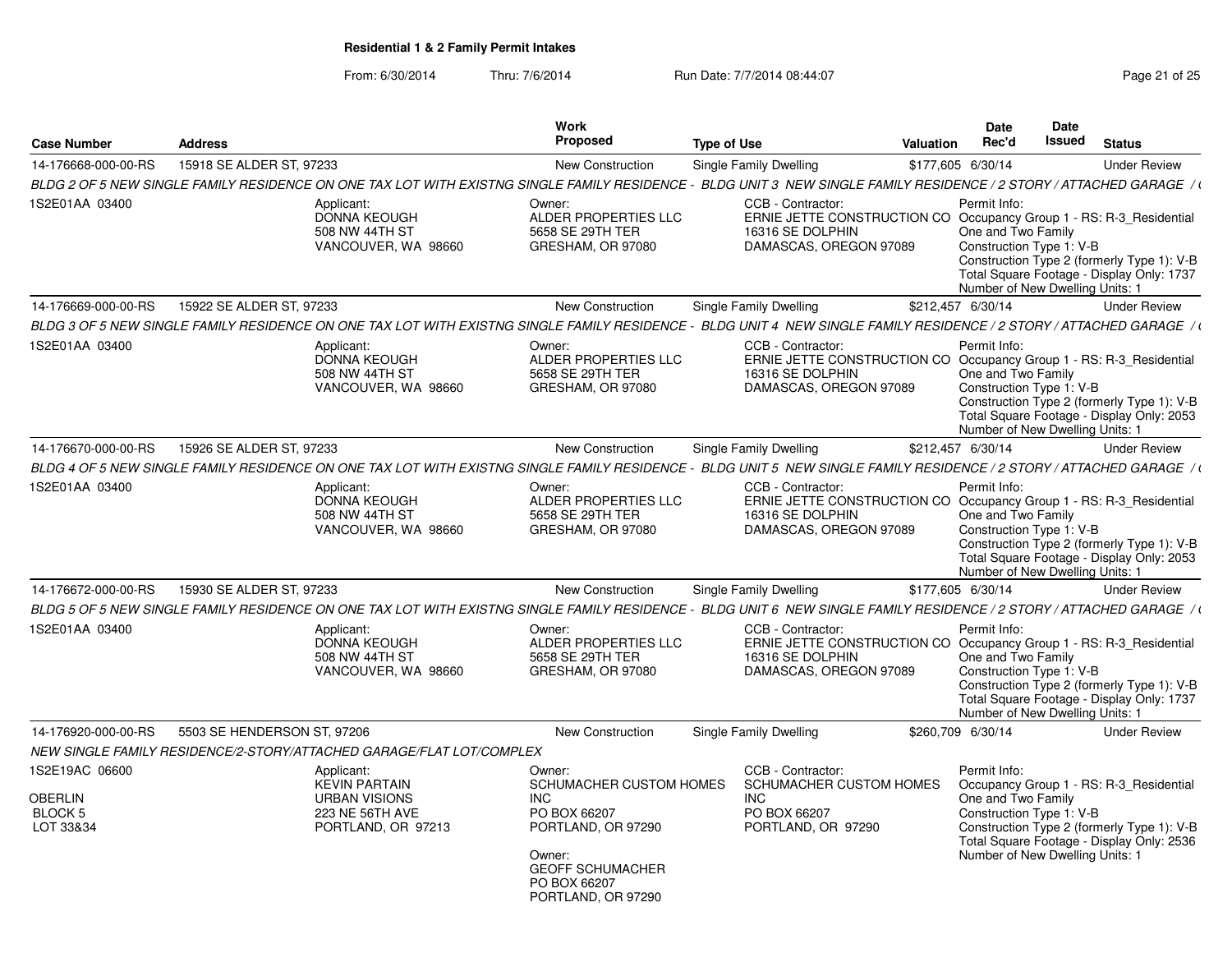| <b>Case Number</b>                                       | <b>Address</b>              |                                                                                                     | Work<br><b>Proposed</b>                                                                                                                                               | <b>Type of Use</b> |                                                                                                                                        | Valuation | Date<br>Rec'd                                                                                     | <b>Date</b><br>Issued | <b>Status</b>                                                                                                                      |
|----------------------------------------------------------|-----------------------------|-----------------------------------------------------------------------------------------------------|-----------------------------------------------------------------------------------------------------------------------------------------------------------------------|--------------------|----------------------------------------------------------------------------------------------------------------------------------------|-----------|---------------------------------------------------------------------------------------------------|-----------------------|------------------------------------------------------------------------------------------------------------------------------------|
| 14-176668-000-00-RS                                      | 15918 SE ALDER ST, 97233    |                                                                                                     | <b>New Construction</b>                                                                                                                                               |                    | Single Family Dwelling                                                                                                                 |           | \$177,605 6/30/14                                                                                 |                       | <b>Under Review</b>                                                                                                                |
|                                                          |                             |                                                                                                     | BLDG 2 OF 5 NEW SINGLE FAMILY RESIDENCE ON ONE TAX LOT WITH EXISTNG SINGLE FAMILY RESIDENCE - BLDG UNIT 3 NEW SINGLE FAMILY RESIDENCE / 2 STORY / ATTACHED GARAGE / t |                    |                                                                                                                                        |           |                                                                                                   |                       |                                                                                                                                    |
| 1S2E01AA 03400                                           |                             | Applicant:<br><b>DONNA KEOUGH</b><br>508 NW 44TH ST<br>VANCOUVER, WA 98660                          | Owner:<br>ALDER PROPERTIES LLC<br>5658 SE 29TH TER<br>GRESHAM, OR 97080                                                                                               |                    | CCB - Contractor:<br>ERNIE JETTE CONSTRUCTION CO Occupancy Group 1 - RS: R-3_Residential<br>16316 SE DOLPHIN<br>DAMASCAS, OREGON 97089 |           | Permit Info:<br>One and Two Family<br>Construction Type 1: V-B<br>Number of New Dwelling Units: 1 |                       | Construction Type 2 (formerly Type 1): V-B<br>Total Square Footage - Display Only: 1737                                            |
| 14-176669-000-00-RS                                      | 15922 SE ALDER ST, 97233    |                                                                                                     | <b>New Construction</b>                                                                                                                                               |                    | Single Family Dwelling                                                                                                                 |           | \$212,457 6/30/14                                                                                 |                       | <b>Under Review</b>                                                                                                                |
|                                                          |                             |                                                                                                     | BLDG 3 OF 5 NEW SINGLE FAMILY RESIDENCE ON ONE TAX LOT WITH EXISTNG SINGLE FAMILY RESIDENCE - BLDG UNIT 4 NEW SINGLE FAMILY RESIDENCE / 2 STORY / ATTACHED GARAGE / t |                    |                                                                                                                                        |           |                                                                                                   |                       |                                                                                                                                    |
| 1S2E01AA 03400                                           |                             | Applicant:<br><b>DONNA KEOUGH</b><br>508 NW 44TH ST<br>VANCOUVER, WA 98660                          | Owner:<br>ALDER PROPERTIES LLC<br>5658 SE 29TH TER<br>GRESHAM, OR 97080                                                                                               |                    | CCB - Contractor:<br>ERNIE JETTE CONSTRUCTION CO Occupancy Group 1 - RS: R-3_Residential<br>16316 SE DOLPHIN<br>DAMASCAS, OREGON 97089 |           | Permit Info:<br>One and Two Family<br>Construction Type 1: V-B<br>Number of New Dwelling Units: 1 |                       | Construction Type 2 (formerly Type 1): V-B<br>Total Square Footage - Display Only: 2053                                            |
| 14-176670-000-00-RS                                      | 15926 SE ALDER ST, 97233    |                                                                                                     | <b>New Construction</b>                                                                                                                                               |                    | Single Family Dwelling                                                                                                                 |           | \$212,457 6/30/14                                                                                 |                       | <b>Under Review</b>                                                                                                                |
|                                                          |                             |                                                                                                     | BLDG 4 OF 5 NEW SINGLE FAMILY RESIDENCE ON ONE TAX LOT WITH EXISTNG SINGLE FAMILY RESIDENCE - BLDG UNIT 5 NEW SINGLE FAMILY RESIDENCE / 2 STORY / ATTACHED GARAGE / \ |                    |                                                                                                                                        |           |                                                                                                   |                       |                                                                                                                                    |
| 1S2E01AA 03400                                           |                             | Applicant:<br><b>DONNA KEOUGH</b><br>508 NW 44TH ST<br>VANCOUVER, WA 98660                          | Owner:<br>ALDER PROPERTIES LLC<br>5658 SE 29TH TER<br>GRESHAM, OR 97080                                                                                               |                    | CCB - Contractor:<br>ERNIE JETTE CONSTRUCTION CO Occupancy Group 1 - RS: R-3_Residential<br>16316 SE DOLPHIN<br>DAMASCAS, OREGON 97089 |           | Permit Info:<br>One and Two Family<br>Construction Type 1: V-B<br>Number of New Dwelling Units: 1 |                       | Construction Type 2 (formerly Type 1): V-B<br>Total Square Footage - Display Only: 2053                                            |
| 14-176672-000-00-RS                                      | 15930 SE ALDER ST, 97233    |                                                                                                     | <b>New Construction</b>                                                                                                                                               |                    | Single Family Dwelling                                                                                                                 |           | \$177,605 6/30/14                                                                                 |                       | <b>Under Review</b>                                                                                                                |
|                                                          |                             |                                                                                                     | BLDG 5 OF 5 NEW SINGLE FAMILY RESIDENCE ON ONE TAX LOT WITH EXISTNG SINGLE FAMILY RESIDENCE - BLDG UNIT 6 NEW SINGLE FAMILY RESIDENCE / 2 STORY / ATTACHED GARAGE / t |                    |                                                                                                                                        |           |                                                                                                   |                       |                                                                                                                                    |
| 1S2E01AA 03400                                           |                             | Applicant:<br><b>DONNA KEOUGH</b><br>508 NW 44TH ST<br>VANCOUVER, WA 98660                          | Owner:<br>ALDER PROPERTIES LLC<br>5658 SE 29TH TER<br>GRESHAM, OR 97080                                                                                               |                    | CCB - Contractor:<br>ERNIE JETTE CONSTRUCTION CO<br>16316 SE DOLPHIN<br>DAMASCAS, OREGON 97089                                         |           | Permit Info:<br>One and Two Family<br>Construction Type 1: V-B<br>Number of New Dwelling Units: 1 |                       | Occupancy Group 1 - RS: R-3_Residential<br>Construction Type 2 (formerly Type 1): V-B<br>Total Square Footage - Display Only: 1737 |
| 14-176920-000-00-RS                                      | 5503 SE HENDERSON ST, 97206 |                                                                                                     | <b>New Construction</b>                                                                                                                                               |                    | Single Family Dwelling                                                                                                                 |           | \$260,709 6/30/14                                                                                 |                       | <b>Under Review</b>                                                                                                                |
|                                                          |                             | NEW SINGLE FAMILY RESIDENCE/2-STORY/ATTACHED GARAGE/FLAT LOT/COMPLEX                                |                                                                                                                                                                       |                    |                                                                                                                                        |           |                                                                                                   |                       |                                                                                                                                    |
| 1S2E19AC 06600<br>OBERLIN<br><b>BLOCK 5</b><br>LOT 33&34 |                             | Applicant:<br><b>KEVIN PARTAIN</b><br><b>URBAN VISIONS</b><br>223 NE 56TH AVE<br>PORTLAND, OR 97213 | Owner:<br>SCHUMACHER CUSTOM HOMES<br><b>INC</b><br>PO BOX 66207<br>PORTLAND, OR 97290<br>Owner:<br><b>GEOFF SCHUMACHER</b><br>PO BOX 66207<br>PORTLAND, OR 97290      |                    | CCB - Contractor:<br>SCHUMACHER CUSTOM HOMES<br><b>INC</b><br>PO BOX 66207<br>PORTLAND, OR 97290                                       |           | Permit Info:<br>One and Two Family<br>Construction Type 1: V-B<br>Number of New Dwelling Units: 1 |                       | Occupancy Group 1 - RS: R-3 Residential<br>Construction Type 2 (formerly Type 1): V-B<br>Total Square Footage - Display Only: 2536 |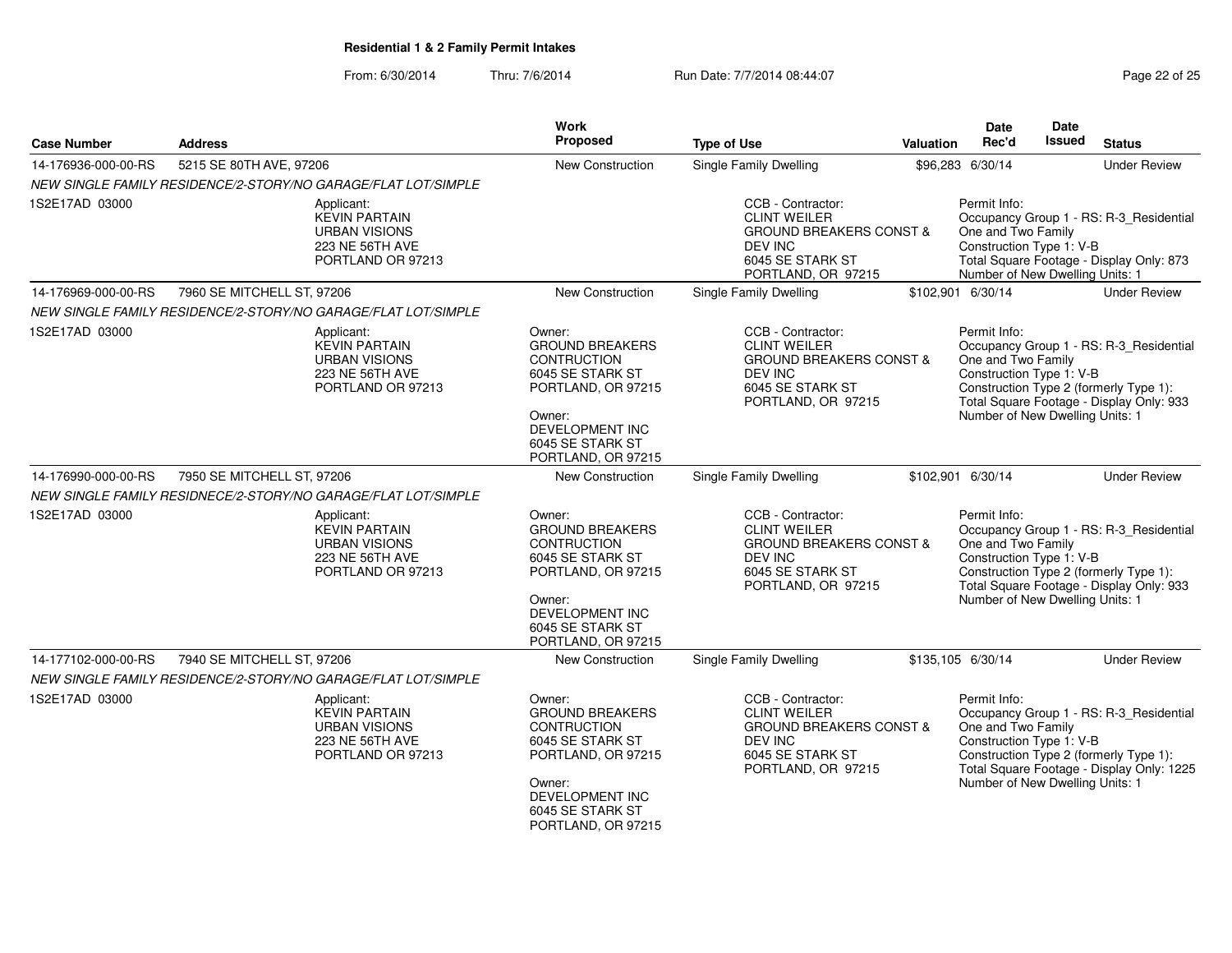From: 6/30/2014Thru: 7/6/2014 **Run Date: 7/7/2014 08:44:07 Page 22 of 25 of 25 of 25 of 25 of 25 of 25 of 25 of 25 of 25 of 25 of 25 of 25 of 25 of 25 of 25 of 25 of 25 of 25 of 25 of 25 of 25 of 25 of 25 of 25 of 25 of 25 of 25 of 25** 

| Page 22 of 25 |  |  |  |
|---------------|--|--|--|
|---------------|--|--|--|

| <b>Case Number</b>  | <b>Address</b>                                                |                                                                                                    | Work<br>Proposed                                                                                                                                                               | <b>Type of Use</b>                                                                                                                         | Valuation | <b>Date</b><br>Rec'd                                                                              | Date<br><b>Issued</b> | <b>Status</b>                                                                                                                  |
|---------------------|---------------------------------------------------------------|----------------------------------------------------------------------------------------------------|--------------------------------------------------------------------------------------------------------------------------------------------------------------------------------|--------------------------------------------------------------------------------------------------------------------------------------------|-----------|---------------------------------------------------------------------------------------------------|-----------------------|--------------------------------------------------------------------------------------------------------------------------------|
| 14-176936-000-00-RS | 5215 SE 80TH AVE, 97206                                       |                                                                                                    | <b>New Construction</b>                                                                                                                                                        | Single Family Dwelling                                                                                                                     |           | \$96,283 6/30/14                                                                                  |                       | <b>Under Review</b>                                                                                                            |
|                     | NEW SINGLE FAMILY RESIDENCE/2-STORY/NO GARAGE/FLAT LOT/SIMPLE |                                                                                                    |                                                                                                                                                                                |                                                                                                                                            |           |                                                                                                   |                       |                                                                                                                                |
| 1S2E17AD 03000      |                                                               | Applicant:<br><b>KEVIN PARTAIN</b><br><b>URBAN VISIONS</b><br>223 NE 56TH AVE<br>PORTLAND OR 97213 |                                                                                                                                                                                | CCB - Contractor:<br><b>CLINT WEILER</b><br><b>GROUND BREAKERS CONST &amp;</b><br>DEV INC<br>6045 SE STARK ST<br>PORTLAND, OR 97215        |           | Permit Info:<br>One and Two Family<br>Construction Type 1: V-B<br>Number of New Dwelling Units: 1 |                       | Occupancy Group 1 - RS: R-3_Residential<br>Total Square Footage - Display Only: 873                                            |
| 14-176969-000-00-RS | 7960 SE MITCHELL ST, 97206                                    |                                                                                                    | New Construction                                                                                                                                                               | Single Family Dwelling                                                                                                                     |           | \$102,901 6/30/14                                                                                 |                       | <b>Under Review</b>                                                                                                            |
|                     | NEW SINGLE FAMILY RESIDENCE/2-STORY/NO GARAGE/FLAT LOT/SIMPLE |                                                                                                    |                                                                                                                                                                                |                                                                                                                                            |           |                                                                                                   |                       |                                                                                                                                |
| 1S2E17AD 03000      |                                                               | Applicant:<br><b>KEVIN PARTAIN</b><br><b>URBAN VISIONS</b><br>223 NE 56TH AVE<br>PORTLAND OR 97213 | Owner:<br><b>GROUND BREAKERS</b><br>CONTRUCTION<br>6045 SE STARK ST<br>PORTLAND, OR 97215<br>Owner:<br>DEVELOPMENT INC<br>6045 SE STARK ST<br>PORTLAND, OR 97215               | CCB - Contractor:<br><b>CLINT WEILER</b><br><b>GROUND BREAKERS CONST &amp;</b><br>DEV INC<br>6045 SE STARK ST<br>PORTLAND, OR 97215        |           | Permit Info:<br>One and Two Family<br>Construction Type 1: V-B<br>Number of New Dwelling Units: 1 |                       | Occupancy Group 1 - RS: R-3 Residential<br>Construction Type 2 (formerly Type 1):<br>Total Square Footage - Display Only: 933  |
| 14-176990-000-00-RS | 7950 SE MITCHELL ST, 97206                                    |                                                                                                    | New Construction                                                                                                                                                               | Single Family Dwelling                                                                                                                     |           | \$102,901 6/30/14                                                                                 |                       | <b>Under Review</b>                                                                                                            |
|                     | NEW SINGLE FAMILY RESIDNECE/2-STORY/NO GARAGE/FLAT LOT/SIMPLE |                                                                                                    |                                                                                                                                                                                |                                                                                                                                            |           |                                                                                                   |                       |                                                                                                                                |
| 1S2E17AD 03000      |                                                               | Applicant:<br><b>KEVIN PARTAIN</b><br><b>URBAN VISIONS</b><br>223 NE 56TH AVE<br>PORTLAND OR 97213 | Owner:<br><b>GROUND BREAKERS</b><br>CONTRUCTION<br>6045 SE STARK ST<br>PORTLAND, OR 97215<br>Owner:<br><b>DEVELOPMENT INC</b><br>6045 SE STARK ST<br>PORTLAND, OR 97215        | CCB - Contractor:<br><b>CLINT WEILER</b><br><b>GROUND BREAKERS CONST &amp;</b><br>DEV INC<br>6045 SE STARK ST<br>PORTLAND, OR 97215        |           | Permit Info:<br>One and Two Family<br>Construction Type 1: V-B<br>Number of New Dwelling Units: 1 |                       | Occupancy Group 1 - RS: R-3_Residential<br>Construction Type 2 (formerly Type 1):<br>Total Square Footage - Display Only: 933  |
| 14-177102-000-00-RS | 7940 SE MITCHELL ST, 97206                                    |                                                                                                    | New Construction                                                                                                                                                               | Single Family Dwelling                                                                                                                     |           | \$135,105 6/30/14                                                                                 |                       | <b>Under Review</b>                                                                                                            |
|                     | NEW SINGLE FAMILY RESIDENCE/2-STORY/NO GARAGE/FLAT LOT/SIMPLE |                                                                                                    |                                                                                                                                                                                |                                                                                                                                            |           |                                                                                                   |                       |                                                                                                                                |
| 1S2E17AD 03000      |                                                               | Applicant:<br><b>KEVIN PARTAIN</b><br><b>URBAN VISIONS</b><br>223 NE 56TH AVE<br>PORTLAND OR 97213 | Owner:<br><b>GROUND BREAKERS</b><br><b>CONTRUCTION</b><br>6045 SE STARK ST<br>PORTLAND, OR 97215<br>Owner:<br><b>DEVELOPMENT INC</b><br>6045 SE STARK ST<br>PORTLAND, OR 97215 | CCB - Contractor:<br><b>CLINT WEILER</b><br><b>GROUND BREAKERS CONST &amp;</b><br><b>DEV INC</b><br>6045 SE STARK ST<br>PORTLAND, OR 97215 |           | Permit Info:<br>One and Two Family<br>Construction Type 1: V-B<br>Number of New Dwelling Units: 1 |                       | Occupancy Group 1 - RS: R-3_Residential<br>Construction Type 2 (formerly Type 1):<br>Total Square Footage - Display Only: 1225 |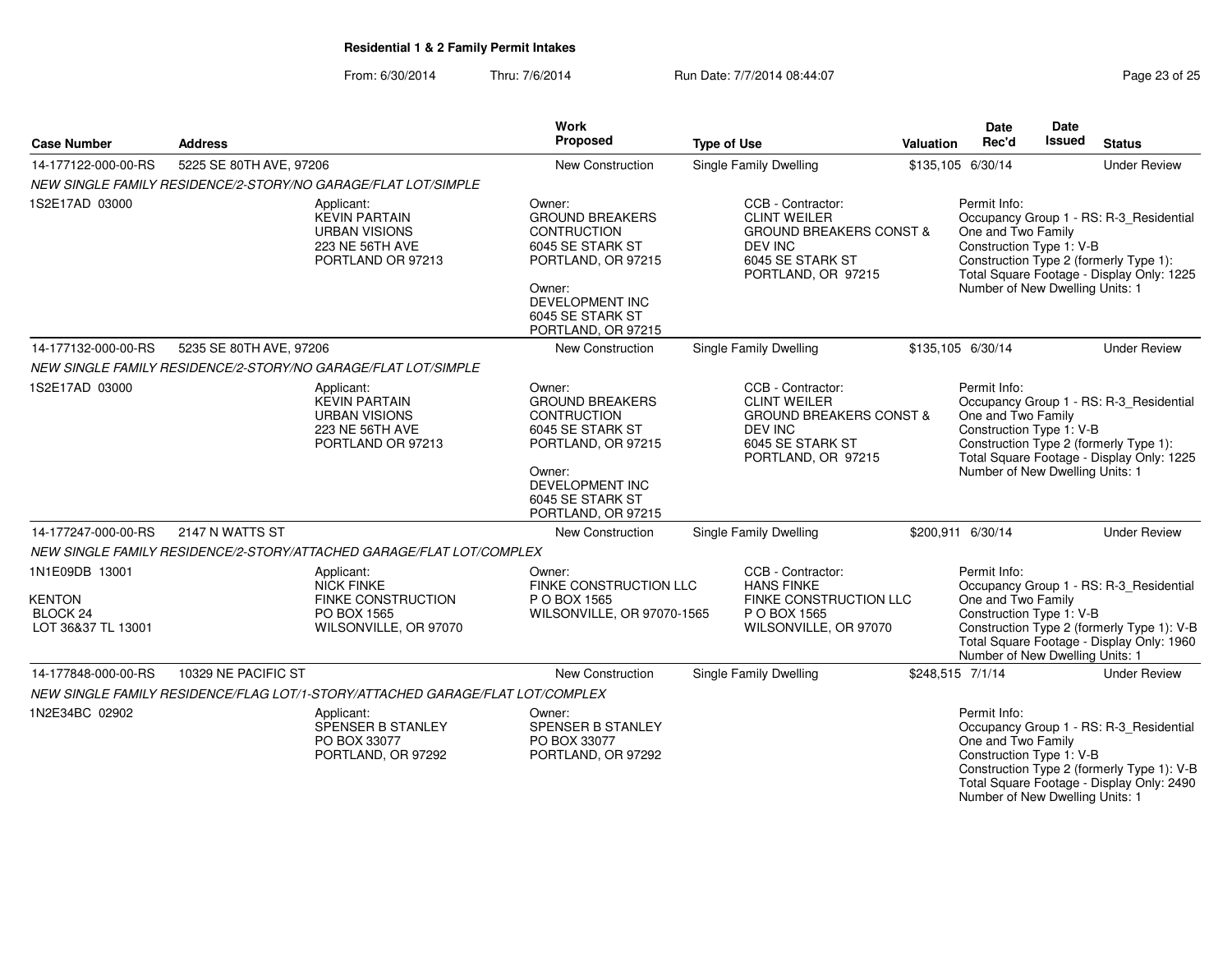From: 6/30/2014Thru: 7/6/2014 Run Date: 7/7/2014 08:44:07 Research 25

| <b>Case Number</b>                                                | <b>Address</b>                                                                |                                                              | Work<br>Proposed                                                                                                                                                               | <b>Type of Use</b>                                                                                                                         | <b>Valuation</b> | <b>Date</b><br>Rec'd                                                                              | Date<br>Issued | <b>Status</b>                                                                                                                      |
|-------------------------------------------------------------------|-------------------------------------------------------------------------------|--------------------------------------------------------------|--------------------------------------------------------------------------------------------------------------------------------------------------------------------------------|--------------------------------------------------------------------------------------------------------------------------------------------|------------------|---------------------------------------------------------------------------------------------------|----------------|------------------------------------------------------------------------------------------------------------------------------------|
| 14-177122-000-00-RS                                               | 5225 SE 80TH AVE, 97206                                                       |                                                              | <b>New Construction</b>                                                                                                                                                        | <b>Single Family Dwelling</b>                                                                                                              |                  | \$135,105 6/30/14                                                                                 |                | <b>Under Review</b>                                                                                                                |
|                                                                   | NEW SINGLE FAMILY RESIDENCE/2-STORY/NO GARAGE/FLAT LOT/SIMPLE                 |                                                              |                                                                                                                                                                                |                                                                                                                                            |                  |                                                                                                   |                |                                                                                                                                    |
| 1S2E17AD 03000                                                    | Applicant:<br><b>KEVIN PARTAIN</b>                                            | <b>URBAN VISIONS</b><br>223 NE 56TH AVE<br>PORTLAND OR 97213 | Owner:<br><b>GROUND BREAKERS</b><br>CONTRUCTION<br>6045 SE STARK ST<br>PORTLAND, OR 97215<br>Owner:<br><b>DEVELOPMENT INC</b><br>6045 SE STARK ST<br>PORTLAND, OR 97215        | CCB - Contractor:<br><b>CLINT WEILER</b><br><b>GROUND BREAKERS CONST &amp;</b><br>DEV INC<br>6045 SE STARK ST<br>PORTLAND, OR 97215        |                  | Permit Info:<br>One and Two Family<br>Construction Type 1: V-B<br>Number of New Dwelling Units: 1 |                | Occupancy Group 1 - RS: R-3_Residential<br>Construction Type 2 (formerly Type 1):<br>Total Square Footage - Display Only: 1225     |
| 14-177132-000-00-RS                                               | 5235 SE 80TH AVE, 97206                                                       |                                                              | <b>New Construction</b>                                                                                                                                                        | Single Family Dwelling                                                                                                                     |                  | \$135,105 6/30/14                                                                                 |                | <b>Under Review</b>                                                                                                                |
|                                                                   | NEW SINGLE FAMILY RESIDENCE/2-STORY/NO GARAGE/FLAT LOT/SIMPLE                 |                                                              |                                                                                                                                                                                |                                                                                                                                            |                  |                                                                                                   |                |                                                                                                                                    |
| 1S2E17AD 03000                                                    | Applicant:<br><b>KEVIN PARTAIN</b>                                            | <b>URBAN VISIONS</b><br>223 NE 56TH AVE<br>PORTLAND OR 97213 | Owner:<br><b>GROUND BREAKERS</b><br><b>CONTRUCTION</b><br>6045 SE STARK ST<br>PORTLAND, OR 97215<br>Owner:<br><b>DEVELOPMENT INC</b><br>6045 SE STARK ST<br>PORTLAND, OR 97215 | CCB - Contractor:<br><b>CLINT WEILER</b><br><b>GROUND BREAKERS CONST &amp;</b><br><b>DEV INC</b><br>6045 SE STARK ST<br>PORTLAND, OR 97215 |                  | Permit Info:<br>One and Two Family<br>Construction Type 1: V-B<br>Number of New Dwelling Units: 1 |                | Occupancy Group 1 - RS: R-3_Residential<br>Construction Type 2 (formerly Type 1):<br>Total Square Footage - Display Only: 1225     |
| 14-177247-000-00-RS                                               | 2147 N WATTS ST                                                               |                                                              | <b>New Construction</b>                                                                                                                                                        | <b>Single Family Dwelling</b>                                                                                                              |                  | \$200,911 6/30/14                                                                                 |                | <b>Under Review</b>                                                                                                                |
|                                                                   | NEW SINGLE FAMILY RESIDENCE/2-STORY/ATTACHED GARAGE/FLAT LOT/COMPLEX          |                                                              |                                                                                                                                                                                |                                                                                                                                            |                  |                                                                                                   |                |                                                                                                                                    |
| 1N1E09DB 13001<br><b>KENTON</b><br>BLOCK 24<br>LOT 36&37 TL 13001 | Applicant:<br><b>NICK FINKE</b><br>PO BOX 1565                                | <b>FINKE CONSTRUCTION</b><br>WILSONVILLE, OR 97070           | Owner:<br>FINKE CONSTRUCTION LLC<br>P O BOX 1565<br>WILSONVILLE, OR 97070-1565                                                                                                 | CCB - Contractor:<br><b>HANS FINKE</b><br>FINKE CONSTRUCTION LLC<br>P O BOX 1565<br>WILSONVILLE, OR 97070                                  |                  | Permit Info:<br>One and Two Family<br>Construction Type 1: V-B<br>Number of New Dwelling Units: 1 |                | Occupancy Group 1 - RS: R-3_Residential<br>Construction Type 2 (formerly Type 1): V-B<br>Total Square Footage - Display Only: 1960 |
| 14-177848-000-00-RS                                               | 10329 NE PACIFIC ST                                                           |                                                              | New Construction                                                                                                                                                               | Single Family Dwelling                                                                                                                     | \$248,515 7/1/14 |                                                                                                   |                | <b>Under Review</b>                                                                                                                |
|                                                                   | NEW SINGLE FAMILY RESIDENCE/FLAG LOT/1-STORY/ATTACHED GARAGE/FLAT LOT/COMPLEX |                                                              |                                                                                                                                                                                |                                                                                                                                            |                  |                                                                                                   |                |                                                                                                                                    |
| 1N2E34BC 02902                                                    | Applicant:<br>PO BOX 33077                                                    | SPENSER B STANLEY<br>PORTLAND, OR 97292                      | Owner:<br>SPENSER B STANLEY<br>PO BOX 33077<br>PORTLAND, OR 97292                                                                                                              |                                                                                                                                            |                  | Permit Info:<br>One and Two Family<br>Construction Type 1: V-B                                    |                | Occupancy Group 1 - RS: R-3_Residential<br>Construction Type 2 (formerly Type 1): V-B<br>Total Square Footage - Display Only: 2490 |

Number of New Dwelling Units: 1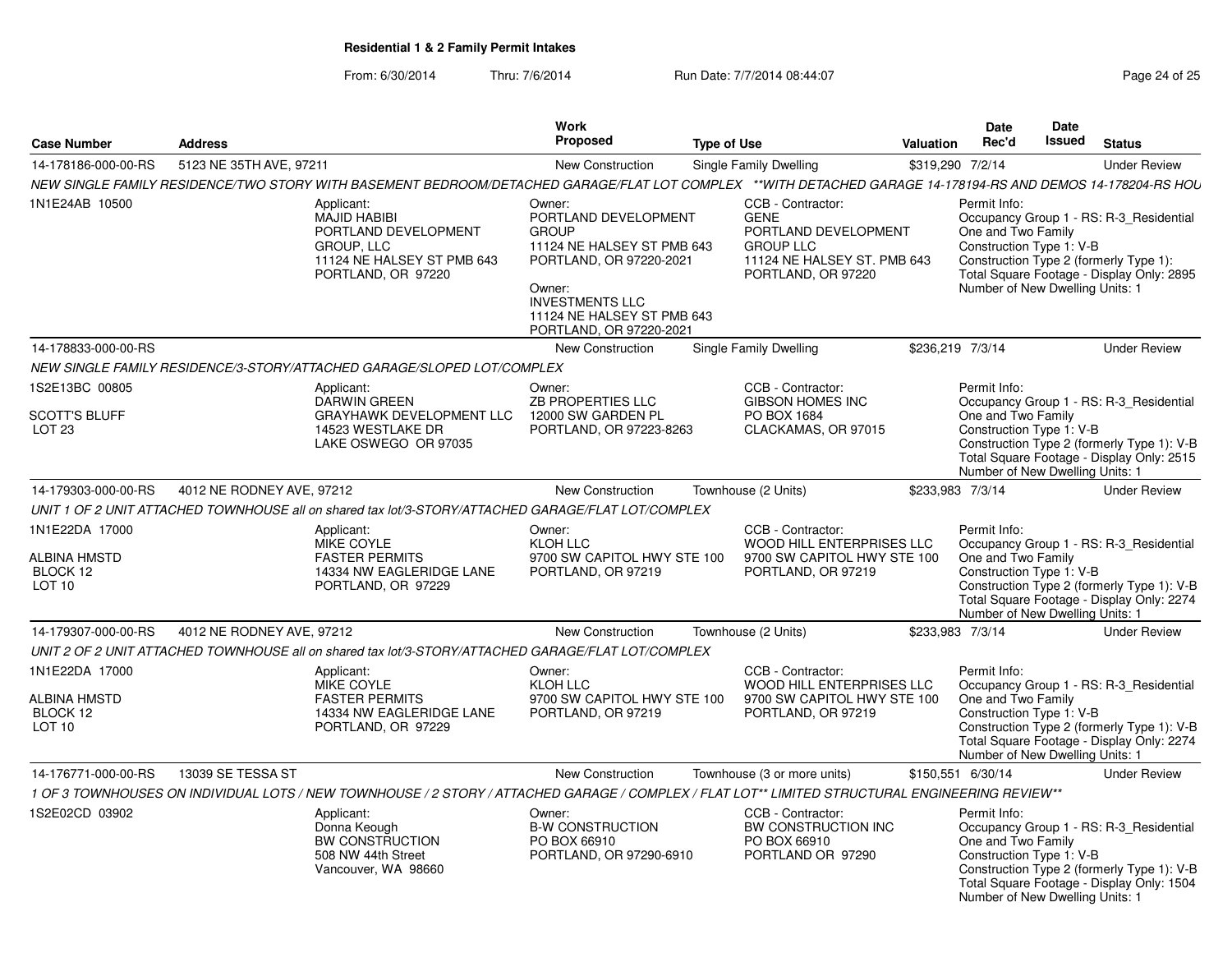From: 6/30/2014Thru: 7/6/2014 **Run Date: 7/7/2014 08:44:07 Run Page 24 of 25** 

|                                                                 |                                                                                                                                                             | Work                                                                                                                                                                                                 |                                                                                                                                    |                                                                                                                                                                       | Date                                                                                                                                                                                                                                    | Date                                                        |                                                                                                                                                                       |  |
|-----------------------------------------------------------------|-------------------------------------------------------------------------------------------------------------------------------------------------------------|------------------------------------------------------------------------------------------------------------------------------------------------------------------------------------------------------|------------------------------------------------------------------------------------------------------------------------------------|-----------------------------------------------------------------------------------------------------------------------------------------------------------------------|-----------------------------------------------------------------------------------------------------------------------------------------------------------------------------------------------------------------------------------------|-------------------------------------------------------------|-----------------------------------------------------------------------------------------------------------------------------------------------------------------------|--|
| <b>Case Number</b>                                              | <b>Address</b>                                                                                                                                              | Proposed                                                                                                                                                                                             | <b>Type of Use</b>                                                                                                                 | Valuation                                                                                                                                                             | Rec'd                                                                                                                                                                                                                                   | <b>Issued</b>                                               | <b>Status</b>                                                                                                                                                         |  |
| 14-178186-000-00-RS                                             | 5123 NE 35TH AVE, 97211                                                                                                                                     | New Construction                                                                                                                                                                                     | <b>Single Family Dwelling</b>                                                                                                      |                                                                                                                                                                       | \$319,290 7/2/14                                                                                                                                                                                                                        |                                                             | <b>Under Review</b>                                                                                                                                                   |  |
|                                                                 | NEW SINGLE FAMILY RESIDENCE/TWO STORY WITH BASEMENT BEDROOM/DETACHED GARAGE/FLAT LOT COMPLEX **WITH DETACHED GARAGE 14-178194-RS AND DEMOS 14-178204-RS HOU |                                                                                                                                                                                                      |                                                                                                                                    |                                                                                                                                                                       |                                                                                                                                                                                                                                         |                                                             |                                                                                                                                                                       |  |
| 1N1E24AB 10500                                                  | Applicant:<br><b>MAJID HABIBI</b><br>PORTLAND DEVELOPMENT<br>GROUP, LLC<br>11124 NE HALSEY ST PMB 643<br>PORTLAND, OR 97220                                 | Owner:<br>PORTLAND DEVELOPMENT<br><b>GROUP</b><br>11124 NE HALSEY ST PMB 643<br>PORTLAND, OR 97220-2021<br>Owner:<br><b>INVESTMENTS LLC</b><br>11124 NE HALSEY ST PMB 643<br>PORTLAND, OR 97220-2021 | CCB - Contractor:<br><b>GENE</b><br><b>GROUP LLC</b>                                                                               | PORTLAND DEVELOPMENT<br>11124 NE HALSEY ST. PMB 643<br>PORTLAND, OR 97220                                                                                             | Permit Info:<br>One and Two Family                                                                                                                                                                                                      | Construction Type 1: V-B<br>Number of New Dwelling Units: 1 | Occupancy Group 1 - RS: R-3_Residential<br>Construction Type 2 (formerly Type 1):<br>Total Square Footage - Display Only: 2895                                        |  |
| 14-178833-000-00-RS                                             |                                                                                                                                                             | New Construction                                                                                                                                                                                     | <b>Single Family Dwelling</b>                                                                                                      |                                                                                                                                                                       | \$236.219 7/3/14                                                                                                                                                                                                                        |                                                             | <b>Under Review</b>                                                                                                                                                   |  |
|                                                                 | NEW SINGLE FAMILY RESIDENCE/3-STORY/ATTACHED GARAGE/SLOPED LOT/COMPLEX                                                                                      |                                                                                                                                                                                                      |                                                                                                                                    |                                                                                                                                                                       |                                                                                                                                                                                                                                         |                                                             |                                                                                                                                                                       |  |
| 1S2E13BC 00805<br><b>SCOTT'S BLUFF</b><br>LOT <sub>23</sub>     | Applicant:<br><b>DARWIN GREEN</b><br><b>GRAYHAWK DEVELOPMENT LLC</b><br>14523 WESTLAKE DR<br>LAKE OSWEGO OR 97035                                           | Owner:<br>ZB PROPERTIES LLC<br>12000 SW GARDEN PL<br>PORTLAND, OR 97223-8263                                                                                                                         | CCB - Contractor:<br><b>GIBSON HOMES INC</b><br>PO BOX 1684                                                                        | CLACKAMAS, OR 97015                                                                                                                                                   | Permit Info:<br>Occupancy Group 1 - RS: R-3 Residential<br>One and Two Family<br>Construction Type 1: V-B<br>Construction Type 2 (formerly Type 1): V-B<br>Total Square Footage - Display Only: 2515<br>Number of New Dwelling Units: 1 |                                                             |                                                                                                                                                                       |  |
| 14-179303-000-00-RS                                             | 4012 NE RODNEY AVE, 97212                                                                                                                                   | New Construction                                                                                                                                                                                     | Townhouse (2 Units)                                                                                                                |                                                                                                                                                                       | \$233,983 7/3/14                                                                                                                                                                                                                        |                                                             | <b>Under Review</b>                                                                                                                                                   |  |
|                                                                 | UNIT 1 OF 2 UNIT ATTACHED TOWNHOUSE all on shared tax lot/3-STORY/ATTACHED GARAGE/FLAT LOT/COMPLEX                                                          |                                                                                                                                                                                                      |                                                                                                                                    |                                                                                                                                                                       |                                                                                                                                                                                                                                         |                                                             |                                                                                                                                                                       |  |
| 1N1E22DA 17000<br>ALBINA HMSTD<br>BLOCK 12<br>LOT <sub>10</sub> | Applicant:<br>MIKE COYLE<br><b>FASTER PERMITS</b><br>PORTLAND, OR 97229                                                                                     | Owner:<br>KLOH LLC<br>9700 SW CAPITOL HWY STE 100<br>14334 NW EAGLERIDGE LANE<br>PORTLAND, OR 97219                                                                                                  |                                                                                                                                    | CCB - Contractor:<br>Permit Info:<br>WOOD HILL ENTERPRISES LLC<br>One and Two Family<br>9700 SW CAPITOL HWY STE 100<br>Construction Type 1: V-B<br>PORTLAND, OR 97219 |                                                                                                                                                                                                                                         |                                                             | Occupancy Group 1 - RS: R-3 Residential<br>Construction Type 2 (formerly Type 1): V-B<br>Total Square Footage - Display Only: 2274<br>Number of New Dwelling Units: 1 |  |
| 14-179307-000-00-RS                                             | 4012 NE RODNEY AVE, 97212                                                                                                                                   | New Construction                                                                                                                                                                                     | Townhouse (2 Units)                                                                                                                |                                                                                                                                                                       | \$233,983 7/3/14                                                                                                                                                                                                                        |                                                             | <b>Under Review</b>                                                                                                                                                   |  |
|                                                                 | UNIT 2 OF 2 UNIT ATTACHED TOWNHOUSE all on shared tax lot/3-STORY/ATTACHED GARAGE/FLAT LOT/COMPLEX                                                          |                                                                                                                                                                                                      |                                                                                                                                    |                                                                                                                                                                       |                                                                                                                                                                                                                                         |                                                             |                                                                                                                                                                       |  |
| 1N1E22DA 17000<br>ALBINA HMSTD<br>BLOCK 12<br>LOT 10            | Applicant:<br><b>MIKE COYLE</b><br><b>FASTER PERMITS</b><br>14334 NW EAGLERIDGE LANE<br>PORTLAND, OR 97229                                                  | Owner:<br>KLOH LLC<br>PORTLAND, OR 97219                                                                                                                                                             | CCB - Contractor:<br>WOOD HILL ENTERPRISES LLC<br>9700 SW CAPITOL HWY STE 100<br>9700 SW CAPITOL HWY STE 100<br>PORTLAND, OR 97219 |                                                                                                                                                                       | Permit Info:<br>Occupancy Group 1 - RS: R-3 Residential<br>One and Two Family<br>Construction Type 1: V-B<br>Construction Type 2 (formerly Type 1): V-B<br>Total Square Footage - Display Only: 2274<br>Number of New Dwelling Units: 1 |                                                             |                                                                                                                                                                       |  |
| 14-176771-000-00-RS                                             | 13039 SE TESSA ST                                                                                                                                           | New Construction                                                                                                                                                                                     | Townhouse (3 or more units)                                                                                                        |                                                                                                                                                                       | \$150,551 6/30/14                                                                                                                                                                                                                       |                                                             | <b>Under Review</b>                                                                                                                                                   |  |
|                                                                 | 1 OF 3 TOWNHOUSES ON INDIVIDUAL LOTS / NEW TOWNHOUSE / 2 STORY / ATTACHED GARAGE / COMPLEX / FLAT LOT** LIMITED STRUCTURAL ENGINEERING REVIEW**             |                                                                                                                                                                                                      |                                                                                                                                    |                                                                                                                                                                       |                                                                                                                                                                                                                                         |                                                             |                                                                                                                                                                       |  |
| 1S2E02CD 03902                                                  | Applicant:<br>Donna Keough<br><b>BW CONSTRUCTION</b><br>508 NW 44th Street<br>Vancouver, WA 98660                                                           | Owner:<br><b>B-W CONSTRUCTION</b><br>PO BOX 66910<br>PORTLAND, OR 97290-6910                                                                                                                         | CCB - Contractor:<br>PO BOX 66910                                                                                                  | BW CONSTRUCTION INC<br>PORTLAND OR 97290                                                                                                                              | Permit Info:<br>One and Two Family                                                                                                                                                                                                      | Construction Type 1: V-B<br>Number of New Dwelling Units: 1 | Occupancy Group 1 - RS: R-3 Residential<br>Construction Type 2 (formerly Type 1): V-B<br>Total Square Footage - Display Only: 1504                                    |  |